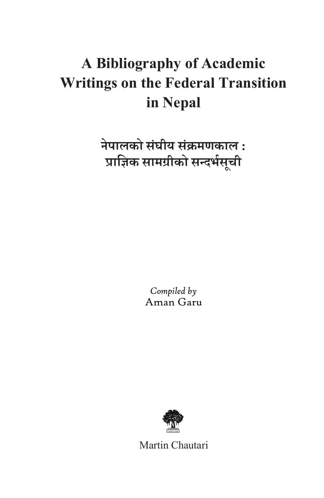## **A Bibliography of Academic Writings on the Federal Transition in Nepal**

**नेपालको सघीय स ं क्रमणकाल : ं प्राज्ञिक सामग्रीको सन्दर्भसची ू**

> *Compiled by* Aman Garu



Martin Chautari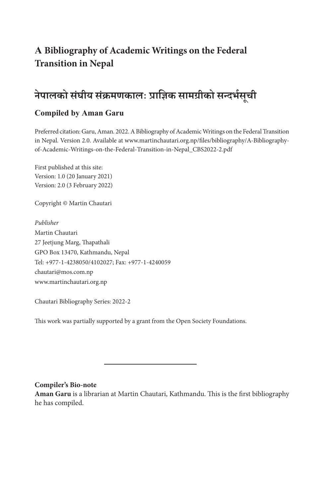## **A Bibliography of Academic Writings on the Federal Transition in Nepal**

#### **नेपालको सघीय स ं क्रमणकालः प् ं राज्ञिक सामग्रीको सन्दर्भसची ू**

#### **Compiled by Aman Garu**

Preferred citation: Garu, Aman. 2022. A Bibliography of Academic Writings on the Federal Transition in Nepal. Version 2.0. Available at www.martinchautari.org.np/files/bibliography/A-Bibliographyof-Academic-Writings-on-the-Federal-Transition-in-Nepal\_CBS2022-2.pdf

First published at this site: Version: 1.0 (20 January 2021) Version: 2.0 (3 February 2022)

Copyright © Martin Chautari

*Publisher* Martin Chautari 27 Jeetjung Marg, Thapathali GPO Box 13470, Kathmandu, Nepal Tel: +977-1-4238050/4102027; Fax: +977-1-4240059 chautari@mos.com.np www.martinchautari.org.np

Chautari Bibliography Series: 2022-2

This work was partially supported by a grant from the Open Society Foundations.

#### **Compiler's Bio-note**

**Aman Garu** is a librarian at Martin Chautari, Kathmandu. This is the first bibliography he has compiled.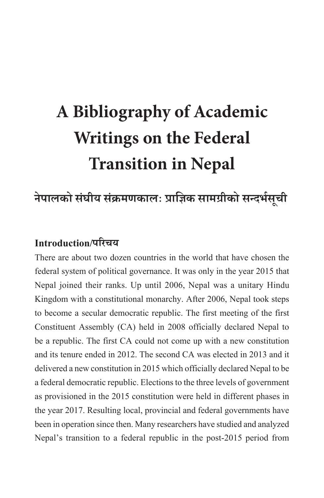# **A Bibliography of Academic Writings on the Federal Transition in Nepal**

#### **नेपालको सघीय स ं क्रमणकालः प् ं राज्ञिक सामग्रीको सन्दर्भसची ू**

## **Introduction/परिचय**

There are about two dozen countries in the world that have chosen the federal system of political governance. It was only in the year 2015 that Nepal joined their ranks. Up until 2006, Nepal was a unitary Hindu Kingdom with a constitutional monarchy. After 2006, Nepal took steps to become a secular democratic republic. The first meeting of the first Constituent Assembly (CA) held in 2008 officially declared Nepal to be a republic. The first CA could not come up with a new constitution and its tenure ended in 2012. The second CA was elected in 2013 and it delivered a new constitution in 2015 which officially declared Nepal to be a federal democratic republic. Elections to the three levels of government as provisioned in the 2015 constitution were held in different phases in the year 2017. Resulting local, provincial and federal governments have been in operation since then. Many researchers have studied and analyzed Nepal's transition to a federal republic in the post-2015 period from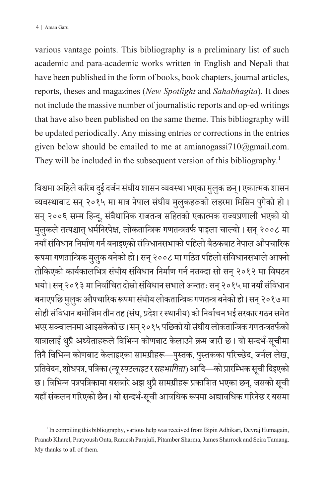various vantage points. This bibliography is a preliminary list of such academic and para-academic works written in English and Nepali that have been published in the form of books, book chapters, journal articles, reports, theses and magazines (*New Spotlight* and *Sahabhagita*). It does not include the massive number of journalistic reports and op-ed writings that have also been published on the same theme. This bibliography will be updated periodically. Any missing entries or corrections in the entries given below should be emailed to me at amianogassi $710$ @gmail.com. They will be included in the subsequent version of this bibliography.<sup>1</sup>

विश्वमा अहिले करिब दुई दर्जन संघीय शासन व्यवस्था भएका मुलुक छन्। एकात्मक शासन व्यवस्थाबाट सन् २०१५ मा मात्र नेपाल संघीय मुलुकहरूको लहरमा मिसिन पुगेको हो। सन् २००६ सम्म हिन्दू, संवैधानिक राजतन्त्र सहितको एकात्मक राज्यप्रणाली भएको यो मुलुकले तत्पश्चात् धर्मनिरपेक्ष, लोकतान्त्रिक गणतन्त्रतर्फ पाइला चाल्यो । सन् २००८ मा .<br>、 नयाँ संविधान निर्माण गर्न बनाइएको संविधानसभाको पहिलो बैठकबाट नेपाल औपचारिक रूपमा गणतान्त्रिक मुलुक बनेको हो। सन् २००८ मा गठित पहिलो संविधानसभाले आफ्ने तोकिएको कार्यकालभित्र संघीय संविधान निर्माण गर्न नसक्दा सो सन् २०१२ मा विघटन भयो। सन् २०१३ मा निर्वाचित दोस्रो संविधान सभाले अन्ततः सन् २०१५ मा नयाँ संविधान बनाएपछि मुलुक औपचारिक रूपमा संघीय लोकतान्त्रिक गणतन्त्र बनेको हो। सन् २०१७ मा सोही संविधान बमोजिम तीन तह (संघ, प्रदेश र स्थानीय) को निर्वाचन भई सरकार गठन समेत भएर सञ्चालनमा आइसकेको छ। सन् २०१५ पछिको यो संघीय लोकतान्त्रिक गणतन्त्रतर्फको यात्रालाई थुप्रै अध्येताहरूले विभिन्न कोणबाट केलाउने क्रम जारी छ। यो सन्दर्भ-सूचीमा तिनै विभिन्न कोणबाट केलाइएका सामग्रीहरू—पुस्तक, पुस्तकका परिच्छेद, जर्नल लेख, प्रतिवेदन, शोधपत्र, पत्रिका (*न्यू स्पटलाइट* र *सहभागिता*) आदि—को प्रारम्भिक सूची दिइएको छ। विभिन्न पत्रपत्रिकामा यसबारे अझ थुप्रै सामग्रीहरू प्रकाशित भएका छन्, जसको सूची यहाँ संकलन गरिएको छैन। यो सन्दर्भ-सूची आवधिक रूपमा अद्यावधिक गरिनेछ र यसमा

<sup>&</sup>lt;sup>1</sup> In compiling this bibliography, various help was received from Bipin Adhikari, Devraj Humagain, Pranab Kharel, Pratyoush Onta, Ramesh Parajuli, Pitamber Sharma, James Sharrock and Seira Tamang. My thanks to all of them.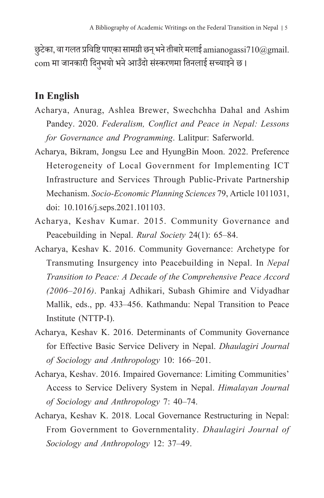छुटेका, वा गलत प्रविष्टि पाएका सामग्री छन् भने तीबारे मलाई amianogassi710 $\textcolor{red}{\omega}$ gmail. com मा जानकारी दिनुभयो भने आउँदो संस्करणमा तिनलाई सच्याइने छ।

### **In English**

- Acharya, Anurag, Ashlea Brewer, Swechchha Dahal and Ashim Pandey. 2020. *Federalism, Conflict and Peace in Nepal: Lessons for Governance and Programming*. Lalitpur: Saferworld.
- Acharya, Bikram, Jongsu Lee and HyungBin Moon. 2022. Preference Heterogeneity of Local Government for Implementing ICT Infrastructure and Services Through Public-Private Partnership Mechanism. *Socio-Economic Planning Sciences* 79, Article 1011031, doi: 10.1016/j.seps.2021.101103.
- Acharya, Keshav Kumar. 2015. Community Governance and Peacebuilding in Nepal. *Rural Society* 24(1): 65–84.
- Acharya, Keshav K. 2016. Community Governance: Archetype for Transmuting Insurgency into Peacebuilding in Nepal. In *Nepal Transition to Peace: A Decade of the Comprehensive Peace Accord (2006–2016)*. Pankaj Adhikari, Subash Ghimire and Vidyadhar Mallik, eds., pp. 433–456. Kathmandu: Nepal Transition to Peace Institute (NTTP-I).
- Acharya, Keshav K. 2016. Determinants of Community Governance for Effective Basic Service Delivery in Nepal. *Dhaulagiri Journal of Sociology and Anthropology* 10: 166–201.
- Acharya, Keshav. 2016. Impaired Governance: Limiting Communities' Access to Service Delivery System in Nepal. *Himalayan Journal of Sociology and Anthropology* 7: 40–74.
- Acharya, Keshav K. 2018. Local Governance Restructuring in Nepal: From Government to Governmentality. *Dhaulagiri Journal of Sociology and Anthropology* 12: 37–49.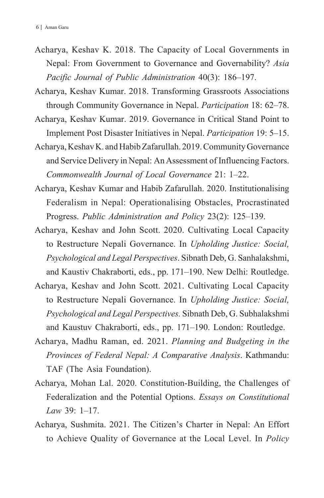- Acharya, Keshav K. 2018. The Capacity of Local Governments in Nepal: From Government to Governance and Governability? *Asia Pacific Journal of Public Administration* 40(3): 186–197.
- Acharya, Keshav Kumar. 2018. Transforming Grassroots Associations through Community Governance in Nepal. *Participation* 18: 62–78.
- Acharya, Keshav Kumar. 2019. Governance in Critical Stand Point to Implement Post Disaster Initiatives in Nepal. *Participation* 19: 5–15.
- Acharya, Keshav K. and Habib Zafarullah. 2019. Community Governance and Service Delivery in Nepal: An Assessment of Influencing Factors. *Commonwealth Journal of Local Governance* 21: 1–22.
- Acharya, Keshav Kumar and Habib Zafarullah. 2020. Institutionalising Federalism in Nepal: Operationalising Obstacles, Procrastinated Progress. *Public Administration and Policy* 23(2): 125–139.
- Acharya, Keshav and John Scott. 2020. Cultivating Local Capacity to Restructure Nepali Governance. In *Upholding Justice: Social, Psychological and Legal Perspectives*. Sibnath Deb, G. Sanhalakshmi, and Kaustiv Chakraborti, eds., pp. 171–190. New Delhi: Routledge.
- Acharya, Keshav and John Scott. 2021. Cultivating Local Capacity to Restructure Nepali Governance. In *Upholding Justice: Social, Psychological and Legal Perspectives.* Sibnath Deb, G. Subhalakshmi and Kaustuv Chakraborti, eds., pp. 171–190. London: Routledge.
- Acharya, Madhu Raman, ed. 2021. *Planning and Budgeting in the Provinces of Federal Nepal: A Comparative Analysis*. Kathmandu: TAF (The Asia Foundation).
- Acharya, Mohan Lal. 2020. Constitution-Building, the Challenges of Federalization and the Potential Options. *Essays on Constitutional Law* 39: 1–17.
- Acharya, Sushmita. 2021. The Citizen's Charter in Nepal: An Effort to Achieve Quality of Governance at the Local Level. In *Policy*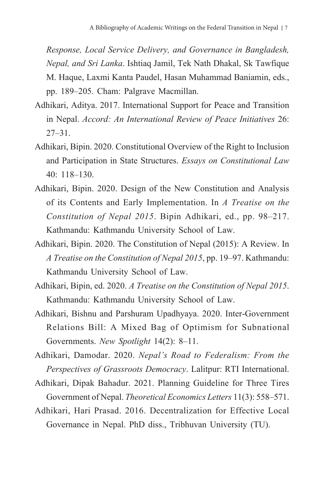*Response, Local Service Delivery, and Governance in Bangladesh, Nepal, and Sri Lanka*. Ishtiaq Jamil, Tek Nath Dhakal, Sk Tawfique M. Haque, Laxmi Kanta Paudel, Hasan Muhammad Baniamin, eds., pp. 189–205. Cham: Palgrave Macmillan.

- Adhikari, Aditya. 2017. International Support for Peace and Transition in Nepal. *Accord: An International Review of Peace Initiatives* 26: 27–31.
- Adhikari, Bipin. 2020. Constitutional Overview of the Right to Inclusion and Participation in State Structures. *Essays on Constitutional Law* 40: 118–130.
- Adhikari, Bipin. 2020. Design of the New Constitution and Analysis of its Contents and Early Implementation. In *A Treatise on the Constitution of Nepal 2015*. Bipin Adhikari, ed., pp. 98–217. Kathmandu: Kathmandu University School of Law.
- Adhikari, Bipin. 2020. The Constitution of Nepal (2015): A Review. In *A Treatise on the Constitution of Nepal 2015*, pp. 19–97. Kathmandu: Kathmandu University School of Law.
- Adhikari, Bipin, ed. 2020. *A Treatise on the Constitution of Nepal 2015*. Kathmandu: Kathmandu University School of Law.
- Adhikari, Bishnu and Parshuram Upadhyaya. 2020. Inter-Government Relations Bill: A Mixed Bag of Optimism for Subnational Governments. *New Spotlight* 14(2): 8–11.

Adhikari, Damodar. 2020. *Nepal's Road to Federalism: From the Perspectives of Grassroots Democracy*. Lalitpur: RTI International.

Adhikari, Dipak Bahadur. 2021. Planning Guideline for Three Tires Government of Nepal. *Theoretical Economics Letters* 11(3): 558–571.

Adhikari, Hari Prasad. 2016. Decentralization for Effective Local Governance in Nepal. PhD diss., Tribhuvan University (TU).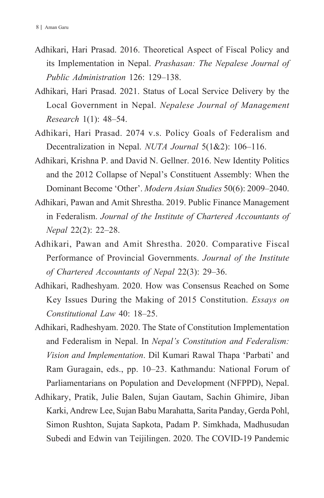- Adhikari, Hari Prasad. 2016. Theoretical Aspect of Fiscal Policy and its Implementation in Nepal. *Prashasan: The Nepalese Journal of Public Administration* 126: 129–138.
- Adhikari, Hari Prasad. 2021. Status of Local Service Delivery by the Local Government in Nepal. *Nepalese Journal of Management Research* 1(1): 48–54.
- Adhikari, Hari Prasad. 2074 v.s. Policy Goals of Federalism and Decentralization in Nepal. *NUTA Journal* 5(1&2): 106–116.
- Adhikari, Krishna P. and David N. Gellner. 2016. New Identity Politics and the 2012 Collapse of Nepal's Constituent Assembly: When the Dominant Become 'Other'. *Modern Asian Studies* 50(6): 2009–2040.
- Adhikari, Pawan and Amit Shrestha. 2019. Public Finance Management in Federalism. *Journal of the Institute of Chartered Accountants of Nepal* 22(2): 22–28.
- Adhikari, Pawan and Amit Shrestha. 2020. Comparative Fiscal Performance of Provincial Governments. *Journal of the Institute of Chartered Accountants of Nepal* 22(3): 29–36.
- Adhikari, Radheshyam. 2020. How was Consensus Reached on Some Key Issues During the Making of 2015 Constitution. *Essays on Constitutional Law* 40: 18–25.
- Adhikari, Radheshyam. 2020. The State of Constitution Implementation and Federalism in Nepal. In *Nepal's Constitution and Federalism: Vision and Implementation*. Dil Kumari Rawal Thapa 'Parbati' and Ram Guragain, eds., pp. 10–23. Kathmandu: National Forum of Parliamentarians on Population and Development (NFPPD), Nepal.
- Adhikary, Pratik, Julie Balen, Sujan Gautam, Sachin Ghimire, Jiban Karki, Andrew Lee, Sujan Babu Marahatta, Sarita Panday, Gerda Pohl, Simon Rushton, Sujata Sapkota, Padam P. Simkhada, Madhusudan Subedi and Edwin van Teijilingen. 2020. The COVID-19 Pandemic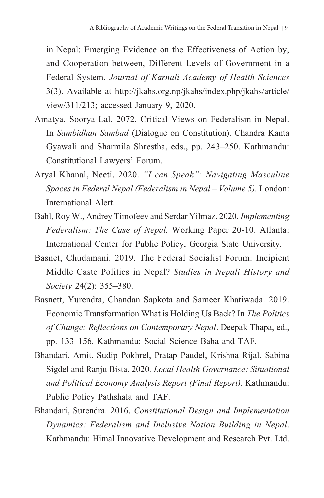in Nepal: Emerging Evidence on the Effectiveness of Action by, and Cooperation between, Different Levels of Government in a Federal System. *Journal of Karnali Academy of Health Sciences* 3(3). Available at http://jkahs.org.np/jkahs/index.php/jkahs/article/ view/311/213; accessed January 9, 2020.

- Amatya, Soorya Lal. 2072. Critical Views on Federalism in Nepal. In *Sambidhan Sambad* (Dialogue on Constitution). Chandra Kanta Gyawali and Sharmila Shrestha, eds., pp. 243–250. Kathmandu: Constitutional Lawyers' Forum.
- Aryal Khanal, Neeti. 2020. *"I can Speak": Navigating Masculine Spaces in Federal Nepal (Federalism in Nepal – Volume 5).* London: International Alert.
- Bahl, Roy W., Andrey Timofeev and Serdar Yilmaz. 2020. *Implementing Federalism: The Case of Nepal.* Working Paper 20-10. Atlanta: International Center for Public Policy, Georgia State University.
- Basnet, Chudamani. 2019. The Federal Socialist Forum: Incipient Middle Caste Politics in Nepal? *Studies in Nepali History and Society* 24(2): 355–380.
- Basnett, Yurendra, Chandan Sapkota and Sameer Khatiwada. 2019. Economic Transformation What is Holding Us Back? In *The Politics of Change: Reflections on Contemporary Nepal*. Deepak Thapa, ed., pp. 133–156. Kathmandu: Social Science Baha and TAF.
- Bhandari, Amit, Sudip Pokhrel, Pratap Paudel, Krishna Rijal, Sabina Sigdel and Ranju Bista. 2020*. Local Health Governance: Situational and Political Economy Analysis Report (Final Report)*. Kathmandu: Public Policy Pathshala and TAF.
- Bhandari, Surendra. 2016. *Constitutional Design and Implementation Dynamics: Federalism and Inclusive Nation Building in Nepal*. Kathmandu: Himal Innovative Development and Research Pvt. Ltd.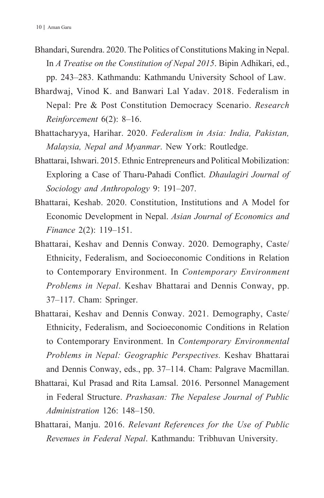- Bhandari, Surendra. 2020. The Politics of Constitutions Making in Nepal. In *A Treatise on the Constitution of Nepal 2015*. Bipin Adhikari, ed., pp. 243–283. Kathmandu: Kathmandu University School of Law.
- Bhardwaj, Vinod K. and Banwari Lal Yadav. 2018. Federalism in Nepal: Pre & Post Constitution Democracy Scenario. *Research Reinforcement* 6(2): 8–16.
- Bhattacharyya, Harihar. 2020. *Federalism in Asia: India, Pakistan, Malaysia, Nepal and Myanmar*. New York: Routledge.
- Bhattarai, Ishwari. 2015. Ethnic Entrepreneurs and Political Mobilization: Exploring a Case of Tharu-Pahadi Conflict. *Dhaulagiri Journal of Sociology and Anthropology* 9: 191–207.
- Bhattarai, Keshab. 2020. Constitution, Institutions and A Model for Economic Development in Nepal. *Asian Journal of Economics and Finance* 2(2): 119–151.
- Bhattarai, Keshav and Dennis Conway. 2020. Demography, Caste/ Ethnicity, Federalism, and Socioeconomic Conditions in Relation to Contemporary Environment. In *Contemporary Environment Problems in Nepal*. Keshav Bhattarai and Dennis Conway, pp. 37–117. Cham: Springer.
- Bhattarai, Keshav and Dennis Conway. 2021. Demography, Caste/ Ethnicity, Federalism, and Socioeconomic Conditions in Relation to Contemporary Environment. In *Contemporary Environmental Problems in Nepal: Geographic Perspectives.* Keshav Bhattarai and Dennis Conway, eds., pp. 37–114. Cham: Palgrave Macmillan.
- Bhattarai, Kul Prasad and Rita Lamsal. 2016. Personnel Management in Federal Structure. *Prashasan: The Nepalese Journal of Public Administration* 126: 148–150.
- Bhattarai, Manju. 2016. *Relevant References for the Use of Public Revenues in Federal Nepal*. Kathmandu: Tribhuvan University.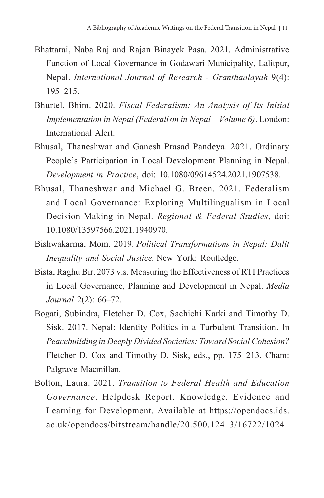- Bhattarai, Naba Raj and Rajan Binayek Pasa. 2021. Administrative Function of Local Governance in Godawari Municipality, Lalitpur, Nepal. *International Journal of Research - Granthaalayah* 9(4): 195–215.
- Bhurtel, Bhim. 2020. *Fiscal Federalism: An Analysis of Its Initial Implementation in Nepal (Federalism in Nepal – Volume 6)*. London: International Alert.
- Bhusal, Thaneshwar and Ganesh Prasad Pandeya. 2021. Ordinary People's Participation in Local Development Planning in Nepal. *Development in Practice*, doi: 10.1080/09614524.2021.1907538.
- Bhusal, Thaneshwar and Michael G. Breen. 2021. Federalism and Local Governance: Exploring Multilingualism in Local Decision-Making in Nepal. *Regional & Federal Studies*, doi: 10.1080/13597566.2021.1940970.
- Bishwakarma, Mom. 2019. *Political Transformations in Nepal: Dalit Inequality and Social Justice.* New York: Routledge.
- Bista, Raghu Bir. 2073 v.s. Measuring the Effectiveness of RTI Practices in Local Governance, Planning and Development in Nepal. *Media Journal* 2(2): 66–72.
- Bogati, Subindra, Fletcher D. Cox, Sachichi Karki and Timothy D. Sisk. 2017. Nepal: Identity Politics in a Turbulent Transition. In *Peacebuilding in Deeply Divided Societies: Toward Social Cohesion?* Fletcher D. Cox and Timothy D. Sisk, eds., pp. 175–213. Cham: Palgrave Macmillan.
- Bolton, Laura. 2021. *Transition to Federal Health and Education Governance*. Helpdesk Report. Knowledge, Evidence and Learning for Development. Available at https://opendocs.ids. ac.uk/opendocs/bitstream/handle/20.500.12413/16722/1024\_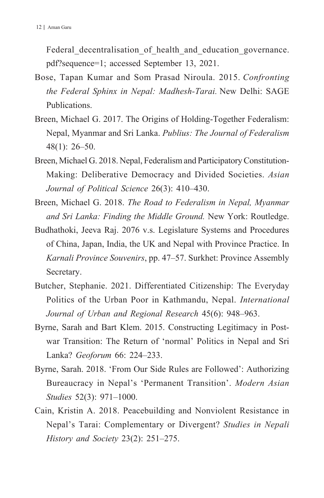Federal decentralisation of health and education governance. pdf?sequence=1; accessed September 13, 2021.

- Bose, Tapan Kumar and Som Prasad Niroula. 2015. *Confronting the Federal Sphinx in Nepal: Madhesh-Tarai.* New Delhi: SAGE Publications.
- Breen, Michael G. 2017. The Origins of Holding-Together Federalism: Nepal, Myanmar and Sri Lanka. *Publius: The Journal of Federalism* 48(1): 26–50.
- Breen, Michael G. 2018. Nepal, Federalism and Participatory Constitution-Making: Deliberative Democracy and Divided Societies. *Asian Journal of Political Science* 26(3): 410–430.
- Breen, Michael G. 2018. *The Road to Federalism in Nepal, Myanmar and Sri Lanka: Finding the Middle Ground.* New York: Routledge.
- Budhathoki, Jeeva Raj. 2076 v.s. Legislature Systems and Procedures of China, Japan, India, the UK and Nepal with Province Practice. In *Karnali Province Souvenirs*, pp. 47–57. Surkhet: Province Assembly Secretary.
- Butcher, Stephanie. 2021. Differentiated Citizenship: The Everyday Politics of the Urban Poor in Kathmandu, Nepal. *International Journal of Urban and Regional Research* 45(6): 948–963.
- Byrne, Sarah and Bart Klem. 2015. Constructing Legitimacy in Postwar Transition: The Return of 'normal' Politics in Nepal and Sri Lanka? *Geoforum* 66: 224–233.
- Byrne, Sarah. 2018. 'From Our Side Rules are Followed': Authorizing Bureaucracy in Nepal's 'Permanent Transition'. *Modern Asian Studies* 52(3): 971–1000.
- Cain, Kristin A. 2018. Peacebuilding and Nonviolent Resistance in Nepal's Tarai: Complementary or Divergent? *Studies in Nepali History and Society* 23(2): 251–275.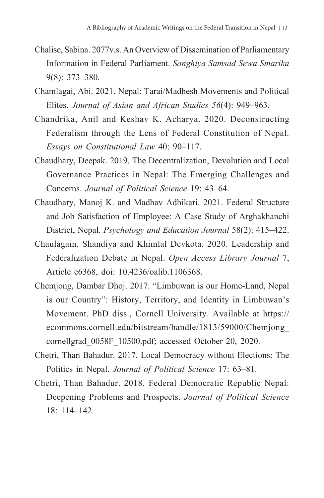- Chalise, Sabina. 2077v.s. An Overview of Dissemination of Parliamentary Information in Federal Parliament. *Sanghiya Samsad Sewa Smarika* 9(8): 373–380.
- Chamlagai, Abi. 2021. Nepal: Tarai/Madhesh Movements and Political Elites. *Journal of Asian and African Studies 56*(4): 949–963.
- Chandrika, Anil and Keshav K. Acharya. 2020. Deconstructing Federalism through the Lens of Federal Constitution of Nepal. *Essays on Constitutional Law* 40: 90–117.
- Chaudhary, Deepak. 2019. The Decentralization, Devolution and Local Governance Practices in Nepal: The Emerging Challenges and Concerns. *Journal of Political Science* 19: 43–64.
- Chaudhary, Manoj K. and Madhav Adhikari. 2021. Federal Structure and Job Satisfaction of Employee: A Case Study of Arghakhanchi District, Nepal. *Psychology and Education Journal* 58(2): 415–422.
- Chaulagain, Shandiya and Khimlal Devkota. 2020. Leadership and Federalization Debate in Nepal. *Open Access Library Journal* 7, Article e6368, doi: 10.4236/oalib.1106368.
- Chemjong, Dambar Dhoj. 2017. "Limbuwan is our Home-Land, Nepal is our Country": History, Territory, and Identity in Limbuwan's Movement. PhD diss., Cornell University. Available at https:// ecommons.cornell.edu/bitstream/handle/1813/59000/Chemjong\_ cornellgrad\_0058F\_10500.pdf; accessed October 20, 2020.
- Chetri, Than Bahadur. 2017. Local Democracy without Elections: The Politics in Nepal. *Journal of Political Science* 17: 63–81.
- Chetri, Than Bahadur. 2018. Federal Democratic Republic Nepal: Deepening Problems and Prospects. *Journal of Political Science*  $18: 114-142$ .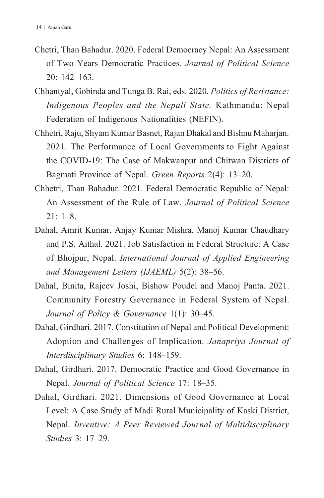- Chetri, Than Bahadur. 2020. Federal Democracy Nepal: An Assessment of Two Years Democratic Practices. *Journal of Political Science* 20: 142–163.
- Chhantyal, Gobinda and Tunga B. Rai, eds. 2020. *Politics of Resistance: Indigenous Peoples and the Nepali State.* Kathmandu: Nepal Federation of Indigenous Nationalities (NEFIN).
- Chhetri, Raju, Shyam Kumar Basnet, Rajan Dhakal and Bishnu Maharjan. 2021. The Performance of Local Governments to Fight Against the COVID-19: The Case of Makwanpur and Chitwan Districts of Bagmati Province of Nepal. *Green Reports* 2(4): 13–20.
- Chhetri, Than Bahadur. 2021. Federal Democratic Republic of Nepal: An Assessment of the Rule of Law. *Journal of Political Science*  $21: 1-8$
- Dahal, Amrit Kumar, Anjay Kumar Mishra, Manoj Kumar Chaudhary and P.S. Aithal. 2021. Job Satisfaction in Federal Structure: A Case of Bhojpur, Nepal. *International Journal of Applied Engineering and Management Letters (IJAEML)* 5(2): 38–56.
- Dahal, Binita, Rajeev Joshi, Bishow Poudel and Manoj Panta. 2021. Community Forestry Governance in Federal System of Nepal. *Journal of Policy & Governance* 1(1): 30–45.
- Dahal, Girdhari. 2017. Constitution of Nepal and Political Development: Adoption and Challenges of Implication. *Janapriya Journal of Interdisciplinary Studies* 6: 148–159.
- Dahal, Girdhari. 2017. Democratic Practice and Good Governance in Nepal. *Journal of Political Science* 17: 18–35.
- Dahal, Girdhari. 2021. Dimensions of Good Governance at Local Level: A Case Study of Madi Rural Municipality of Kaski District, Nepal. *Inventive: A Peer Reviewed Journal of Multidisciplinary Studies* 3: 17–29.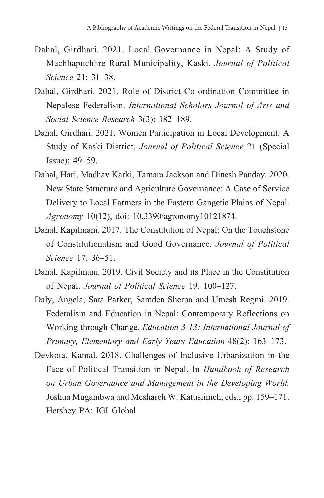- Dahal, Girdhari. 2021. Local Governance in Nepal: A Study of Machhapuchhre Rural Municipality, Kaski. *Journal of Political Science* 21: 31–38.
- Dahal, Girdhari. 2021. Role of District Co-ordination Committee in Nepalese Federalism. *International Scholars Journal of Arts and Social Science Research* 3(3): 182–189.
- Dahal, Girdhari. 2021. Women Participation in Local Development: A Study of Kaski District. *Journal of Political Science* 21 (Special Issue): 49–59.
- Dahal, Hari, Madhav Karki, Tamara Jackson and Dinesh Panday. 2020. New State Structure and Agriculture Governance: A Case of Service Delivery to Local Farmers in the Eastern Gangetic Plains of Nepal. *Agronomy* 10(12), doi: 10.3390/agronomy10121874.
- Dahal, Kapilmani. 2017. The Constitution of Nepal: On the Touchstone of Constitutionalism and Good Governance. *Journal of Political Science* 17: 36–51.
- Dahal, Kapilmani. 2019. Civil Society and its Place in the Constitution of Nepal. *Journal of Political Science* 19: 100–127.
- Daly, Angela, Sara Parker, Samden Sherpa and Umesh Regmi. 2019. Federalism and Education in Nepal: Contemporary Reflections on Working through Change. *Education 3-13: International Journal of Primary, Elementary and Early Years Education* 48(2): 163–173.
- Devkota, Kamal. 2018. Challenges of Inclusive Urbanization in the Face of Political Transition in Nepal. In *Handbook of Research on Urban Governance and Management in the Developing World.* Joshua Mugambwa and Mesharch W. Katusiimeh, eds., pp. 159–171. Hershey PA: IGI Global.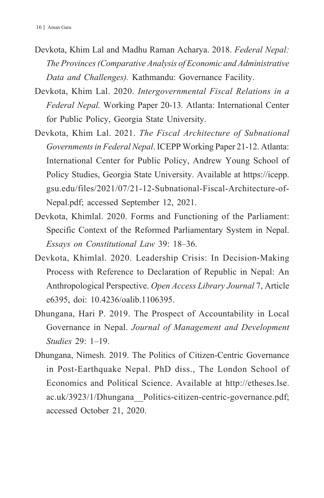- Devkota, Khim Lal and Madhu Raman Acharya. 2018. *Federal Nepal: The Provinces (Comparative Analysis of Economic and Administrative Data and Challenges).* Kathmandu: Governance Facility.
- Devkota, Khim Lal. 2020. *Intergovernmental Fiscal Relations in a Federal Nepal.* Working Paper 20-13*.* Atlanta: International Center for Public Policy, Georgia State University.
- Devkota, Khim Lal. 2021. *The Fiscal Architecture of Subnational Governments in Federal Nepal*. ICEPP Working Paper 21-12. Atlanta: International Center for Public Policy, Andrew Young School of Policy Studies, Georgia State University. Available at https://icepp. gsu.edu/files/2021/07/21-12-Subnational-Fiscal-Architecture-of-Nepal.pdf; accessed September 12, 2021.
- Devkota, Khimlal. 2020. Forms and Functioning of the Parliament: Specific Context of the Reformed Parliamentary System in Nepal. *Essays on Constitutional Law* 39: 18–36.
- Devkota, Khimlal. 2020. Leadership Crisis: In Decision-Making Process with Reference to Declaration of Republic in Nepal: An Anthropological Perspective. *Open Access Library Journal* 7, Article e6395, doi: 10.4236/oalib.1106395.
- Dhungana, Hari P. 2019. The Prospect of Accountability in Local Governance in Nepal. *Journal of Management and Development Studies* 29: 1–19.
- Dhungana, Nimesh. 2019. The Politics of Citizen-Centric Governance in Post-Earthquake Nepal. PhD diss., The London School of Economics and Political Science. Available at http://etheses.lse. ac.uk/3923/1/Dhungana\_\_Politics-citizen-centric-governance.pdf; accessed October 21, 2020.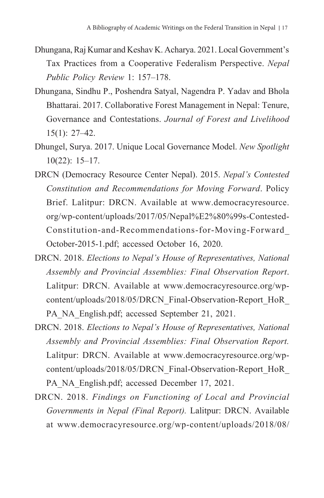- Dhungana, Raj Kumar and Keshav K. Acharya. 2021. Local Government's Tax Practices from a Cooperative Federalism Perspective. *Nepal Public Policy Review* 1: 157–178.
- Dhungana, Sindhu P., Poshendra Satyal, Nagendra P. Yadav and Bhola Bhattarai. 2017. Collaborative Forest Management in Nepal: Tenure, Governance and Contestations. *Journal of Forest and Livelihood* 15(1): 27–42.
- Dhungel, Surya. 2017. Unique Local Governance Model. *New Spotlight* 10(22): 15–17.
- DRCN (Democracy Resource Center Nepal). 2015. *Nepal's Contested Constitution and Recommendations for Moving Forward*. Policy Brief. Lalitpur: DRCN. Available at www.democracyresource. org/wp-content/uploads/2017/05/Nepal%E2%80%99s-Contested-Constitution-and-Recommendations-for-Moving-Forward\_ October-2015-1.pdf; accessed October 16, 2020.
- DRCN. 2018. *Elections to Nepal's House of Representatives, National Assembly and Provincial Assemblies: Final Observation Report*. Lalitpur: DRCN. Available at www.democracyresource.org/wpcontent/uploads/2018/05/DRCN\_Final-Observation-Report\_HoR\_ PA\_NA\_English.pdf; accessed September 21, 2021.
- DRCN. 2018. *Elections to Nepal's House of Representatives, National Assembly and Provincial Assemblies: Final Observation Report.*  Lalitpur: DRCN. Available at www.democracyresource.org/wpcontent/uploads/2018/05/DRCN\_Final-Observation-Report\_HoR\_ PA\_NA\_English.pdf; accessed December 17, 2021.
- DRCN. 2018. *Findings on Functioning of Local and Provincial Governments in Nepal (Final Report).* Lalitpur: DRCN. Available at www.democracyresource.org/wp-content/uploads/2018/08/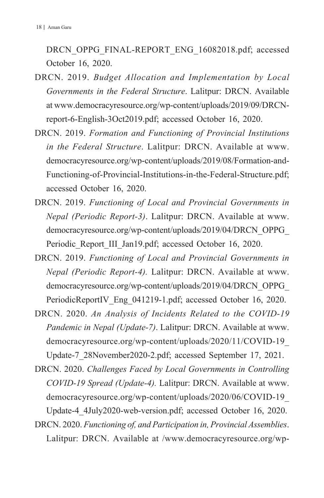DRCN\_OPPG\_FINAL-REPORT\_ENG\_16082018.pdf; accessed October 16, 2020.

- DRCN. 2019. *Budget Allocation and Implementation by Local Governments in the Federal Structure*. Lalitpur: DRCN. Available at www.democracyresource.org/wp-content/uploads/2019/09/DRCNreport-6-English-3Oct2019.pdf; accessed October 16, 2020.
- DRCN. 2019. *Formation and Functioning of Provincial Institutions in the Federal Structure*. Lalitpur: DRCN. Available at www. democracyresource.org/wp-content/uploads/2019/08/Formation-and-Functioning-of-Provincial-Institutions-in-the-Federal-Structure.pdf; accessed October 16, 2020.
- DRCN. 2019. *Functioning of Local and Provincial Governments in Nepal (Periodic Report-3)*. Lalitpur: DRCN. Available at www. democracyresource.org/wp-content/uploads/2019/04/DRCN\_OPPG\_ Periodic Report III Jan19.pdf; accessed October 16, 2020.
- DRCN. 2019. *Functioning of Local and Provincial Governments in Nepal (Periodic Report-4).* Lalitpur: DRCN. Available at www. democracyresource.org/wp-content/uploads/2019/04/DRCN\_OPPG\_ PeriodicReportIV\_Eng\_041219-1.pdf; accessed October 16, 2020.
- DRCN. 2020. *An Analysis of Incidents Related to the COVID-19 Pandemic in Nepal (Update-7)*. Lalitpur: DRCN. Available at www. democracyresource.org/wp-content/uploads/2020/11/COVID-19\_ Update-7\_28November2020-2.pdf; accessed September 17, 2021.
- DRCN. 2020. *Challenges Faced by Local Governments in Controlling COVID-19 Spread (Update-4).* Lalitpur: DRCN. Available at www. democracyresource.org/wp-content/uploads/2020/06/COVID-19\_ Update-4\_4July2020-web-version.pdf; accessed October 16, 2020.
- DRCN. 2020. *Functioning of, and Participation in, Provincial Assemblies*. Lalitpur: DRCN. Available at /www.democracyresource.org/wp-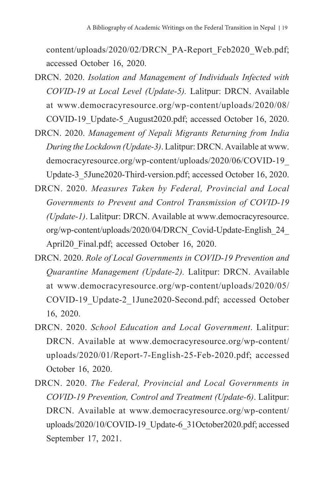content/uploads/2020/02/DRCN\_PA-Report\_Feb2020\_Web.pdf; accessed October 16, 2020.

- DRCN. 2020. *Isolation and Management of Individuals Infected with COVID-19 at Local Level (Update-5).* Lalitpur: DRCN. Available at www.democracyresource.org/wp-content/uploads/2020/08/ COVID-19\_Update-5\_August2020.pdf; accessed October 16, 2020.
- DRCN. 2020. *Management of Nepali Migrants Returning from India During the Lockdown (Update-3)*. Lalitpur: DRCN. Available at www. democracyresource.org/wp-content/uploads/2020/06/COVID-19\_ Update-3\_5June2020-Third-version.pdf; accessed October 16, 2020.
- DRCN. 2020. *Measures Taken by Federal, Provincial and Local Governments to Prevent and Control Transmission of COVID-19 (Update-1)*. Lalitpur: DRCN. Available at www.democracyresource. org/wp-content/uploads/2020/04/DRCN\_Covid-Update-English\_24\_ April20 Final.pdf; accessed October 16, 2020.
- DRCN. 2020. *Role of Local Governments in COVID-19 Prevention and Quarantine Management (Update-2).* Lalitpur: DRCN. Available at www.democracyresource.org/wp-content/uploads/2020/05/ COVID-19\_Update-2\_1June2020-Second.pdf; accessed October 16, 2020.
- DRCN. 2020. *School Education and Local Government*. Lalitpur: DRCN. Available at www.democracyresource.org/wp-content/ uploads/2020/01/Report-7-English-25-Feb-2020.pdf; accessed October 16, 2020.
- DRCN. 2020. *The Federal, Provincial and Local Governments in COVID-19 Prevention, Control and Treatment (Update-6)*. Lalitpur: DRCN. Available at www.democracyresource.org/wp-content/ uploads/2020/10/COVID-19\_Update-6\_31October2020.pdf; accessed September 17, 2021.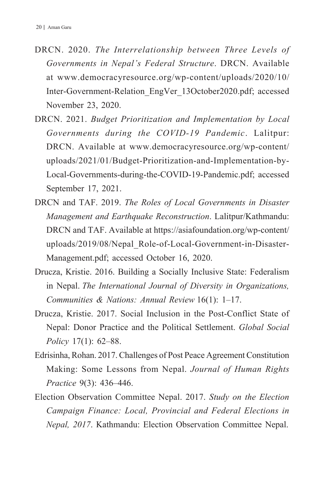- DRCN. 2020. *The Interrelationship between Three Levels of Governments in Nepal's Federal Structure*. DRCN. Available at www.democracyresource.org/wp-content/uploads/2020/10/ Inter-Government-Relation\_EngVer\_13October2020.pdf; accessed November 23, 2020.
- DRCN. 2021. *Budget Prioritization and Implementation by Local Governments during the COVID-19 Pandemic*. Lalitpur: DRCN. Available at www.democracyresource.org/wp-content/ uploads/2021/01/Budget-Prioritization-and-Implementation-by-Local-Governments-during-the-COVID-19-Pandemic.pdf; accessed September 17, 2021.
- DRCN and TAF. 2019. *The Roles of Local Governments in Disaster Management and Earthquake Reconstruction*. Lalitpur/Kathmandu: DRCN and TAF. Available at https://asiafoundation.org/wp-content/ uploads/2019/08/Nepal\_Role-of-Local-Government-in-Disaster-Management.pdf; accessed October 16, 2020.
- Drucza, Kristie. 2016. Building a Socially Inclusive State: Federalism in Nepal. *The International Journal of Diversity in Organizations, Communities & Nations: Annual Review* 16(1): 1–17.
- Drucza, Kristie. 2017. Social Inclusion in the Post-Conflict State of Nepal: Donor Practice and the Political Settlement. *Global Social Policy* 17(1): 62–88.
- Edrisinha, Rohan. 2017. Challenges of Post Peace Agreement Constitution Making: Some Lessons from Nepal. *Journal of Human Rights Practice* 9(3): 436–446.
- Election Observation Committee Nepal. 2017. *Study on the Election Campaign Finance: Local, Provincial and Federal Elections in Nepal, 2017*. Kathmandu: Election Observation Committee Nepal.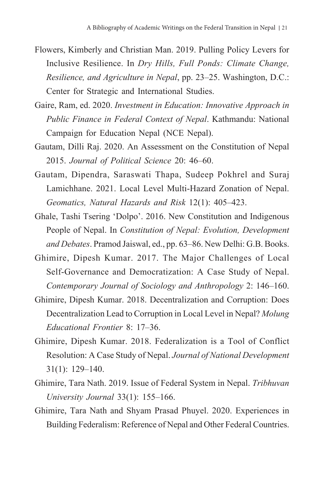- Flowers, Kimberly and Christian Man. 2019. Pulling Policy Levers for Inclusive Resilience. In *Dry Hills, Full Ponds: Climate Change, Resilience, and Agriculture in Nepal*, pp. 23–25. Washington, D.C.: Center for Strategic and International Studies.
- Gaire, Ram, ed. 2020. *Investment in Education: Innovative Approach in Public Finance in Federal Context of Nepal*. Kathmandu: National Campaign for Education Nepal (NCE Nepal).
- Gautam, Dilli Raj. 2020. An Assessment on the Constitution of Nepal 2015. *Journal of Political Science* 20: 46–60.
- Gautam, Dipendra, Saraswati Thapa, Sudeep Pokhrel and Suraj Lamichhane. 2021. Local Level Multi-Hazard Zonation of Nepal. *Geomatics, Natural Hazards and Risk* 12(1): 405–423.
- Ghale, Tashi Tsering 'Dolpo'. 2016. New Constitution and Indigenous People of Nepal. In *Constitution of Nepal: Evolution, Development and Debates*. Pramod Jaiswal, ed., pp. 63–86. New Delhi: G.B. Books.
- Ghimire, Dipesh Kumar. 2017. The Major Challenges of Local Self-Governance and Democratization: A Case Study of Nepal. *Contemporary Journal of Sociology and Anthropology* 2: 146–160.
- Ghimire, Dipesh Kumar. 2018. Decentralization and Corruption: Does Decentralization Lead to Corruption in Local Level in Nepal? *Molung Educational Frontier* 8: 17–36.
- Ghimire, Dipesh Kumar. 2018. Federalization is a Tool of Conflict Resolution: A Case Study of Nepal. *Journal of National Development* 31(1): 129–140.
- Ghimire, Tara Nath. 2019. Issue of Federal System in Nepal. *Tribhuvan University Journal* 33(1): 155–166.
- Ghimire, Tara Nath and Shyam Prasad Phuyel. 2020. Experiences in Building Federalism: Reference of Nepal and Other Federal Countries.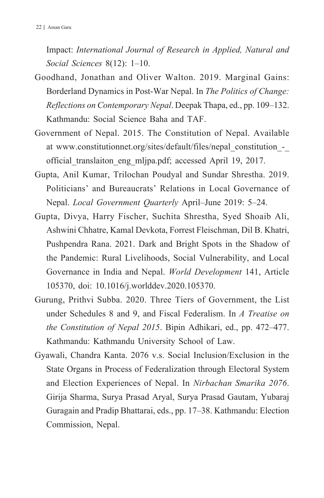Impact: *International Journal of Research in Applied, Natural and Social Sciences* 8(12): 1–10.

- Goodhand, Jonathan and Oliver Walton. 2019. Marginal Gains: Borderland Dynamics in Post-War Nepal. In *The Politics of Change: Reflections on Contemporary Nepal*. Deepak Thapa, ed., pp. 109–132. Kathmandu: Social Science Baha and TAF.
- Government of Nepal. 2015. The Constitution of Nepal. Available at www.constitutionnet.org/sites/default/files/nepal\_constitution\_-\_ official\_translaiton\_eng\_mljpa.pdf; accessed April 19, 2017.
- Gupta, Anil Kumar, Trilochan Poudyal and Sundar Shrestha. 2019. Politicians' and Bureaucrats' Relations in Local Governance of Nepal. *Local Government Quarterly* April–June 2019: 5–24.
- Gupta, Divya, Harry Fischer, Suchita Shrestha, Syed Shoaib Ali, Ashwini Chhatre, Kamal Devkota, Forrest Fleischman, Dil B. Khatri, Pushpendra Rana. 2021. Dark and Bright Spots in the Shadow of the Pandemic: Rural Livelihoods, Social Vulnerability, and Local Governance in India and Nepal. *World Development* 141, Article 105370, doi: 10.1016/j.worlddev.2020.105370.
- Gurung, Prithvi Subba. 2020. Three Tiers of Government, the List under Schedules 8 and 9, and Fiscal Federalism. In *A Treatise on the Constitution of Nepal 2015*. Bipin Adhikari, ed., pp. 472–477. Kathmandu: Kathmandu University School of Law.
- Gyawali, Chandra Kanta. 2076 v.s. Social Inclusion/Exclusion in the State Organs in Process of Federalization through Electoral System and Election Experiences of Nepal. In *Nirbachan Smarika 2076*. Girija Sharma, Surya Prasad Aryal, Surya Prasad Gautam, Yubaraj Guragain and Pradip Bhattarai, eds., pp. 17–38. Kathmandu: Election Commission, Nepal.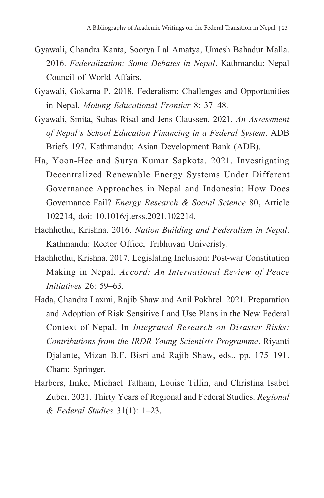- Gyawali, Chandra Kanta, Soorya Lal Amatya, Umesh Bahadur Malla. 2016. *Federalization: Some Debates in Nepal*. Kathmandu: Nepal Council of World Affairs.
- Gyawali, Gokarna P. 2018. Federalism: Challenges and Opportunities in Nepal. *Molung Educational Frontier* 8: 37–48.
- Gyawali, Smita, Subas Risal and Jens Claussen. 2021. *An Assessment of Nepal's School Education Financing in a Federal System*. ADB Briefs 197. Kathmandu: Asian Development Bank (ADB).
- Ha, Yoon-Hee and Surya Kumar Sapkota. 2021. Investigating Decentralized Renewable Energy Systems Under Different Governance Approaches in Nepal and Indonesia: How Does Governance Fail? *Energy Research & Social Science* 80, Article 102214, doi: 10.1016/j.erss.2021.102214.
- Hachhethu, Krishna. 2016. *Nation Building and Federalism in Nepal*. Kathmandu: Rector Office, Tribhuvan Univeristy.
- Hachhethu, Krishna. 2017. Legislating Inclusion: Post-war Constitution Making in Nepal. *Accord: An International Review of Peace Initiatives* 26: 59–63.
- Hada, Chandra Laxmi, Rajib Shaw and Anil Pokhrel. 2021. Preparation and Adoption of Risk Sensitive Land Use Plans in the New Federal Context of Nepal. In *Integrated Research on Disaster Risks: Contributions from the IRDR Young Scientists Programme*. Riyanti Djalante, Mizan B.F. Bisri and Rajib Shaw, eds., pp. 175–191. Cham: Springer.
- Harbers, Imke, Michael Tatham, Louise Tillin, and Christina Isabel Zuber. 2021. Thirty Years of Regional and Federal Studies. *Regional & Federal Studies* 31(1): 1–23.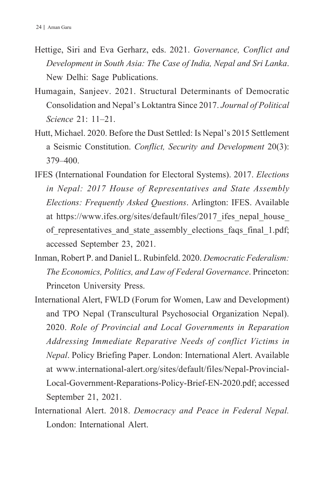- Hettige, Siri and Eva Gerharz, eds. 2021. *Governance, Conflict and Development in South Asia: The Case of India, Nepal and Sri Lanka*. New Delhi: Sage Publications.
- Humagain, Sanjeev. 2021. Structural Determinants of Democratic Consolidation and Nepal's Loktantra Since 2017. *Journal of Political Science* 21: 11–21.
- Hutt, Michael. 2020. Before the Dust Settled: Is Nepal's 2015 Settlement a Seismic Constitution. *Conflict, Security and Development* 20(3): 379–400.
- IFES (International Foundation for Electoral Systems). 2017. *Elections in Nepal: 2017 House of Representatives and State Assembly Elections: Frequently Asked Questions*. Arlington: IFES. Available at https://www.ifes.org/sites/default/files/2017 ifes nepal house of representatives and state assembly elections faqs final 1.pdf; accessed September 23, 2021.
- Inman, Robert P. and Daniel L. Rubinfeld. 2020. *Democratic Federalism: The Economics, Politics, and Law of Federal Governance*. Princeton: Princeton University Press.
- International Alert, FWLD (Forum for Women, Law and Development) and TPO Nepal (Transcultural Psychosocial Organization Nepal). 2020. *Role of Provincial and Local Governments in Reparation Addressing Immediate Reparative Needs of conflict Victims in Nepal*. Policy Briefing Paper. London: International Alert. Available at www.international-alert.org/sites/default/files/Nepal-Provincial-Local-Government-Reparations-Policy-Brief-EN-2020.pdf; accessed September 21, 2021.
- International Alert. 2018. *Democracy and Peace in Federal Nepal.*  London: International Alert.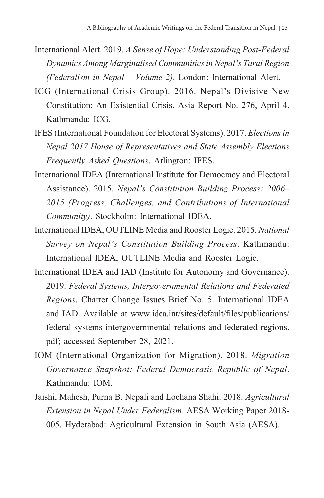- International Alert. 2019. *A Sense of Hope: Understanding Post-Federal Dynamics Among Marginalised Communities in Nepal's Tarai Region (Federalism in Nepal – Volume 2)*. London: International Alert.
- ICG (International Crisis Group). 2016. Nepal's Divisive New Constitution: An Existential Crisis. Asia Report No. 276, April 4. Kathmandu: ICG.
- IFES (International Foundation for Electoral Systems). 2017. *Elections in Nepal 2017 House of Representatives and State Assembly Elections Frequently Asked Questions*. Arlington: IFES.
- International IDEA (International Institute for Democracy and Electoral Assistance). 2015. *Nepal's Constitution Building Process: 2006– 2015 (Progress, Challenges, and Contributions of International Community)*. Stockholm: International IDEA.
- International IDEA, OUTLINE Media and Rooster Logic. 2015. *National Survey on Nepal's Constitution Building Process*. Kathmandu: International IDEA, OUTLINE Media and Rooster Logic.
- International IDEA and IAD (Institute for Autonomy and Governance). 2019. *Federal Systems, Intergovernmental Relations and Federated Regions*. Charter Change Issues Brief No. 5. International IDEA and IAD. Available at www.idea.int/sites/default/files/publications/ federal-systems-intergovernmental-relations-and-federated-regions. pdf; accessed September 28, 2021.
- IOM (International Organization for Migration). 2018. *Migration Governance Snapshot: Federal Democratic Republic of Nepal*. Kathmandu: IOM.
- Jaishi, Mahesh, Purna B. Nepali and Lochana Shahi. 2018. *Agricultural Extension in Nepal Under Federalism*. AESA Working Paper 2018- 005. Hyderabad: Agricultural Extension in South Asia (AESA).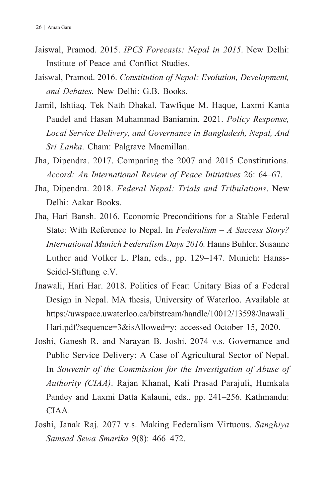- Jaiswal, Pramod. 2015. *IPCS Forecasts: Nepal in 2015*. New Delhi: Institute of Peace and Conflict Studies.
- Jaiswal, Pramod. 2016. *Constitution of Nepal: Evolution, Development, and Debates.* New Delhi: G.B. Books.
- Jamil, Ishtiaq, Tek Nath Dhakal, Tawfique M. Haque, Laxmi Kanta Paudel and Hasan Muhammad Baniamin. 2021. *Policy Response, Local Service Delivery, and Governance in Bangladesh, Nepal, And Sri Lanka*. Cham: Palgrave Macmillan.
- Jha, Dipendra. 2017. Comparing the 2007 and 2015 Constitutions. *Accord: An International Review of Peace Initiatives* 26: 64–67.
- Jha, Dipendra. 2018. *Federal Nepal: Trials and Tribulations*. New Delhi: Aakar Books.
- Jha, Hari Bansh. 2016. Economic Preconditions for a Stable Federal State: With Reference to Nepal. In *Federalism – A Success Story? International Munich Federalism Days 2016.* Hanns Buhler, Susanne Luther and Volker L. Plan, eds., pp. 129–147. Munich: Hanss-Seidel-Stiftung e.V.
- Jnawali, Hari Har. 2018. Politics of Fear: Unitary Bias of a Federal Design in Nepal. MA thesis, University of Waterloo. Available at https://uwspace.uwaterloo.ca/bitstream/handle/10012/13598/Jnawali\_ Hari.pdf?sequence=3&isAllowed=y; accessed October 15, 2020.
- Joshi, Ganesh R. and Narayan B. Joshi. 2074 v.s. Governance and Public Service Delivery: A Case of Agricultural Sector of Nepal. In *Souvenir of the Commission for the Investigation of Abuse of Authority (CIAA)*. Rajan Khanal, Kali Prasad Parajuli, Humkala Pandey and Laxmi Datta Kalauni, eds., pp. 241–256. Kathmandu: CIAA.
- Joshi, Janak Raj. 2077 v.s. Making Federalism Virtuous. *Sanghiya Samsad Sewa Smarika* 9(8): 466–472.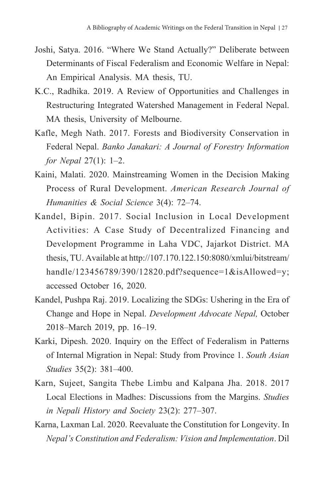- Joshi, Satya. 2016. "Where We Stand Actually?" Deliberate between Determinants of Fiscal Federalism and Economic Welfare in Nepal: An Empirical Analysis. MA thesis, TU.
- K.C., Radhika. 2019. A Review of Opportunities and Challenges in Restructuring Integrated Watershed Management in Federal Nepal. MA thesis, University of Melbourne.
- Kafle, Megh Nath. 2017. Forests and Biodiversity Conservation in Federal Nepal. *Banko Janakari: A Journal of Forestry Information for Nepal* 27(1): 1–2.
- Kaini, Malati. 2020. Mainstreaming Women in the Decision Making Process of Rural Development. *American Research Journal of Humanities & Social Science* 3(4): 72–74.
- Kandel, Bipin. 2017. Social Inclusion in Local Development Activities: A Case Study of Decentralized Financing and Development Programme in Laha VDC, Jajarkot District. MA thesis, TU. Available at http://107.170.122.150:8080/xmlui/bitstream/ handle/123456789/390/12820.pdf?sequence=1&isAllowed=y; accessed October 16, 2020.
- Kandel, Pushpa Raj. 2019. Localizing the SDGs: Ushering in the Era of Change and Hope in Nepal. *Development Advocate Nepal,* October 2018–March 2019, pp. 16–19.
- Karki, Dipesh. 2020. Inquiry on the Effect of Federalism in Patterns of Internal Migration in Nepal: Study from Province 1. *South Asian Studies* 35(2): 381–400.
- Karn, Sujeet, Sangita Thebe Limbu and Kalpana Jha. 2018. 2017 Local Elections in Madhes: Discussions from the Margins. *Studies in Nepali History and Society* 23(2): 277–307.
- Karna, Laxman Lal. 2020. Reevaluate the Constitution for Longevity. In *Nepal's Constitution and Federalism: Vision and Implementation*. Dil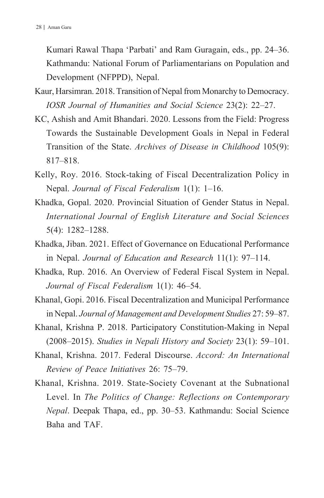Kumari Rawal Thapa 'Parbati' and Ram Guragain, eds., pp. 24–36. Kathmandu: National Forum of Parliamentarians on Population and Development (NFPPD), Nepal.

- Kaur, Harsimran. 2018. Transition of Nepal from Monarchy to Democracy. *IOSR Journal of Humanities and Social Science* 23(2): 22–27.
- KC, Ashish and Amit Bhandari. 2020. Lessons from the Field: Progress Towards the Sustainable Development Goals in Nepal in Federal Transition of the State. *Archives of Disease in Childhood* 105(9): 817–818.
- Kelly, Roy. 2016. Stock-taking of Fiscal Decentralization Policy in Nepal. *Journal of Fiscal Federalism* 1(1): 1–16.
- Khadka, Gopal. 2020. Provincial Situation of Gender Status in Nepal. *International Journal of English Literature and Social Sciences*  5(4): 1282–1288.
- Khadka, Jiban. 2021. Effect of Governance on Educational Performance in Nepal. *Journal of Education and Research* 11(1): 97–114.
- Khadka, Rup. 2016. An Overview of Federal Fiscal System in Nepal. *Journal of Fiscal Federalism* 1(1): 46–54.
- Khanal, Gopi. 2016. Fiscal Decentralization and Municipal Performance in Nepal. *Journal of Management and Development Studies* 27: 59–87.
- Khanal, Krishna P. 2018. Participatory Constitution-Making in Nepal (2008–2015). *Studies in Nepali History and Society* 23(1): 59–101.
- Khanal, Krishna. 2017. Federal Discourse. *Accord: An International Review of Peace Initiatives* 26: 75–79.
- Khanal, Krishna. 2019. State-Society Covenant at the Subnational Level. In *The Politics of Change: Reflections on Contemporary Nepal*. Deepak Thapa, ed., pp. 30–53. Kathmandu: Social Science Baha and TAF.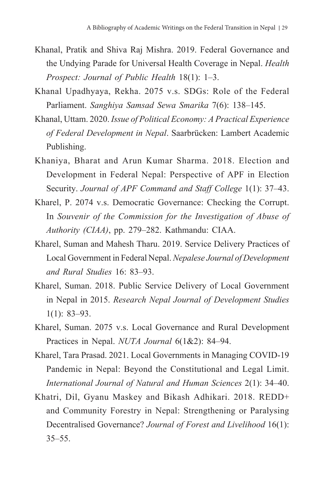- Khanal, Pratik and Shiva Raj Mishra. 2019. Federal Governance and the Undying Parade for Universal Health Coverage in Nepal. *Health Prospect: Journal of Public Health* 18(1): 1–3.
- Khanal Upadhyaya, Rekha. 2075 v.s. SDGs: Role of the Federal Parliament. *Sanghiya Samsad Sewa Smarika* 7(6): 138–145.
- Khanal, Uttam. 2020. *Issue of Political Economy: A Practical Experience of Federal Development in Nepal*. Saarbrücken: Lambert Academic Publishing.
- Khaniya, Bharat and Arun Kumar Sharma. 2018. Election and Development in Federal Nepal: Perspective of APF in Election Security. *Journal of APF Command and Staff College* 1(1): 37–43.
- Kharel, P. 2074 v.s. Democratic Governance: Checking the Corrupt. In *Souvenir of the Commission for the Investigation of Abuse of Authority (CIAA)*, pp. 279–282. Kathmandu: CIAA.
- Kharel, Suman and Mahesh Tharu. 2019. Service Delivery Practices of Local Government in Federal Nepal. *Nepalese Journal of Development and Rural Studies* 16: 83–93.
- Kharel, Suman. 2018. Public Service Delivery of Local Government in Nepal in 2015. *Research Nepal Journal of Development Studies* 1(1): 83–93.
- Kharel, Suman. 2075 v.s. Local Governance and Rural Development Practices in Nepal. *NUTA Journal* 6(1&2): 84–94.
- Kharel, Tara Prasad. 2021. Local Governments in Managing COVID-19 Pandemic in Nepal: Beyond the Constitutional and Legal Limit. *International Journal of Natural and Human Sciences* 2(1): 34–40.
- Khatri, Dil, Gyanu Maskey and Bikash Adhikari. 2018. REDD+ and Community Forestry in Nepal: Strengthening or Paralysing Decentralised Governance? *Journal of Forest and Livelihood* 16(1):  $35 - 55$ .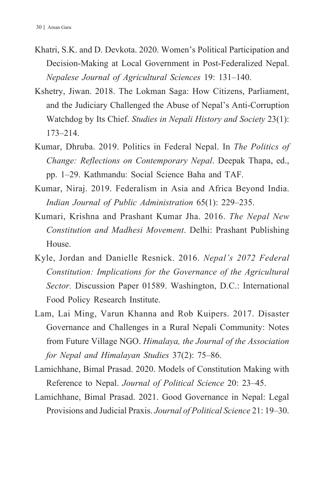- Khatri, S.K. and D. Devkota. 2020. Women's Political Participation and Decision-Making at Local Government in Post-Federalized Nepal. *Nepalese Journal of Agricultural Sciences* 19: 131–140.
- Kshetry, Jiwan. 2018. The Lokman Saga: How Citizens, Parliament, and the Judiciary Challenged the Abuse of Nepal's Anti-Corruption Watchdog by Its Chief. *Studies in Nepali History and Society* 23(1): 173–214.
- Kumar, Dhruba. 2019. Politics in Federal Nepal. In *The Politics of Change: Reflections on Contemporary Nepal*. Deepak Thapa, ed., pp. 1–29. Kathmandu: Social Science Baha and TAF.
- Kumar, Niraj. 2019. Federalism in Asia and Africa Beyond India. *Indian Journal of Public Administration* 65(1): 229–235.
- Kumari, Krishna and Prashant Kumar Jha. 2016. *The Nepal New Constitution and Madhesi Movement*. Delhi: Prashant Publishing House.
- Kyle, Jordan and Danielle Resnick. 2016. *Nepal's 2072 Federal Constitution: Implications for the Governance of the Agricultural Sector.* Discussion Paper 01589. Washington, D.C.: International Food Policy Research Institute.
- Lam, Lai Ming, Varun Khanna and Rob Kuipers. 2017. Disaster Governance and Challenges in a Rural Nepali Community: Notes from Future Village NGO. *Himalaya, the Journal of the Association for Nepal and Himalayan Studies* 37(2): 75–86.
- Lamichhane, Bimal Prasad. 2020. Models of Constitution Making with Reference to Nepal. *Journal of Political Science* 20: 23–45.
- Lamichhane, Bimal Prasad. 2021. Good Governance in Nepal: Legal Provisions and Judicial Praxis. *Journal of Political Science* 21: 19–30.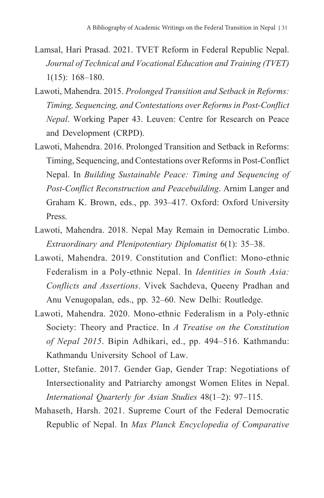- Lamsal, Hari Prasad. 2021. TVET Reform in Federal Republic Nepal. *Journal of Technical and Vocational Education and Training (TVET)* 1(15): 168–180.
- Lawoti, Mahendra. 2015. *Prolonged Transition and Setback in Reforms: Timing, Sequencing, and Contestations over Reforms in Post-Conflict Nepal*. Working Paper 43. Leuven: Centre for Research on Peace and Development (CRPD).
- Lawoti, Mahendra. 2016. Prolonged Transition and Setback in Reforms: Timing, Sequencing, and Contestations over Reforms in Post-Conflict Nepal. In *Building Sustainable Peace: Timing and Sequencing of Post-Conflict Reconstruction and Peacebuilding*. Arnim Langer and Graham K. Brown, eds., pp. 393–417. Oxford: Oxford University Press.
- Lawoti, Mahendra. 2018. Nepal May Remain in Democratic Limbo. *Extraordinary and Plenipotentiary Diplomatist* 6(1): 35–38.
- Lawoti, Mahendra. 2019. Constitution and Conflict: Mono-ethnic Federalism in a Poly-ethnic Nepal. In *Identities in South Asia: Conflicts and Assertions*. Vivek Sachdeva, Queeny Pradhan and Anu Venugopalan, eds., pp. 32–60. New Delhi: Routledge.
- Lawoti, Mahendra. 2020. Mono-ethnic Federalism in a Poly-ethnic Society: Theory and Practice. In *A Treatise on the Constitution of Nepal 2015*. Bipin Adhikari, ed., pp. 494–516. Kathmandu: Kathmandu University School of Law.
- Lotter, Stefanie. 2017. Gender Gap, Gender Trap: Negotiations of Intersectionality and Patriarchy amongst Women Elites in Nepal. *International Quarterly for Asian Studies* 48(1–2): 97–115.
- Mahaseth, Harsh. 2021. Supreme Court of the Federal Democratic Republic of Nepal. In *Max Planck Encyclopedia of Comparative*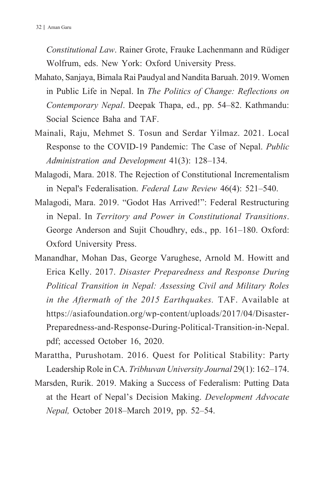*Constitutional Law*. Rainer Grote, Frauke Lachenmann and Rüdiger Wolfrum, eds. New York: Oxford University Press.

- Mahato, Sanjaya, Bimala Rai Paudyal and Nandita Baruah. 2019. Women in Public Life in Nepal. In *The Politics of Change: Reflections on Contemporary Nepal*. Deepak Thapa, ed., pp. 54–82. Kathmandu: Social Science Baha and TAF.
- Mainali, Raju, Mehmet S. Tosun and Serdar Yilmaz. 2021. Local Response to the COVID-19 Pandemic: The Case of Nepal. *Public Administration and Development* 41(3): 128–134.
- Malagodi, Mara. 2018. The Rejection of Constitutional Incrementalism in Nepal's Federalisation. *Federal Law Review* 46(4): 521–540.
- Malagodi, Mara. 2019. "Godot Has Arrived!": Federal Restructuring in Nepal. In *Territory and Power in Constitutional Transitions*. George Anderson and Sujit Choudhry, eds., pp. 161–180. Oxford: Oxford University Press.
- Manandhar, Mohan Das, George Varughese, Arnold M. Howitt and Erica Kelly. 2017. *Disaster Preparedness and Response During Political Transition in Nepal: Assessing Civil and Military Roles in the Aftermath of the 2015 Earthquakes.* TAF. Available at https://asiafoundation.org/wp-content/uploads/2017/04/Disaster-Preparedness-and-Response-During-Political-Transition-in-Nepal. pdf; accessed October 16, 2020.
- Marattha, Purushotam. 2016. Quest for Political Stability: Party Leadership Role in CA. *Tribhuvan University Journal* 29(1): 162–174.
- Marsden, Rurik. 2019. Making a Success of Federalism: Putting Data at the Heart of Nepal's Decision Making. *Development Advocate Nepal,* October 2018–March 2019, pp. 52–54.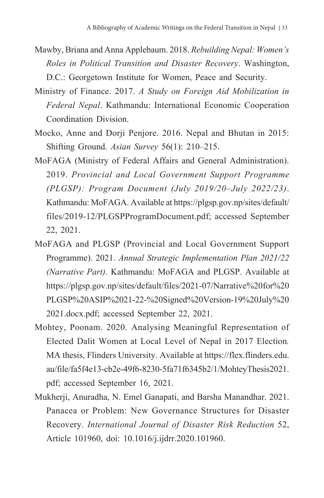- Mawby, Briana and Anna Applebaum. 2018. *Rebuilding Nepal: Women's Roles in Political Transition and Disaster Recovery*. Washington, D.C.: Georgetown Institute for Women, Peace and Security.
- Ministry of Finance. 2017. *A Study on Foreign Aid Mobilization in Federal Nepal*. Kathmandu: International Economic Cooperation Coordination Division.
- Mocko, Anne and Dorji Penjore. 2016. Nepal and Bhutan in 2015: Shifting Ground. *Asian Survey* 56(1): 210–215.
- MoFAGA (Ministry of Federal Affairs and General Administration). 2019. *Provincial and Local Government Support Programme (PLGSP): Program Document (July 2019/20–July 2022/23)*. Kathmandu: MoFAGA. Available at https://plgsp.gov.np/sites/default/ files/2019-12/PLGSPProgramDocument.pdf; accessed September 22, 2021.
- MoFAGA and PLGSP (Provincial and Local Government Support Programme). 2021. *Annual Strategic Implementation Plan 2021/22 (Narrative Part)*. Kathmandu: MoFAGA and PLGSP. Available at https://plgsp.gov.np/sites/default/files/2021-07/Narrative%20for%20 PLGSP%20ASIP%2021-22-%20Signed%20Version-19%20July%20 2021.docx.pdf; accessed September 22, 2021.
- Mohtey, Poonam. 2020. Analysing Meaningful Representation of Elected Dalit Women at Local Level of Nepal in 2017 Election*.* MA thesis, Flinders University. Available at https://flex.flinders.edu. au/file/fa5f4e13-cb2e-49f6-8230-5fa71f6345b2/1/MohteyThesis2021. pdf; accessed September 16, 2021.
- Mukherji, Anuradha, N. Emel Ganapati, and Barsha Manandhar. 2021. Panacea or Problem: New Governance Structures for Disaster Recovery. *International Journal of Disaster Risk Reduction* 52, Article 101960, doi: 10.1016/j.ijdrr.2020.101960.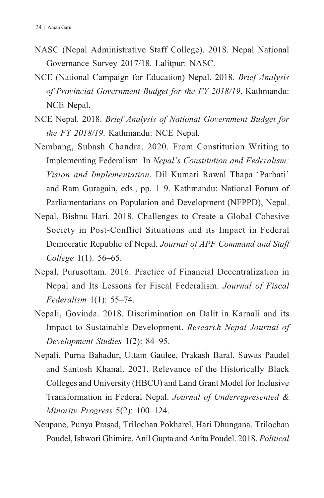- NASC (Nepal Administrative Staff College). 2018. Nepal National Governance Survey 2017/18. Lalitpur: NASC.
- NCE (National Campaign for Education) Nepal. 2018. *Brief Analysis of Provincial Government Budget for the FY 2018/19*. Kathmandu: NCE Nepal.
- NCE Nepal. 2018. *Brief Analysis of National Government Budget for the FY 2018/19*. Kathmandu: NCE Nepal.
- Nembang, Subash Chandra. 2020. From Constitution Writing to Implementing Federalism. In *Nepal's Constitution and Federalism: Vision and Implementation*. Dil Kumari Rawal Thapa 'Parbati' and Ram Guragain, eds., pp. 1–9. Kathmandu: National Forum of Parliamentarians on Population and Development (NFPPD), Nepal.
- Nepal, Bishnu Hari. 2018. Challenges to Create a Global Cohesive Society in Post-Conflict Situations and its Impact in Federal Democratic Republic of Nepal. *Journal of APF Command and Staff College* 1(1): 56–65.
- Nepal, Purusottam. 2016. Practice of Financial Decentralization in Nepal and Its Lessons for Fiscal Federalism. *Journal of Fiscal Federalism* 1(1): 55–74.
- Nepali, Govinda. 2018. Discrimination on Dalit in Karnali and its Impact to Sustainable Development. *Research Nepal Journal of Development Studies* 1(2): 84–95.
- Nepali, Purna Bahadur, Uttam Gaulee, Prakash Baral, Suwas Paudel and Santosh Khanal. 2021. Relevance of the Historically Black Colleges and University (HBCU) and Land Grant Model for Inclusive Transformation in Federal Nepal. *Journal of Underrepresented & Minority Progress* 5(2): 100–124.
- Neupane, Punya Prasad, Trilochan Pokharel, Hari Dhungana, Trilochan Poudel, Ishwori Ghimire, Anil Gupta and Anita Poudel. 2018. *Political*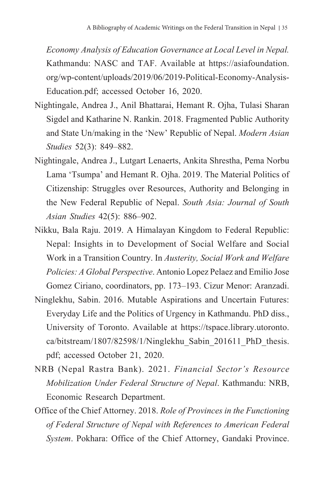*Economy Analysis of Education Governance at Local Level in Nepal.* Kathmandu: NASC and TAF. Available at https://asiafoundation. org/wp-content/uploads/2019/06/2019-Political-Economy-Analysis-Education.pdf; accessed October 16, 2020.

- Nightingale, Andrea J., Anil Bhattarai, Hemant R. Ojha, Tulasi Sharan Sigdel and Katharine N. Rankin. 2018. Fragmented Public Authority and State Un/making in the 'New' Republic of Nepal. *Modern Asian Studies* 52(3): 849–882.
- Nightingale, Andrea J., Lutgart Lenaerts, Ankita Shrestha, Pema Norbu Lama 'Tsumpa' and Hemant R. Ojha. 2019. The Material Politics of Citizenship: Struggles over Resources, Authority and Belonging in the New Federal Republic of Nepal. *South Asia: Journal of South Asian Studies* 42(5): 886–902.
- Nikku, Bala Raju. 2019. A Himalayan Kingdom to Federal Republic: Nepal: Insights in to Development of Social Welfare and Social Work in a Transition Country. In *Austerity, Social Work and Welfare Policies: A Global Perspective*. Antonio Lopez Pelaez and Emilio Jose Gomez Ciriano, coordinators, pp. 173–193. Cizur Menor: Aranzadi.
- Ninglekhu, Sabin. 2016. Mutable Aspirations and Uncertain Futures: Everyday Life and the Politics of Urgency in Kathmandu. PhD diss., University of Toronto. Available at https://tspace.library.utoronto. ca/bitstream/1807/82598/1/Ninglekhu\_Sabin\_201611\_PhD\_thesis. pdf; accessed October 21, 2020.
- NRB (Nepal Rastra Bank). 2021. *Financial Sector's Resource Mobilization Under Federal Structure of Nepal*. Kathmandu: NRB, Economic Research Department.
- Office of the Chief Attorney. 2018. *Role of Provinces in the Functioning of Federal Structure of Nepal with References to American Federal System*. Pokhara: Office of the Chief Attorney, Gandaki Province.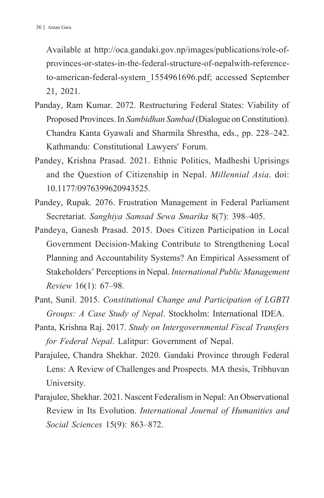Available at http://oca.gandaki.gov.np/images/publications/role-ofprovinces-or-states-in-the-federal-structure-of-nepalwith-referenceto-american-federal-system\_1554961696.pdf; accessed September 21, 2021.

- Panday, Ram Kumar. 2072. Restructuring Federal States: Viability of Proposed Provinces. In *Sambidhan Sambad* (Dialogue on Constitution). Chandra Kanta Gyawali and Sharmila Shrestha, eds., pp. 228–242. Kathmandu: Constitutional Lawyers' Forum.
- Pandey, Krishna Prasad. 2021. Ethnic Politics, Madheshi Uprisings and the Question of Citizenship in Nepal. *Millennial Asia*. doi: 10.1177/0976399620943525.
- Pandey, Rupak. 2076. Frustration Management in Federal Parliament Secretariat. *Sanghiya Samsad Sewa Smarika* 8(7): 398–405.
- Pandeya, Ganesh Prasad. 2015. Does Citizen Participation in Local Government Decision-Making Contribute to Strengthening Local Planning and Accountability Systems? An Empirical Assessment of Stakeholders' Perceptions in Nepal. *International Public Management Review* 16(1): 67–98.
- Pant, Sunil. 2015. *Constitutional Change and Participation of LGBTI Groups: A Case Study of Nepal*. Stockholm: International IDEA.
- Panta, Krishna Raj. 2017. *Study on Intergovernmental Fiscal Transfers for Federal Nepal*. Lalitpur: Government of Nepal.
- Parajulee, Chandra Shekhar. 2020. Gandaki Province through Federal Lens: A Review of Challenges and Prospects. MA thesis, Tribhuvan University.
- Parajulee, Shekhar. 2021. Nascent Federalism in Nepal: An Observational Review in Its Evolution. *International Journal of Humanities and Social Sciences* 15(9): 863–872.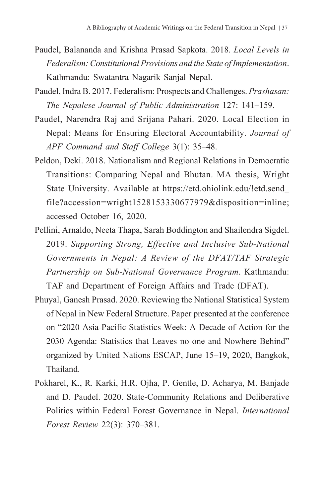- Paudel, Balananda and Krishna Prasad Sapkota. 2018. *Local Levels in Federalism: Constitutional Provisions and the State of Implementation*. Kathmandu: Swatantra Nagarik Sanjal Nepal.
- Paudel, Indra B. 2017. Federalism: Prospects and Challenges. *Prashasan: The Nepalese Journal of Public Administration* 127: 141–159.
- Paudel, Narendra Raj and Srijana Pahari. 2020. Local Election in Nepal: Means for Ensuring Electoral Accountability. *Journal of APF Command and Staff College* 3(1): 35–48.
- Peldon, Deki. 2018. Nationalism and Regional Relations in Democratic Transitions: Comparing Nepal and Bhutan. MA thesis, Wright State University. Available at https://etd.ohiolink.edu/!etd.send\_ file?accession=wright1528153330677979&disposition=inline; accessed October 16, 2020.
- Pellini, Arnaldo, Neeta Thapa, Sarah Boddington and Shailendra Sigdel. 2019. *Supporting Strong, Effective and Inclusive Sub-National Governments in Nepal: A Review of the DFAT/TAF Strategic Partnership on Sub-National Governance Program*. Kathmandu: TAF and Department of Foreign Affairs and Trade (DFAT).
- Phuyal, Ganesh Prasad. 2020. Reviewing the National Statistical System of Nepal in New Federal Structure. Paper presented at the conference on "2020 Asia-Pacific Statistics Week: A Decade of Action for the 2030 Agenda: Statistics that Leaves no one and Nowhere Behind" organized by United Nations ESCAP, June 15–19, 2020, Bangkok, Thailand.
- Pokharel, K., R. Karki, H.R. Ojha, P. Gentle, D. Acharya, M. Banjade and D. Paudel. 2020. State-Community Relations and Deliberative Politics within Federal Forest Governance in Nepal. *International Forest Review* 22(3): 370–381.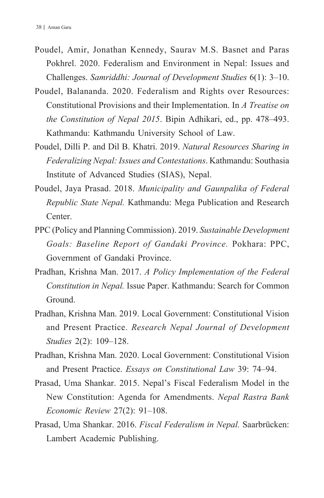- Poudel, Amir, Jonathan Kennedy, Saurav M.S. Basnet and Paras Pokhrel. 2020. Federalism and Environment in Nepal: Issues and Challenges. *Samriddhi: Journal of Development Studies* 6(1): 3–10.
- Poudel, Balananda. 2020. Federalism and Rights over Resources: Constitutional Provisions and their Implementation. In *A Treatise on the Constitution of Nepal 2015*. Bipin Adhikari, ed., pp. 478–493. Kathmandu: Kathmandu University School of Law.
- Poudel, Dilli P. and Dil B. Khatri. 2019. *Natural Resources Sharing in Federalizing Nepal: Issues and Contestations*. Kathmandu: Southasia Institute of Advanced Studies (SIAS), Nepal.
- Poudel, Jaya Prasad. 2018. *Municipality and Gaunpalika of Federal Republic State Nepal.* Kathmandu: Mega Publication and Research Center.
- PPC (Policy and Planning Commission). 2019. *Sustainable Development Goals: Baseline Report of Gandaki Province.* Pokhara: PPC, Government of Gandaki Province.
- Pradhan, Krishna Man. 2017. *A Policy Implementation of the Federal Constitution in Nepal.* Issue Paper. Kathmandu: Search for Common Ground.
- Pradhan, Krishna Man. 2019. Local Government: Constitutional Vision and Present Practice. *Research Nepal Journal of Development Studies* 2(2): 109–128.
- Pradhan, Krishna Man. 2020. Local Government: Constitutional Vision and Present Practice. *Essays on Constitutional Law* 39: 74–94.
- Prasad, Uma Shankar. 2015. Nepal's Fiscal Federalism Model in the New Constitution: Agenda for Amendments. *Nepal Rastra Bank Economic Review* 27(2): 91–108.
- Prasad, Uma Shankar. 2016. *Fiscal Federalism in Nepal.* Saarbrücken: Lambert Academic Publishing.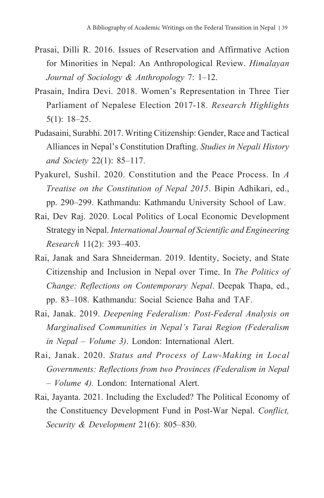- Prasai, Dilli R. 2016. Issues of Reservation and Affirmative Action for Minorities in Nepal: An Anthropological Review. *Himalayan Journal of Sociology & Anthropology* 7: 1–12.
- Prasain, Indira Devi. 2018. Women's Representation in Three Tier Parliament of Nepalese Election 2017-18. *Research Highlights* 5(1): 18–25.
- Pudasaini, Surabhi. 2017. Writing Citizenship: Gender, Race and Tactical Alliances in Nepal's Constitution Drafting. *Studies in Nepali History and Society* 22(1): 85–117.
- Pyakurel, Sushil. 2020. Constitution and the Peace Process. In *A Treatise on the Constitution of Nepal 2015*. Bipin Adhikari, ed., pp. 290–299. Kathmandu: Kathmandu University School of Law.
- Rai, Dev Raj. 2020. Local Politics of Local Economic Development Strategy in Nepal. *International Journal of Scientific and Engineering Research* 11(2): 393–403.
- Rai, Janak and Sara Shneiderman. 2019. Identity, Society, and State Citizenship and Inclusion in Nepal over Time. In *The Politics of Change: Reflections on Contemporary Nepal*. Deepak Thapa, ed., pp. 83–108. Kathmandu: Social Science Baha and TAF.
- Rai, Janak. 2019. *Deepening Federalism: Post-Federal Analysis on Marginalised Communities in Nepal's Tarai Region (Federalism in Nepal – Volume 3)*. London: International Alert.
- Rai, Janak. 2020. *Status and Process of Law-Making in Local Governments: Reflections from two Provinces (Federalism in Nepal – Volume 4).* London: International Alert.
- Rai, Jayanta. 2021. Including the Excluded? The Political Economy of the Constituency Development Fund in Post-War Nepal. *Conflict, Security & Development* 21(6): 805–830.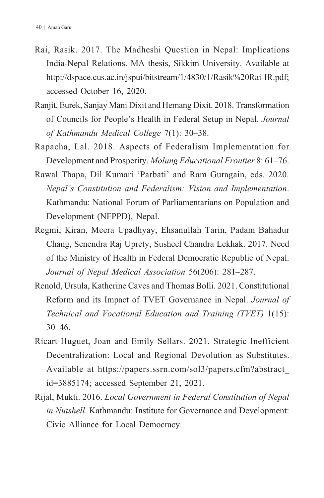- Rai, Rasik. 2017. The Madheshi Question in Nepal: Implications India-Nepal Relations. MA thesis, Sikkim University. Available at http://dspace.cus.ac.in/jspui/bitstream/1/4830/1/Rasik%20Rai-IR.pdf; accessed October 16, 2020.
- Ranjit, Eurek, Sanjay Mani Dixit and Hemang Dixit. 2018. Transformation of Councils for People's Health in Federal Setup in Nepal. *Journal of Kathmandu Medical College* 7(1): 30–38.
- Rapacha, Lal. 2018. Aspects of Federalism Implementation for Development and Prosperity. *Molung Educational Frontier* 8: 61–76.
- Rawal Thapa, Dil Kumari 'Parbati' and Ram Guragain, eds. 2020. *Nepal's Constitution and Federalism: Vision and Implementation*. Kathmandu: National Forum of Parliamentarians on Population and Development (NFPPD), Nepal.
- Regmi, Kiran, Meera Upadhyay, Ehsanullah Tarin, Padam Bahadur Chang, Senendra Raj Uprety, Susheel Chandra Lekhak. 2017. Need of the Ministry of Health in Federal Democratic Republic of Nepal. *Journal of Nepal Medical Association* 56(206): 281–287.
- Renold, Ursula, Katherine Caves and Thomas Bolli. 2021. Constitutional Reform and its Impact of TVET Governance in Nepal. *Journal of Technical and Vocational Education and Training (TVET)* 1(15): 30–46.
- Ricart-Huguet, Joan and Emily Sellars. 2021. Strategic Inefficient Decentralization: Local and Regional Devolution as Substitutes. Available at https://papers.ssrn.com/sol3/papers.cfm?abstract\_ id=3885174; accessed September 21, 2021.
- Rijal, Mukti. 2016. *Local Government in Federal Constitution of Nepal in Nutshell*. Kathmandu: Institute for Governance and Development: Civic Alliance for Local Democracy.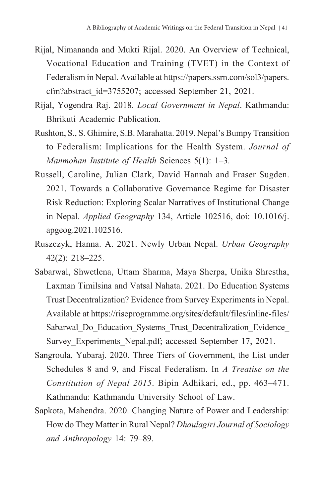- Rijal, Nimananda and Mukti Rijal. 2020. An Overview of Technical, Vocational Education and Training (TVET) in the Context of Federalism in Nepal. Available at https://papers.ssrn.com/sol3/papers. cfm?abstract\_id=3755207; accessed September 21, 2021.
- Rijal, Yogendra Raj. 2018. *Local Government in Nepal*. Kathmandu: Bhrikuti Academic Publication.
- Rushton, S., S. Ghimire, S.B. Marahatta. 2019. Nepal's Bumpy Transition to Federalism: Implications for the Health System. *Journal of Manmohan Institute of Health* Sciences 5(1): 1–3.
- Russell, Caroline, Julian Clark, David Hannah and Fraser Sugden. 2021. Towards a Collaborative Governance Regime for Disaster Risk Reduction: Exploring Scalar Narratives of Institutional Change in Nepal. *Applied Geography* 134, Article 102516, doi: 10.1016/j. apgeog.2021.102516.
- Ruszczyk, Hanna. A. 2021. Newly Urban Nepal. *Urban Geography* 42(2): 218–225.
- Sabarwal, Shwetlena, Uttam Sharma, Maya Sherpa, Unika Shrestha, Laxman Timilsina and Vatsal Nahata. 2021. Do Education Systems Trust Decentralization? Evidence from Survey Experiments in Nepal. Available at https://riseprogramme.org/sites/default/files/inline-files/ Sabarwal\_Do\_Education\_Systems\_Trust\_Decentralization\_Evidence Survey Experiments Nepal.pdf; accessed September 17, 2021.
- Sangroula, Yubaraj. 2020. Three Tiers of Government, the List under Schedules 8 and 9, and Fiscal Federalism. In *A Treatise on the Constitution of Nepal 2015*. Bipin Adhikari, ed., pp. 463–471. Kathmandu: Kathmandu University School of Law.
- Sapkota, Mahendra. 2020. Changing Nature of Power and Leadership: How do They Matter in Rural Nepal? *Dhaulagiri Journal of Sociology and Anthropology* 14: 79–89.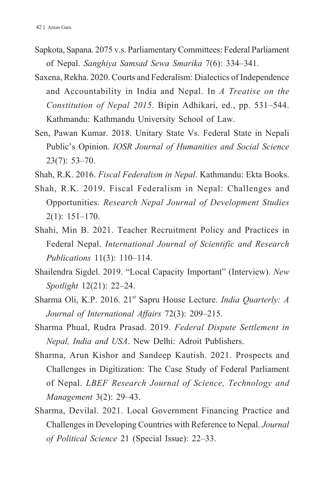- Sapkota, Sapana. 2075 v.s. Parliamentary Committees: Federal Parliament of Nepal. *Sanghiya Samsad Sewa Smarika* 7(6): 334–341.
- Saxena, Rekha. 2020. Courts and Federalism: Dialectics of Independence and Accountability in India and Nepal. In *A Treatise on the Constitution of Nepal 2015*. Bipin Adhikari, ed., pp. 531–544. Kathmandu: Kathmandu University School of Law.
- Sen, Pawan Kumar. 2018. Unitary State Vs. Federal State in Nepali Public's Opinion. *IOSR Journal of Humanities and Social Science* 23(7): 53–70.
- Shah, R.K. 2016. *Fiscal Federalism in Nepal*. Kathmandu: Ekta Books.
- Shah, R.K. 2019. Fiscal Federalism in Nepal: Challenges and Opportunities. *Research Nepal Journal of Development Studies* 2(1): 151–170.
- Shahi, Min B. 2021. Teacher Recruitment Policy and Practices in Federal Nepal. *International Journal of Scientific and Research Publications* 11(3): 110–114.
- Shailendra Sigdel. 2019. "Local Capacity Important" (Interview). *New Spotlight* 12(21): 22–24.
- Sharma Oli, K.P. 2016. 21st Sapru House Lecture. *India Quarterly: A Journal of International Affairs* 72(3): 209–215.
- Sharma Phual, Rudra Prasad. 2019. *Federal Dispute Settlement in Nepal, India and USA*. New Delhi: Adroit Publishers.
- Sharma, Arun Kishor and Sandeep Kautish. 2021. Prospects and Challenges in Digitization: The Case Study of Federal Parliament of Nepal. *LBEF Research Journal of Science, Technology and Management* 3(2): 29–43.
- Sharma, Devilal. 2021. Local Government Financing Practice and Challenges in Developing Countries with Reference to Nepal. *Journal of Political Science* 21 (Special Issue): 22–33.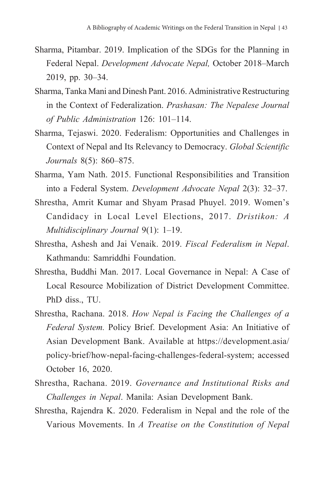- Sharma, Pitambar. 2019. Implication of the SDGs for the Planning in Federal Nepal. *Development Advocate Nepal,* October 2018–March 2019, pp. 30–34.
- Sharma, Tanka Mani and Dinesh Pant. 2016. Administrative Restructuring in the Context of Federalization. *Prashasan: The Nepalese Journal of Public Administration* 126: 101–114.
- Sharma, Tejaswi. 2020. Federalism: Opportunities and Challenges in Context of Nepal and Its Relevancy to Democracy. *Global Scientific Journals* 8(5): 860–875.
- Sharma, Yam Nath. 2015. Functional Responsibilities and Transition into a Federal System. *Development Advocate Nepal* 2(3): 32–37.
- Shrestha, Amrit Kumar and Shyam Prasad Phuyel. 2019. Women's Candidacy in Local Level Elections, 2017. *Dristikon: A Multidisciplinary Journal* 9(1): 1–19.
- Shrestha, Ashesh and Jai Venaik. 2019. *Fiscal Federalism in Nepal*. Kathmandu: Samriddhi Foundation.
- Shrestha, Buddhi Man. 2017. Local Governance in Nepal: A Case of Local Resource Mobilization of District Development Committee. PhD diss., TU.
- Shrestha, Rachana. 2018. *How Nepal is Facing the Challenges of a Federal System.* Policy Brief. Development Asia: An Initiative of Asian Development Bank. Available at https://development.asia/ policy-brief/how-nepal-facing-challenges-federal-system; accessed October 16, 2020.
- Shrestha, Rachana. 2019. *Governance and Institutional Risks and Challenges in Nepal*. Manila: Asian Development Bank.
- Shrestha, Rajendra K. 2020. Federalism in Nepal and the role of the Various Movements. In *A Treatise on the Constitution of Nepal*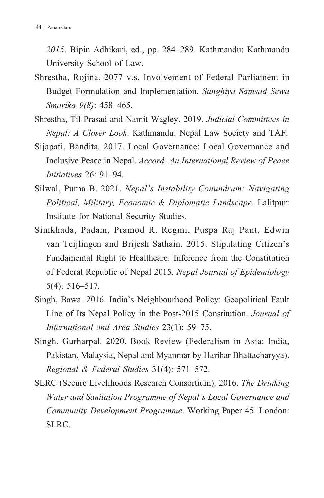*2015*. Bipin Adhikari, ed., pp. 284–289. Kathmandu: Kathmandu University School of Law.

- Shrestha, Rojina. 2077 v.s. Involvement of Federal Parliament in Budget Formulation and Implementation. *Sanghiya Samsad Sewa Smarika 9(8)*: 458–465.
- Shrestha, Til Prasad and Namit Wagley. 2019. *Judicial Committees in Nepal: A Closer Look*. Kathmandu: Nepal Law Society and TAF.
- Sijapati, Bandita. 2017. Local Governance: Local Governance and Inclusive Peace in Nepal. *Accord: An International Review of Peace Initiatives* 26: 91–94.
- Silwal, Purna B. 2021. *Nepal's Instability Conundrum: Navigating Political, Military, Economic & Diplomatic Landscape*. Lalitpur: Institute for National Security Studies.
- Simkhada, Padam, Pramod R. Regmi, Puspa Raj Pant, Edwin van Teijlingen and Brijesh Sathain. 2015. Stipulating Citizen's Fundamental Right to Healthcare: Inference from the Constitution of Federal Republic of Nepal 2015. *Nepal Journal of Epidemiology* 5(4): 516–517.
- Singh, Bawa. 2016. India's Neighbourhood Policy: Geopolitical Fault Line of Its Nepal Policy in the Post-2015 Constitution. *Journal of International and Area Studies* 23(1): 59–75.
- Singh, Gurharpal. 2020. Book Review (Federalism in Asia: India, Pakistan, Malaysia, Nepal and Myanmar by Harihar Bhattacharyya). *Regional & Federal Studies* 31(4): 571–572.
- SLRC (Secure Livelihoods Research Consortium). 2016. *The Drinking Water and Sanitation Programme of Nepal's Local Governance and Community Development Programme*. Working Paper 45. London: SLRC.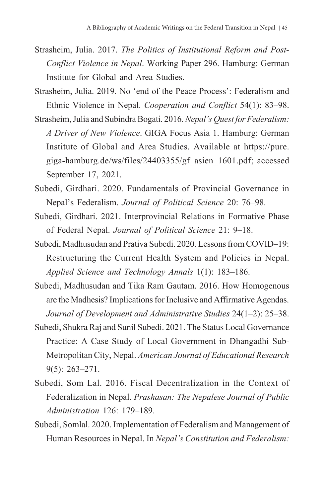- Strasheim, Julia. 2017. *The Politics of Institutional Reform and Post-Conflict Violence in Nepal*. Working Paper 296. Hamburg: German Institute for Global and Area Studies.
- Strasheim, Julia. 2019. No 'end of the Peace Process': Federalism and Ethnic Violence in Nepal. *Cooperation and Conflict* 54(1): 83–98.
- Strasheim, Julia and Subindra Bogati. 2016. *Nepal's Quest for Federalism: A Driver of New Violence*. GIGA Focus Asia 1. Hamburg: German Institute of Global and Area Studies. Available at https://pure. giga-hamburg.de/ws/files/24403355/gf\_asien\_1601.pdf; accessed September 17, 2021.
- Subedi, Girdhari. 2020. Fundamentals of Provincial Governance in Nepal's Federalism. *Journal of Political Science* 20: 76–98.
- Subedi, Girdhari. 2021. Interprovincial Relations in Formative Phase of Federal Nepal. *Journal of Political Science* 21: 9–18.
- Subedi, Madhusudan and Prativa Subedi. 2020. Lessons from COVID–19: Restructuring the Current Health System and Policies in Nepal. *Applied Science and Technology Annals* 1(1): 183–186.
- Subedi, Madhusudan and Tika Ram Gautam. 2016. How Homogenous are the Madhesis? Implications for Inclusive and Affirmative Agendas. *Journal of Development and Administrative Studies* 24(1–2): 25–38.
- Subedi, Shukra Raj and Sunil Subedi. 2021. The Status Local Governance Practice: A Case Study of Local Government in Dhangadhi Sub-Metropolitan City, Nepal. *American Journal of Educational Research* 9(5): 263–271.
- Subedi, Som Lal. 2016. Fiscal Decentralization in the Context of Federalization in Nepal. *Prashasan: The Nepalese Journal of Public Administration* 126: 179–189.
- Subedi, Somlal. 2020. Implementation of Federalism and Management of Human Resources in Nepal. In *Nepal's Constitution and Federalism:*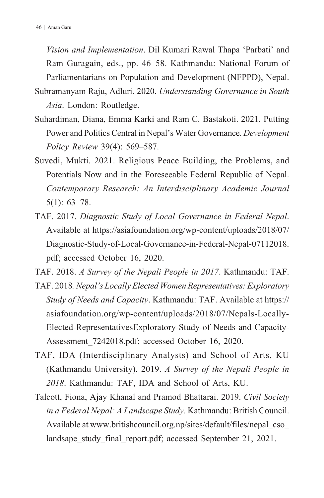*Vision and Implementation*. Dil Kumari Rawal Thapa 'Parbati' and Ram Guragain, eds., pp. 46–58. Kathmandu: National Forum of Parliamentarians on Population and Development (NFPPD), Nepal.

Subramanyam Raju, Adluri. 2020. *Understanding Governance in South Asia*. London: Routledge.

- Suhardiman, Diana, Emma Karki and Ram C. Bastakoti. 2021. Putting Power and Politics Central in Nepal's Water Governance. *Development Policy Review* 39(4): 569–587.
- Suvedi, Mukti. 2021. Religious Peace Building, the Problems, and Potentials Now and in the Foreseeable Federal Republic of Nepal. *Contemporary Research: An Interdisciplinary Academic Journal* 5(1): 63–78.
- TAF. 2017. *Diagnostic Study of Local Governance in Federal Nepal*. Available at https://asiafoundation.org/wp-content/uploads/2018/07/ Diagnostic-Study-of-Local-Governance-in-Federal-Nepal-07112018. pdf; accessed October 16, 2020.

TAF. 2018. *A Survey of the Nepali People in 2017*. Kathmandu: TAF.

- TAF. 2018*. Nepal's Locally Elected Women Representatives: Exploratory Study of Needs and Capacity*. Kathmandu: TAF. Available at https:// asiafoundation.org/wp-content/uploads/2018/07/Nepals-Locally-Elected-RepresentativesExploratory-Study-of-Needs-and-Capacity-Assessment\_7242018.pdf; accessed October 16, 2020.
- TAF, IDA (Interdisciplinary Analysts) and School of Arts, KU (Kathmandu University). 2019. *A Survey of the Nepali People in 2018*. Kathmandu: TAF, IDA and School of Arts, KU.
- Talcott, Fiona, Ajay Khanal and Pramod Bhattarai. 2019. *Civil Society in a Federal Nepal: A Landscape Study.* Kathmandu: British Council. Available at www.britishcouncil.org.np/sites/default/files/nepal\_cso\_ landsape study final report.pdf; accessed September 21, 2021.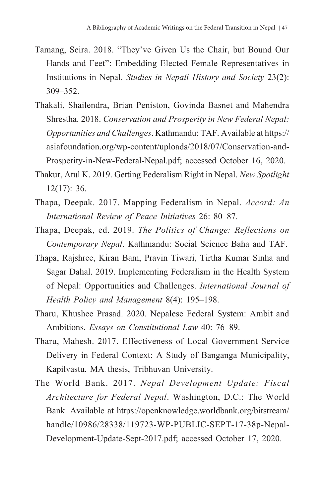- Tamang, Seira. 2018. "They've Given Us the Chair, but Bound Our Hands and Feet": Embedding Elected Female Representatives in Institutions in Nepal. *Studies in Nepali History and Society* 23(2): 309–352.
- Thakali, Shailendra, Brian Peniston, Govinda Basnet and Mahendra Shrestha. 2018. *Conservation and Prosperity in New Federal Nepal: Opportunities and Challenges*. Kathmandu: TAF. Available at https:// asiafoundation.org/wp-content/uploads/2018/07/Conservation-and-Prosperity-in-New-Federal-Nepal.pdf; accessed October 16, 2020.
- Thakur, Atul K. 2019. Getting Federalism Right in Nepal. *New Spotlight* 12(17): 36.
- Thapa, Deepak. 2017. Mapping Federalism in Nepal. *Accord: An International Review of Peace Initiatives* 26: 80–87.
- Thapa, Deepak, ed. 2019. *The Politics of Change: Reflections on Contemporary Nepal*. Kathmandu: Social Science Baha and TAF.
- Thapa, Rajshree, Kiran Bam, Pravin Tiwari, Tirtha Kumar Sinha and Sagar Dahal. 2019. Implementing Federalism in the Health System of Nepal: Opportunities and Challenges. *International Journal of Health Policy and Management* 8(4): 195–198.
- Tharu, Khushee Prasad. 2020. Nepalese Federal System: Ambit and Ambitions. *Essays on Constitutional Law* 40: 76–89.
- Tharu, Mahesh. 2017. Effectiveness of Local Government Service Delivery in Federal Context: A Study of Banganga Municipality, Kapilvastu. MA thesis, Tribhuvan University.
- The World Bank. 2017. *Nepal Development Update: Fiscal Architecture for Federal Nepal*. Washington, D.C.: The World Bank. Available at https://openknowledge.worldbank.org/bitstream/ handle/10986/28338/119723-WP-PUBLIC-SEPT-17-38p-Nepal-Development-Update-Sept-2017.pdf; accessed October 17, 2020.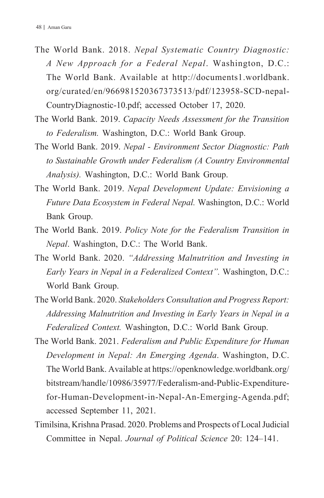- The World Bank. 2018. *Nepal Systematic Country Diagnostic: A New Approach for a Federal Nepal*. Washington, D.C.: The World Bank. Available at http://documents1.worldbank. org/curated/en/966981520367373513/pdf/123958-SCD-nepal-CountryDiagnostic-10.pdf; accessed October 17, 2020.
- The World Bank. 2019. *Capacity Needs Assessment for the Transition to Federalism.* Washington, D.C.: World Bank Group.
- The World Bank. 2019. *Nepal Environment Sector Diagnostic: Path to Sustainable Growth under Federalism (A Country Environmental Analysis).* Washington, D.C.: World Bank Group.
- The World Bank. 2019. *Nepal Development Update: Envisioning a Future Data Ecosystem in Federal Nepal.* Washington, D.C.: World Bank Group.
- The World Bank. 2019. *Policy Note for the Federalism Transition in Nepal*. Washington, D.C.: The World Bank.
- The World Bank. 2020. *"Addressing Malnutrition and Investing in Early Years in Nepal in a Federalized Context".* Washington, D.C.: World Bank Group.
- The World Bank. 2020. *Stakeholders Consultation and Progress Report: Addressing Malnutrition and Investing in Early Years in Nepal in a Federalized Context.* Washington, D.C.: World Bank Group.
- The World Bank. 2021. *Federalism and Public Expenditure for Human Development in Nepal: An Emerging Agenda*. Washington, D.C. The World Bank. Available at https://openknowledge.worldbank.org/ bitstream/handle/10986/35977/Federalism-and-Public-Expenditurefor-Human-Development-in-Nepal-An-Emerging-Agenda.pdf; accessed September 11, 2021.
- Timilsina, Krishna Prasad. 2020. Problems and Prospects of Local Judicial Committee in Nepal. *Journal of Political Science* 20: 124–141.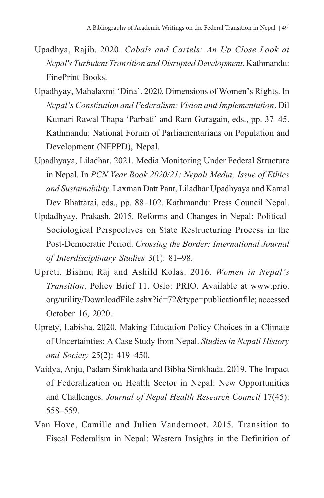- Upadhya, Rajib. 2020. *Cabals and Cartels: An Up Close Look at Nepal's Turbulent Transition and Disrupted Development*. Kathmandu: FinePrint Books.
- Upadhyay, Mahalaxmi 'Dina'. 2020. Dimensions of Women's Rights. In *Nepal's Constitution and Federalism: Vision and Implementation*. Dil Kumari Rawal Thapa 'Parbati' and Ram Guragain, eds., pp. 37–45. Kathmandu: National Forum of Parliamentarians on Population and Development (NFPPD), Nepal.
- Upadhyaya, Liladhar. 2021. Media Monitoring Under Federal Structure in Nepal. In *PCN Year Book 2020/21: Nepali Media; Issue of Ethics and Sustainability*. Laxman Datt Pant, Liladhar Upadhyaya and Kamal Dev Bhattarai, eds., pp. 88–102. Kathmandu: Press Council Nepal.
- Updadhyay, Prakash. 2015. Reforms and Changes in Nepal: Political-Sociological Perspectives on State Restructuring Process in the Post-Democratic Period. *Crossing the Border: International Journal of Interdisciplinary Studies* 3(1): 81–98.
- Upreti, Bishnu Raj and Ashild Kolas. 2016. *Women in Nepal's Transition*. Policy Brief 11. Oslo: PRIO. Available at www.prio. org/utility/DownloadFile.ashx?id=72&type=publicationfile; accessed October 16, 2020.
- Uprety, Labisha. 2020. Making Education Policy Choices in a Climate of Uncertainties: A Case Study from Nepal. *Studies in Nepali History and Society* 25(2): 419–450.
- Vaidya, Anju, Padam Simkhada and Bibha Simkhada. 2019. The Impact of Federalization on Health Sector in Nepal: New Opportunities and Challenges. *Journal of Nepal Health Research Council* 17(45): 558–559.
- Van Hove, Camille and Julien Vandernoot. 2015. Transition to Fiscal Federalism in Nepal: Western Insights in the Definition of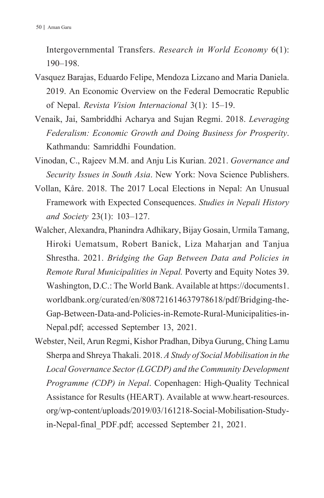Intergovernmental Transfers. *Research in World Economy* 6(1): 190–198.

- Vasquez Barajas, Eduardo Felipe, Mendoza Lizcano and Maria Daniela. 2019. An Economic Overview on the Federal Democratic Republic of Nepal. *Revista Vision Internacional* 3(1): 15–19.
- Venaik, Jai, Sambriddhi Acharya and Sujan Regmi. 2018. *Leveraging Federalism: Economic Growth and Doing Business for Prosperity*. Kathmandu: Samriddhi Foundation.
- Vinodan, C., Rajeev M.M. and Anju Lis Kurian. 2021. *Governance and Security Issues in South Asia*. New York: Nova Science Publishers.
- Vollan, Kåre. 2018. The 2017 Local Elections in Nepal: An Unusual Framework with Expected Consequences. *Studies in Nepali History and Society* 23(1): 103–127.
- Walcher, Alexandra, Phanindra Adhikary, Bijay Gosain, Urmila Tamang, Hiroki Uematsum, Robert Banick, Liza Maharjan and Tanjua Shrestha. 2021. *Bridging the Gap Between Data and Policies in Remote Rural Municipalities in Nepal.* Poverty and Equity Notes 39. Washington, D.C.: The World Bank. Available at https://documents1. worldbank.org/curated/en/808721614637978618/pdf/Bridging-the-Gap-Between-Data-and-Policies-in-Remote-Rural-Municipalities-in-Nepal.pdf; accessed September 13, 2021.
- Webster, Neil, Arun Regmi, Kishor Pradhan, Dibya Gurung, Ching Lamu Sherpa and Shreya Thakali. 2018. *A Study of Social Mobilisation in the Local Governance Sector (LGCDP) and the Community Development Programme (CDP) in Nepal*. Copenhagen: High-Quality Technical Assistance for Results (HEART). Available at www.heart-resources. org/wp-content/uploads/2019/03/161218-Social-Mobilisation-Studyin-Nepal-final\_PDF.pdf; accessed September 21, 2021.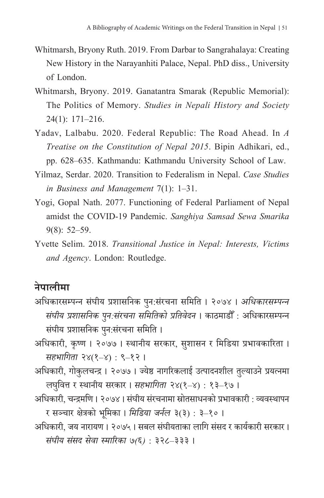- Whitmarsh, Bryony Ruth. 2019. From Darbar to Sangrahalaya: Creating New History in the Narayanhiti Palace, Nepal. PhD diss., University of London.
- Whitmarsh, Bryony. 2019. Ganatantra Smarak (Republic Memorial): The Politics of Memory. *Studies in Nepali History and Society*  24(1): 171–216.
- Yadav, Lalbabu. 2020. Federal Republic: The Road Ahead. In *A Treatise on the Constitution of Nepal 2015*. Bipin Adhikari, ed., pp. 628–635. Kathmandu: Kathmandu University School of Law.
- Yilmaz, Serdar. 2020. Transition to Federalism in Nepal. *Case Studies in Business and Management* 7(1): 1–31.
- Yogi, Gopal Nath. 2077. Functioning of Federal Parliament of Nepal amidst the COVID-19 Pandemic. *Sanghiya Samsad Sewa Smarika*  9(8): 52–59.
- Yvette Selim. 2018. *Transitional Justice in Nepal: Interests, Victims and Agency*. London: Routledge.

## **नेपालीमा**

- अधिकारसम्पन्न संघीय प्रशासनिक पुन:संरचना समिति । २०७४ । *अधिकारसम्पन्न सं घीय प्रशासनिक पनु:सं रचना समितिको प्रतिवेदन* । काठमाडौ ँ : अधिकारसम्पन्न सं घीय प्रशासनिक पनु:सं रचना समिति ।
- अधिकारी, कृष्ण । २०७७ । स्थानीय सरकार, सु शासन र मिडिया प्रभावकारिता । *सहभागिता* २४(१–४) : ९–१२ ।
- अधिकारी, गोकुलचन्द्र । २०७७ । ज्येष्ठ नागरिकलाई उत्पादनशील तलु्याउने प्रयत्नमा लघवित्त ु र स्थानीय सरकार । *सहभागिता* २४(१–४) : १३–१७ ।
- अधिकारी, चन्द्रमणि । २०७४ । संघीय संरचनामा स्रोतसाधनको प्रभावकारी : व्यवस्थापन र सञ्चार क्षेत्रको भूमिका । *मिडिया जर्नल* ३(३) : ३–१० ।
- अधिकारी, जय नारायण । २०७५ । सबल सं घीयताका लागि सं सद र कार्यकारी सरकार । *सं घीय सं सद सेवा स्मारिका ७(६)* : ३२८–३३३ ।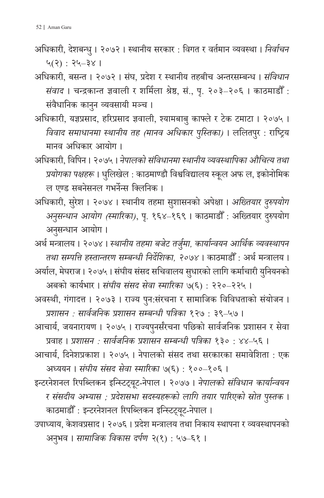- अधिकारी, देशबन्धु । २०७२ । स्थानीय सरकार : विगत र वर्तमान व्यवस्था । *निर्वाचन* ५(२) : २५–३४ ।
- अधिकारी, बसन्त । २०७२ । संघ, प्रदेश र स्थानीय तहबीच अन्तरसम्बन्ध । *संविधान सं वाद* । चन्द्रकान्त ज्ञवाली र शर्मिला श्रेष्ठ, सं ., पृ. २०३–२०६ । काठमाडौ ँ : संवैधानिक कानुन व्यवसायी मञ्च ।
- अधिकारी, यज्ञप्रसाद, हरिप्रसाद ज्ञवाली, श्यामबाबु काफ्लेर टेक टमाटा । २०७५ । *विवाद समाधानमा स्थानीय तह (मानव अधिकार पुस्तिका)* । ललितपुर : राष्ट्रिय मानव अधिकार आयोग ।
- अधिकारी, विपिन । २०७५ । *नेपालको सं विधानमा स्थानीय व्यवस्थापिका औचित्य तथा प्रयोगका पक्षहरू* । धुलिखेल : काठमाण्डौ विश्वविद्यालय स्कूल अफ ल, इकोनोमिक ल एण्ड सबनेसनल गभर्नेन्स क्लिनिक ।
- अधिकारी, सुरेश । २०७४ । स्थानीय तहमा सुशासनको अपेक्षा । *अख्तियार दुरुपयोग अनुसन्धान आयोग (स्मारिका)*, पृ. १६४–१६९ । काठमाडौँ : अख्तियार दुरुपयोग ;<br>; अनुसन्धान आयोग ।

अर्थ मन्त्रालय । २०७४ । *स्थानीय तहमा बजेट तर्जुम ा, कार्यान्वयन आर्थिक व्यवस्थापन तथा सम्पत्ति हस्तान्तरण सम्बन्धी निर्शिदे का, २०७४* । काठमाडौ ँ : अर्थ मन्त्रालय । अर्याल, मेघराज । २०७५ । संघीय संसद सचिवालय सुधारको लागि कर्माचारी युनियनको

अबको कार्यभार । *सं घीय सं सद सेवा स्मारिका* ७(६) : २२०–२२५ ।

- अवस्थी, गंगादत्त । २०७३ । राज्य पुन:संरचना र सामाजिक विविधताको संयोजन । *प्रशासन : सार्वजनिक प्रशासन सम्बन्धी पत्रिका* १२७ : ३९–५७ ।
- आचार्य, जयनारायण । २०७५ । राज्यपनुर्संरचना पछिको सार्वजनिक प्रशासन र सेवा प्रवाह । *प्रशासन : सार्वजनिक प्रशासन सम्बन्धी पत्रिका* १३० : ४४–५६ ।
- आचार्य, दिनेशप्रकाश । २०७५ । नेपालको सं सद तथा सरकारका समावेशिता : एक अध्ययन । *सं घीय सं सद सेवा स्मारिका* ७(६) : १००–१०६ ।
- इन्टरनेशनल रिपब्लिकन इन्स्टिट्यूट-नेपाल । २०७७ । *नेपालको संविधान कार्यान्वय*न *र सं सदीय अभ्यास ; प्रदेशसभा सदस्यहरूको लागि तयार पारिएको स्रोत पस ु्तक* । काठमाडौँ : इन्टरनेशनल रिपब्लिकन इन्स्टिट्यूट-नेपाल ।
- उपाध्याय, के शवप्रसाद । २०७६ । प्रदेश मन्त्रालय तथा निकाय स्थापना र व्यवस्थापनको अनभु व । *सामाजिक विकास दर्पण* २(१) : ५७–६१ ।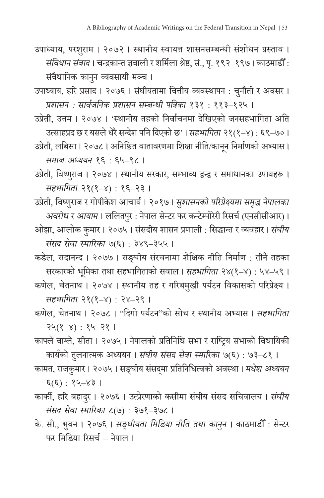- उपाध्याय, परशुराम । २०७२ । स्थानीय स्वायत्त शासनसम्बन्धी सं शोधन प्रस्ताव । *संविधान संवाद* । चन्द्रकान्त ज्ञवाली र शर्मिला श्रेष्ठ, सं., पृ. १९२–१९७ । काठमाडौँ : संवैधानिक कानुन व्यवसायी मञ्च ।
- उपाध्याय, हरि प्रसाद । २०७६ । संघीयतामा वित्तीय व्यवस्थापन : चुनौती र अवसर । *प्रशासन : सार्वजनिक प्रशासन सम्बन्धी पत्रिका* १३१ : ११३–१२५ ।
- उप्रेती, उत्तम । २०७४ । 'स्थानीय तहको निर्वाचनमा देखिएको जनसहभागिता अति उत्साहप्रद छ र यसले धेरै सन्देश पनिदिएको छ' । *सहभागिता* २१(१–४) : ६९–७० ।
- उप्रेती, लबिसा। २०७८। अनिश्चित वातावरणमा शिक्षा नीति/कानून निर्माणको अभ्यास। *समाज अध्ययन* १६ : ६५–९८ ।
- उप्रेती, विष्णुराज । २०७४ । स्थानीय सरकार, सम्भाव्य द्वन्द्व र समाधानका उपायहरू । *सहभागिता* २१(१–४) : १६–२३ ।
- उप्रेती, विष्णुराज र गोपीकेश आचार्य । २०१७ । *सुशासनको परिप्रेक्ष्यमा समृद्ध नेपालका अवरोध र आयाम* । ललितपुर : नेपाल सेन्टर फर कन्टेम्पोरेरी रिसर्च (एनसीसीआर) । ओझा, आलोक कुमार । २०७५ । सं सदीय शासन प्रणाली : सिद्धान्त र व्यवहार । *सं घीय*
- *सं सद सेवा स्मारिका* ७(६) : ३४९–३५५ । कडेल, सदानन्द । २०७७ । सङ्घीय सं रचनामा शैक्षिक नीति निर्माण : तीनै तहका सरकारको भूमिका तथा सहभागिताको सवाल । *सहभागिता* २४(१–४) : ५४–५९ ।

कणेल, चेतनाथ । २०७४ । स्थानीय तह र गरिबमु खी पर्यटन विकासको परिप्रेक्ष्य । *सहभागिता* २१(१–४) : २४–२९ ।

- कणेल, चेतनाथ । २०७८ । "दिगो पर्यटन"को सोच र स्थानीय अभ्यास । *सहभागिता* २५(१–४) : १५–२१ ।
- काफ्लेवाग्ले, सीता । २०७५ । नेपालको प्रतिनिधि सभा र राष्ट्रिय सभाको विधायिकी कार्यको तुलनात्मक अध्ययन । *संघीय संसद सेवा स्मारिका ७*(६) : ७३–८१ ।
- कामत, राजकुमार । २०७५ । सङ्घीय संसद्मा प्रतिनिधित्वको अवस्था । *मधेश अध्यय*न ६(६) : १५–४३ ।
- कार्की, हरि बहादर ु । २०७६ । उत्प्रेरणाको कसीमा सं घीय सं सद सचिवालय । *सं घीय सं सद सेवा स्मारिका* ८(७) : ३७१–३७८ ।
- के . सी., भवुन । २०७६ । *सङ्घीयता मिडिया नीति तथा काननु* । काठमाडौँ : सेन्टर फर मिडिया रिसर्च – नेपाल ।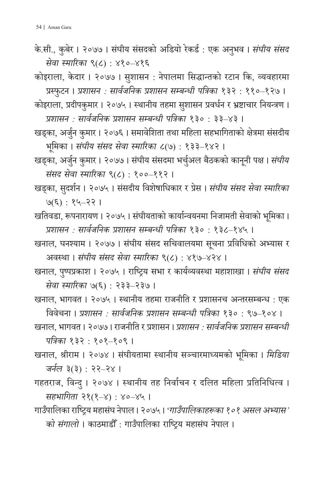के.सी., कुबेर । २०७७ । संघीय संसदको अडियो रेकर्ड : एक अनुभव । *संघीय संसद सेवा स्मारिका* ९(८) : ४१०–४१६

कोइराला, के दार । २०७७ । सु शासन : नेपालमा सिद्धान्तको रटान कि, व्यवहारमा प्रस्फुटन । *प्रशासन : सार्वजनिक प्रशासन सम्बन्धी पत्रिका* १३२ : ११०–१२७ ।

- कोइराला, प्रदीपकुमार । २०७५ । स्थानीय तहमा सुशासन प्रवर्धन र भ्रष्टाचार नियन्त्रण । *प्रशासन : सार्वजनिक प्रशासन सम्बन्धी पत्रिका* १३० : ३३–४३ ।
- खड्का, अर्जुन कुमार । २०७६ । समावेशिता तथा महिला सहभागिताको क्षेत्रमा संसदीय भूमिका । *सं घीय सं सद सेवा स्मारिका* ८(७) : १३३–१४२ ।
- खड्का, अर्जुन कुमार । २०७७ । संघीय संसदमा भर्चुअल बैठकको कानूनी पक्ष । *संघीय सं सद सेवा स्मारिका* ९(८) : १००–११२ ।
- खड्का, सदुर्शन । २०७५ । सं सदीय विशेषाधिकार र प्रेस । *सं घीय सं सद सेवा स्मारिका*  ७(६) : १५–२२ ।
- खतिवडा, रूपनारायण । २०७५ । सं घीयताको कार्यान्वयनमा निजामती सेवाको भूमिका । *प्रशासन : सार्वजनिक प्रशासन सम्बन्धी पत्रिका* १३० : १३८–१४५ ।
- खनाल, घनश्याम । २०७७ । संघीय संसद सचिवालयमा सूचना प्रविधिको अभ्यास र अवस्था । *सं घीय सं सद सेवा स्मारिका* ९(८) : ४१७–४२४ ।
- खनाल, पष ु्पप्रकाश । २०७५ । राष्ट्रिय सभा र कार्यव्यवस्था महाशाखा । *सं घीय सं सद सेवा स्मारिका* ७(६) : २३३–२३७ ।

खनाल, भागवत । २०७५ । स्थानीय तहमा राजनीति र प्रशासनच अन्तरसम्बन्ध : एक विवेचना । *प्रशासन : सार्वजनिक प्रशासन सम्बन्धी पत्रिका* १३० : ९७–१०४ ।

खनाल, भागवत । २०७७ । राजनीति र प्रशासन । *प्रशासन : सार्वजनिक प्रशासन सम्बन्धी पत्रिका* १३२ : १०१–१०९ ।

- खनाल, श्रीराम । २०७४ । सं घीयतामा स्थानीय सञ्चारमाध्यमको भूमिका । *मिडिया जर्नल* ३(३) : २२–२४ ।
- गहतराज, विन्दु । २०७४ । स्थानीय तह निर्वाचन र दलित महिला प्रतिनिधित्व । *सहभागिता* २१(१–४) : ४०–४५ ।
- गाउँपालिका राष्ट्रिय महासं घ नेपाल । २०७५ । '*गाउँपालिकाहरूका १०१ असल अभ्यास' को संगालो* । काठमाडौँ : गाउँपालिका राष्ट्रिय महासंघ नेपाल <mark>।</mark>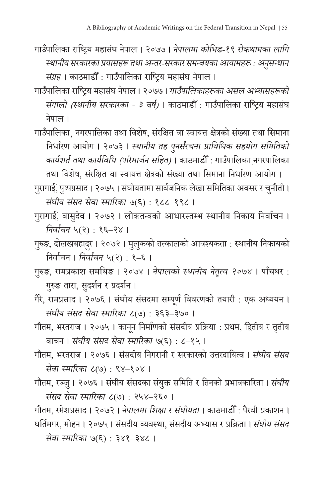- गाउँपालिका राष्ट्रिय महासं घ नेपाल । २०७७ । *नेपालमा कोभिड-१९ रोकथामका लागि स्थानीय सरकारका प्रयासहरू तथा अन्तर-सरकार समन्वयका आयामहरू : अनसन ु ्धान सं ग्रह* । काठमाडौ ँ : गाउँपालिका राष्ट्रिय महासं घ नेपाल ।
- गाउँपालिका राष्ट्रिय महासं घ नेपाल । २०७७ । *गाउँपालिकाहरूका असल अभ्यासहरूको संगालो (स्थानीय सरकारका - ३ वर्ष)* । काठमाडौँ : गाउँपालिका राष्ट्रिय महासंघ नेपाल ।
- गाउँपालिका<sub>,</sub> नगरपालिका तथा विशेष, संरक्षित वा स्वायत्त क्षेत्रको संख्या तथा सिमाना निर्धारण आयोग । २०७३ । *स्थानीय तह पनर्ु संरचना प्राविधिक सहयोग समितिको कार्यशर्त तथा कार्यविधि (परिमार्जन सहित)* । काठमाडौ ँ : गाउँपालिका¸नगरपालिका तथा विशेष, सं रक्षित वा स्वायत्त क्षेत्रको सं ख्या तथा सिमाना निर्धारण आयोग ।

गुरागाई, पुष्पप्रसाद । २०७५ । संघीयतामा सार्वजनिक लेखा समितिका अवसर र चुनौती । ु *सं घीय सं सद सेवा स्मारिका* ७(६) : १८८–१९८ ।

- गुरागाईं, वासुदेव । २०७२ । लोकतन्त्रको आधारस्तम्भ स्थानीय निकाय निर्वाचन । *निर्वाचन* ५(२) : १६–२४ ।
- गुरुङ, दोलखबहादुर । २०७२ । मुलुकको तत्कालको आवश्यकता : स्थानीय निकायको निर्वाचन । *निर्वाचन* ५(२) : १–६ ।
- गुरुङ, रामप्रकाश समथिङ । २०७४ । *नेपालको स्थानीय नेततृ्व २०७४* । पाँचथर : गुरुङ तारा, सुदर्शन र प्रदर्शन ।
- गैरे, रामप्रसाद । २०७६ । संघीय संसदमा सम्पूर्ण विवरणको तयारी : एक अध्ययन । *सं घीय सं सद सेवा स्मारिका* ८(७) : ३६३–३७० ।
- गौतम, भरतराज । २०७५ । कानून निर्माणको संसदीय प्रक्रिया : प्रथम, द्वितीय र तृतीय ृ वाचन । *सं घीय सं सद सेवा स्मारिका* ७(६) : ८–१५ ।
- गौतम, भरतराज । २०७६ । संसदीय निगरानी र सरकारको उत्तरदायित्व । *संघीय संसद सेवा स्मारिका* ८(७) : ९४–१०४ ।
- गौतम, रञ्जु । २०७६ । संघीय संसदका संयुक्त समिति र तिनको प्रभावकारिता । *संघीय सं सद सेवा स्मारिका* ८(७) : २५४–२६० ।

गौतम, रमेशप्रसाद । २०७२ । *नेपालमा शिक्षा र सं घीयता* । काठमाडौ ँ : पैरवी प्रकाशन । घर्तिमगर, मोहन । २०७५ । सं सदीय व्यवस्था, सं सदीय अभ्यास र प्रक्रिता । *सं घीय सं सद सेवा स्मारिका* ७(६) : ३४१–३४८ ।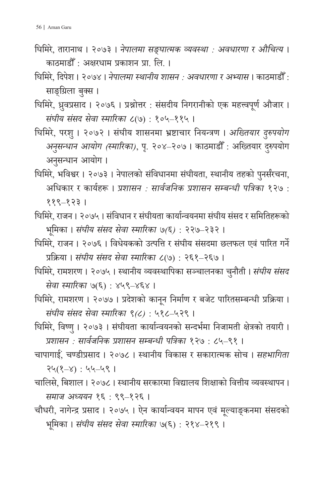- घिमिरे, तारानाथ । २०७३ । *नेपालमा सङ्घात्मक व्यवस्था : अवधारणा र औचित्य* । काठमाडौ ँ : अक्षरधाम प्रकाशन प्रा. लि. ।
- घिमिरे, दिपेश । २०७४ । *नेपालमा स्थानीय शासन : अवधारणा र अभ्यास* । काठमाडौ ँ : साङ्ग्रिला बुक्स ।
- घिमिरे, ध्रुवप्रसाद । २०७६ । प्रश्नोत्तर : सं सदीय निगरानीको एक महत्त्वपूर्ण औजार । *सं घीय सं सद सेवा स्मारिका* ८(७) : १०५–११५ ।
- घिमिरे, परशु । २०७२ । सं घीय शासनमा भ्रष्टाचार नियन्त्रण । *अख्तियार दु रुपयोग अनुसन्धान आयोग (स्मारिका)*, पृ. २०४–२०७ । काठमाडौँ : अख्तियार दुरुपयोग ;<br>। अनुसन्धान आयोग ।
- घिमिरे, भविश्वर । २०७३ । नेपालको संविधानमा संघीयता, स्थानीय तहको पुनर्संरचना, अधिकार र कार्यहरू । *प्रशासन : सार्वजनिक प्रशासन सम्बन्धी पत्रिका* १२७ : ११९–१२३ ।
- घिमिरे, राजन। २०७५। संविधान र संघीयता कार्यान्वयनमा संघीय संसद र समितिहरूको भूमिका । *सं घीय सं सद सेवा स्मारिका ७(६)* : २२७–२३२ ।
- घिमिरे, राजन । २०७६ । विधेयकको उत्पत्ति र सं घीय सं सदमा छलफल एवं पारित गर्ने प्रक्रिया । *सं घीय सं सद सेवा स्मारिका* ८(७) : २६१–२६७ ।
- घिमिरे, रामशरण । २०७५ । स्थानीय व्यवस्थापिका सञ्चालनका चुनौती । *संघीय संसद सेवा स्मारिका* ७(६) : ४५९–४६४ ।
- घिमिरे, रामशरण । २०७७ । प्रदेशको कानून निर्माण र बजेट पारितसम्बन्धी प्रक्रिया । *सं घीय सं सद सेवा स्मारिका ९(८)* : ५१८–५२९ ।
- घिमिरे, विष्णु । २०७३ । संघीयता कार्यान्वयनको सन्दर्भमा निजामती क्षेत्रको तयारी । *प्रशासन : सार्वजनिक प्रशासन सम्बन्धी पत्रिका* १२७ : ८५–९१ ।
- चापागाई ं, चण्डीप्रसाद । २०७८ । स्थानीय विकास र सकारात्मक सोच । *सहभागिता* २५(१–४) : ५५–५९ ।
- चालिसे, बिशाल । २०७८ । स्थानीय सरकारमा विद्यालय शिक्षाको वित्तीय व्यवस्थापन । *समाज अध्ययन* १६ : ९९–१२६ ।
- चौधरी, नागेन्द्र प्रसाद । २०७५ । ऐन कार्यान्वयन मापन एवं मू ल्याङ्कनमा सं सदको भूमिका । *सं घीय सं सद सेवा स्मारिका* ७(६) : २१४–२१९ ।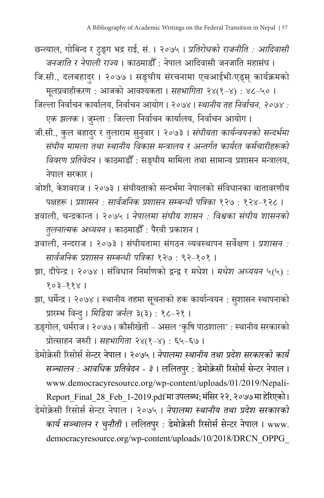- छन्त्याल, गोबिन्द र टु ङ्ग भद्र राई, सं . । २०७५ । *प्रतिरोधको राजनीति : आदिवासी जनजाति र नेपाली राज्य* । काठमाडौ ँ: नेपाल आदिवासी जनजाति महासं घ ।
- जि.सी., दलबहादुर । २०७७ । सङ्घीय सं रचनामा एचआईभी/एड्स् कार्यक्रमको मलप्र ू वाहीकरण : आजको आवश्यकता । *सहभागिता* २४(१–४) : ४८–५० ।
- जिल्ला निर्वाचन कार्यालय, निर्वाचन आयोग । २०७४ । *स्थानीय तह निर्वाचन, २०७४ : एक झलक* । जुम्ला : जिल्ला निर्वाचन कार्यालय, निर्वाचन आयोग ।
- जी.सी., कुल बहादुर र तुलाराम सुनुवार । २०७३ । *संघीयता कार्यन्वयनको सन्दर्भमा सं घीय मामला तथा स्थानीय विकास मन्त्रालय र अन्तर्गत कार्यरत कर्मचारीहरूको विवरण प्रतिवेदन* । काठमाडौ ँ : सङ्घीय मामिला तथा सामान्य प्रशासन मन्त्रालय, नेपाल सरकार ।
- जोशी, केशवराज । २०७३ । संघीयताको सन्दर्भमा नेपालको संविधानका वातावरणीय पक्षहरू । *प्रशासन : सार्वजनिक प्रशासन सम्बन्धी पत्रिका* १२७ : १२४–१२८ ।
- ज्ञवाली, चन्द्रकान्त । २०७५ । *नेपालमा सं घीय शासन : विश्वका सं घीय शासनको तलुनात्मक अध्ययन* । काठमाडौ ँ : पैरवी प्रकाशन ।
- ज्ञवाली, नन्दराज । २०७३ । सं घीयतामा सं गठन व्यवस्थापन सर्वेक्षण । *प्रशासन : सार्वजनिक प्रशासन सम्बन्धी पत्रिका* १२७ : ९२–१०१ ।
- झा, दीपेन्द्र । २०७४ । सं विधान निर्माणको द्वन्द्व र मधेश । *मधेश अध्ययन* ५(५) : १०३–११४ ।
- झा, धर्मेन्द्र । २०७४ । स्थानीय तहमा सूचनाको हक कार्यान्वयन : सुशासन स्थापनाको प्रारम्भ विन्दु । *मिडिया जर्नल* ३(३) : १८–२१ ।
- डङ्गोल, धर्मराज । २०७७ । कौसीखेती असल 'कृषि पाठशाला' : स्थानीय सरकारको प्रोत्साहन जरुरी । *सहभागिता* २४(१–४) : ६५–६७ ।

डेमोक्रेसी रिसोर्स सेन्टर नेपाल । २०७५ । *नेपालमा स्थानीय तथा प्रदेश सरकारको कार्य सञ्चालन : आवधिक प्रतिवेदन - ३* । ललितपर ु : डेमोक्रेसी रिसोर्स सेन्टर नेपाल । www.democracyresource.org/wp-content/uploads/01/2019/Nepali-Report Final 28 Feb 1-2019.pdf मा उपलब्ध; मंसिर २२, २०७७ मा हेरिएको । डेमोक्रेसी रिसोर्स सेन्टर नेपाल । २०७५ । *नेपालमा स्थानीय तथा प्रदेश सरकारको कार्य सञ्चालन र चनुौती* । ललितपुर : डेमोक्रेसी रिसोर्स सेन्टर नेपाल । www. democracyresource.org/wp-content/uploads/10/2018/DRCN\_OPPG\_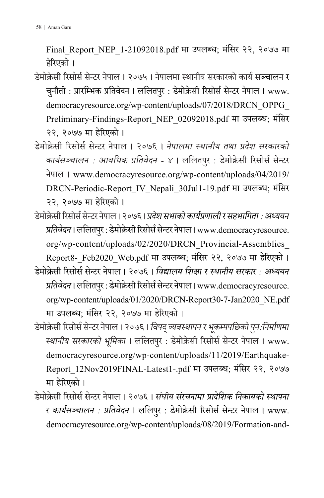Final\_Report\_NEP\_1-21092018.pdf मा उपलब्ध; मं सिर २२, २०७७ मा हेरिएको ।

- डेमोक्रेसी रिसोर्स सेन्टर नेपाल । २०७५ । नेपालमा स्थानीय सरकारको कार्य सञ्चालन र चुनौती : प्रारम्भिक प्रतिवेदन । ललितपुर : डेमोक्रेसी रिसोर्स सेन्टर नेपाल । www. democracyresource.org/wp-content/uploads/07/2018/DRCN\_OPPG\_ Preliminary-Findings-Report\_NEP\_02092018.pdf मा उपलब्ध; मं सिर २२, २०७७ मा हेरिएको ।
- डेमोक्रेसी रिसोर्स सेन्टर नेपाल । २०७६ । *नेपालमा स्थानीय तथा प्रदेश सरकारको कार्यसञ्चालन : आवधिक प्रतिवेदन - ४* । ललितपुर : डेमोक्रेसी रिसोर्स सेन्टर नेपाल । www.democracyresource.org/wp-content/uploads/04/2019/ DRCN-Periodic-Report\_IV\_Nepali\_30Jul1-19.pdf मा उपलब्ध; मं सिर २२, २०७७ मा हेरिएको ।
- डेमोक्रेसी रिसोर्स सेन्टर नेपाल । २०७६ । *प्रदेश सभाको कार्यप्रणाली र सहभागिता : अध्ययन प्रतिवेदन* । ललितपुर : डेमोक्रेसी रिसोर्स सेन्टर नेपाल । www.democracyresource. org/wp-content/uploads/02/2020/DRCN\_Provincial-Assemblies\_ Report8- Feb2020 Web.pdf मा उपलब्ध; मंसिर २२, २०७७ मा हेरिएको ।
- डेमोक्रेसी रिसोर्स सेन्टर नेपाल । २०७६ । *विद्यालय शिक्षा र स्थानीय सरकार : अध्ययन प्रतिवेदन* । ललितपुर : डेमोक्रेसी रिसोर्स सेन्टर नेपाल । www.democracyresource. org/wp-content/uploads/01/2020/DRCN-Report30-7-Jan2020\_NE.pdf मा उपलब्ध; मंसिर २२, २०७७ मा हेरिएको ।
- डेमोक्रेसी रिसोर्स सेन्टर नेपाल । २०७६ । *विपद व् ्यवस्थापन र भकम्प ू पछिको पनु:निर्माणमा स्थानीय सरकारको भूमिका* । ललितपर ु : डेमोक्रेसी रिसोर्स सेन्टर नेपाल । www. democracyresource.org/wp-content/uploads/11/2019/Earthquake-Report\_12Nov2019FINAL-Latest1-.pdf मा उपलब्ध; मं सिर २२, २०७७ मा हेरिएको ।
- डेमोक्रेसी रिसोर्स सेन्टर नेपाल । २०७६ । *सं घीय सं रचनामा प्रादेशिक निकायको स्थापना र कार्यसञ्चालन : प्रतिवेदन* । ललिपर ु : डेमोक्रेसी रिसोर्स सेन्टर नेपाल । www. democracyresource.org/wp-content/uploads/08/2019/Formation-and-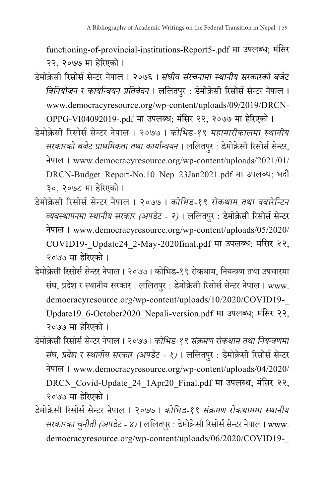functioning-of-provincial-institutions-Report5-.pdf मा उपलब्ध; मं सिर २२, २०७७ मा हेरिएको ।

डेमोक्रेसी रिसोर्स सेन्टर नेपाल । २०७६ । *सं घीय सं रचनामा स्थानीय सरकारको बजेट विनियोजन र कार्यान्वयन प्रतिवेदन* । ललितपुर : डेमोक्रेसी रिसोर्स सेन्टर नेपाल । www.democracyresource.org/wp-content/uploads/09/2019/DRCN-OPPG-VI04092019-.pdf मा उपलब्ध; मंसिर २२, २०७७ मा हेरिएको ।

डेमोक्रेसी रिसोर्स सेन्टर नेपाल । २०७७ । *कोभिड-१९ महामारीकालमा स्थानीय सरकारको बजेट प्राथमिकता तथा कार्यान्वयन* । ललितपुर : डेमोक्रेसी रिसोर्स सेन्टर, नेपाल । www.democracyresource.org/wp-content/uploads/2021/01/ DRCN-Budget\_Report-No.10\_Nep\_23Jan2021.pdf मा उपलब्ध; भदौ ३०, २०७८ मा हेरिएको ।

- डेमोक्रेसी रिसोर्स सेन्टर नेपाल । २०७७ । *कोभिड-१९ रोकथाम तथा क्वारेन्टिन व्यवस्थापनमा स्थानीय सरकार (अपडेट - २)* । ललितपर ु : डेमोक्रेसी रिसोर्स सेन्टर नेपाल । www.democracyresource.org/wp-content/uploads/05/2020/ COVID19-\_Update24\_2-May-2020final.pdf मा उपलब्ध; मं सिर २२, २०७७ मा हेरिएको ।
- डेमोक्रेसी रिसोर्स सेन्टर नेपाल । २०७७ । कोभिड-१९ रोकथाम, नियन्त्रण तथा उपचारमा संघ, प्रदेश र स्थानीय सरकार । ललितपुर : डेमोक्रेसी रिसोर्स सेन्टर नेपाल । www. democracyresource.org/wp-content/uploads/10/2020/COVID19-\_ Update19\_6-October2020\_Nepali-version.pdf मा उपलब्ध; मं सिर २२, २०७७ मा हेरिएको ।

डेमोक्रेसी रिसोर्स सेन्टर नेपाल । २०७७ । *कोभिड-१९ सं क्रमण रोकथाम तथा नियन्त्रणमा सं घ, प्रदेश र स्थानीय सरकार (अपडेट - १)* । ललितपर ु : डेमोक्रेसी रिसोर्स सेन्टर नेपाल । www.democracyresource.org/wp-content/uploads/04/2020/ DRCN\_Covid-Update\_24\_1Apr20\_Final.pdf मा उपलब्ध; मं सिर २२, २०७७ मा हेरिएको ।

डेमोक्रेसी रिसोर्स सेन्टर नेपाल । २०७७ । *कोभिड-१९ सं क्रमण रोकथाममा स्थानीय सरकारका चनुौती (अपडेट - ४)* । ललितपर ु : डेमोक्रेसी रिसोर्स सेन्टर नेपाल । www. democracyresource.org/wp-content/uploads/06/2020/COVID19-\_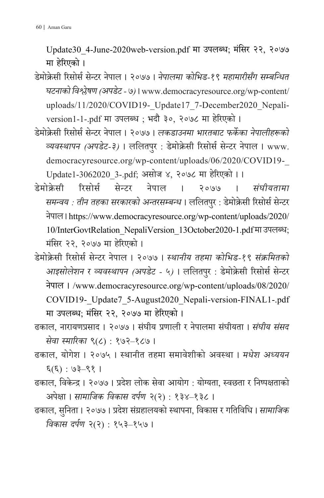Update30\_4-June-2020web-version.pdf मा उपलब्ध; मं सिर २२, २०७७ मा हेरिएको ।

- डेमोक्रेसी रिसोर्स सेन्टर नेपाल । २०७७ । *नेपालमा कोभिड-१९ महामारीसँग सम्बन्धित घटनाको विश्लेषण (अपडेट - ७)* । www.democracyresource.org/wp-content/ uploads/11/2020/COVID19- Update17\_7-December2020\_Nepaliversion1-1-.pdf मा उपलब्ध ; भदौ ३०, २०७८ मा हेरिएको ।
- डेमोक्रेसी रिसोर्स सेन्टर नेपाल । २०७७ । *लकडाउनमा भारतबाट फर्केका नेपालीहरूको व्यवस्थापन (अपडेट-३)* । ललितपुर : डेमोक्रेसी रिसोर्स सेन्टर नेपाल । www. democracyresource.org/wp-content/uploads/06/2020/COVID19-\_ Update1-3062020\_3-.pdf; असोज ४, २०७८ मा हेरिएको । ।
- डेमोक्रेसी रिसोर्स सेन्टर नेपाल । २०७७ । *सं घीयतामा समन्वय : तीन तहका सरकारको अन्तरसम्बन्ध* । ललितपुर : डेमोक्रेसी रिसोर्स सेन्टर नेपाल ।https://www.democracyresource.org/wp-content/uploads/2020/ 10/InterGovtRelation\_NepaliVersion\_13October2020-1.pdf मा उपलब्ध; मंसिर २२, २०७७ मा हेरिएको ।
- डेमोक्रेसी रिसोर्स सेन्टर नेपाल । २०७७ । *स्थानीय तहमा कोभिड-१९ सं क्रमितको आइसोलेशन र व्यवस्थापन (अपडेट - ५)* । ललितपुर : डेमोक्रेसी रिसोर्स सेन्टर नेपाल । /www.democracyresource.org/wp-content/uploads/08/2020/ COVID19-\_Update7\_5-August2020\_Nepali-version-FINAL1-.pdf मा उपलब्ध; मंसिर २२, २०७७ मा हेरिएको ।
- ढकाल, नारायणप्रसाद । २०७७ । संघीय प्रणाली र नेपालमा संघीयता । *संघीय संसद सेवा स्मारिका* ९(८) : १७२–१८७ ।
- ढकाल, योगेश । २०७५ । स्थानीत तहमा समावेशीको अवस्था । *मधेश अध्ययन* ६(६) : ७३–९१ ।
- ढकाल, विकेन्द्र । २०७७ । प्रदेश लोक सेवा आयोग : योग्यता, स्वछता र निष्पक्षताको अपेक्षा । *सामाजिक विकास दर्पण* २(२) : १३४–१३८ ।
- ढकाल, सनिु ता । २०७७ । प्रदेश सं ग्रहालयको स्थापना, विकास र गतिविधि । *सामाजिक विकास दर्पण* २(२) : १५३–१५७ ।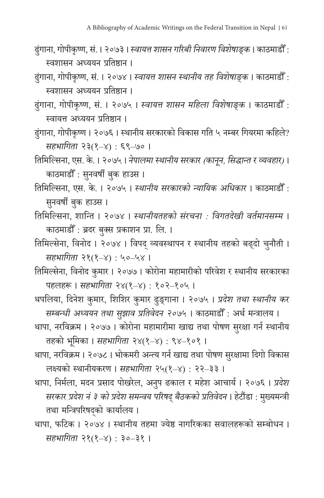- ढुं गाना, गोपीकृष्ण, सं . । २०७३ । *स्वायत्त शासन गरिबी निवारण विशेषाङ्क* । काठमाडौ ँ : स्वशासन अध्ययन प्रतिष्ठान ।
- ढुं गाना, गोपीकृष्ण, सं . । २०७४ । *स्वायत्त शासन स्थानीय तह विशेषाङ्क* । काठमाडौ ँ : स्वशासन अध्ययन प्रतिष्ठान ।
- ढुं गाना, गोपीकृष्ण, सं . । २०७५ । *स्वायत्त शासन महिला विशेषाङ्क* । काठमाडौ ँ : स्वायत्त अध्ययन प्रतिष्ठान ।
- ढुं गाना, गोपीकृष्ण । २०७६ । स्थानीय सरकारको विकास गति ५ नम्बर गियरमा कहिले? *सहभागिता* २३(१–४) : ६९–७० ।
- तिमिल्सिना, एस. के . । २०७५ । *नेपालमा स्थानीय सरकार (कानून , सिद्धान्त र व्यवहार)* । काठमाडौँ : सुनवर्षी बुक हाउस ।
- तिमिल्सिना, एस. के . । २०७५ । *स्थानीय सरकारको न्यायिक अधिकार* । काठमाडौ ँ : सुनवर्षी बुक हाउस ।
- तिमिल्सिना, शान्ति । २०७४ । *स्थानीयतहको सं रचना : विगतदेखी वर्तमानसम्म* । काठमाडौ ँ : ब्रदर बकु्स प्रकाशन प्रा. लि. ।
- तिमिल्सेना, विनोद । २०७४ । विपद् व्यवस्थापन र स्थानीय तहको बढ्दो चुनौती । ु *सहभागिता* २१(१–४) : ५०–५४ ।
- तिमिल्सेना, विनोद कुमार । २०७७ । कोरोना महामारीको परिवेश र स्थानीय सरकारका पहलहरू । *सहभागिता* २४(१–४) : १०२–१०५ ।
- थपलिया, दिनेश कुमार, शिशिर कुमार ढु ङ्गाना । २०७५ । *प्रदेश तथा स्थानीय कर सम्बन्धी अध्ययन तथा सझाव प्र ु तिवेदन २०७५* । काठमाडौ ँ : अर्थ मन्त्रालय ।
- थापा, नरविक्रम । २०७७ । कोरोना महामारीमा खाद्य तथा पोषण सुरक्षा गर्न स्थानीय तहको भूमिका । *सहभागिता* २४(१–४) : ९४–१०१ ।
- थापा, नरविक्रम । २०७८ । भोकमरी अन्त्य गर्न खाद्य तथा पोषण सुरक्षामा दिगो विकास लक्ष्यको स्थानीयकरण । *सहभागिता* २५(१–४) : २२–३३ ।
- थापा, निर्मला, मदन प्रसाद पोखरेल, अनुप ढकाल र महेश आचार्य । २०७६ । *प्रदेश सरकार प्रदेश नं ३ को प्रदेश समन्वय परिषद् बैठकको प्रतिवेदन* । हेटौंडा : मुख्यमन्त्रं तथा मन्त्रिपरिषद्को कार्यालय ।
- थापा, फटिक । २०७४ । स्थानीय तहमा ज्येष्ठ नागरिकका सवालहरूको सम्बोधन । *सहभागिता* २१(१–४) : ३०–३१ ।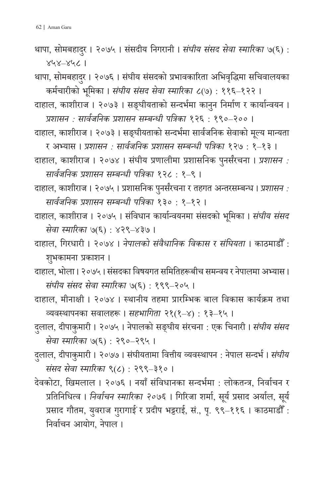थापा, सोमबहादुर । २०७५ । संसदीय निगरानी । *संघीय संसद सेवा स्मारिका ७*(६) : ४५४–४५८ ।

थापा, सोमबहादुर । २०७६ । संघीय संसदको प्रभावकारिता अभिवृद्धिमा सचिवालयका कर्मचारीको भूमिका । *सं घीय सं सद सेवा स्मारिका* ८(७) : ११६–१२२ ।

दाहाल, काशीराज । २०७३ । सङ्घीयताको सन्दर्भमा कानु न निर्माण र कार्यान्वयन । *प्रशासन : सार्वजनिक प्रशासन सम्बन्धी पत्रिका* १२६ : १९०–२०० ।

- दाहाल, काशीराज । २०७३ । सङ्घीयताको सन्दर्भमा सार्वजनिक सेवाको मलू्य मान्यता
- र अभ्यास । *प्रशासन : सार्वजनिक प्रशासन सम्बन्धी पत्रिका* १२७ : १–१३ । दाहाल, काशीराज । २०७४ । सं घीय प्रणालीमा प्रशासनिक पु नर्संरचना । *प्रशासन :*

*सार्वजनिक प्रशासन सम्बन्धी पत्रिका* १२८ : १–९ ।

- दाहाल, काशीराज । २०७५ । प्रशासनिक पनुर्संरचना र तहगत अन्तरसम्बन्ध । *प्रशासन : सार्वजनिक प्रशासन सम्बन्धी पत्रिका* १३० : १–१२ ।
- दाहाल, काशीराज । २०७५ । सं विधान कार्यान्वयनमा सं सदको भूमिका । *सं घीय सं सद सेवा स्मारिका* ७(६) : ४२९–४३७ ।
- दाहाल, गिरधारी । २०७४ । *नेपालको सं वैधानिक विकास र सं घियता* । काठमाडौ ँ : शभकामना प्रकाशन । ु
- दाहाल, भोला । २०७५ । सं सदका विषयगत समितिहरूबीच समन्वय र नेपालमा अभ्यास । *सं घीय सं सद सेवा स्मारिका* ७(६) : १९९–२०५ ।
- दाहाल, मीनाक्षी । २०७४ । स्थानीय तहमा प्रारम्भिक बाल विकास कार्यक्रम तथा व्यवस्थापनका सवालहरू । *सहभागिता* २१(१–४) : १३–१५ ।
- दुलाल, दीपाकुमारी । २०७५ । नेपालको सङ्घीय संरचना : एक चिनारी । *संघीय संसद सेवा स्मारिका* ७(६) : २९०–२९५ ।
- दुलाल, दीपाकुमारी । २०७७ । संघीयतामा वित्तीय व्यवस्थापन : नेपाल सन्दर्भ । *संघीय सं सद सेवा स्मारिका* ९(८) : २९९–३१० ।
- देवकोटा, खिमलाल । २०७६ । नयाँ सं विधानका सन्दर्भमा : लोकतन्त्र, निर्वाचन र प्रतिनिधित्व । *निर्वाचन स्मारिका २०७६* । गिरिजा शर्मा, सूर्य प्रसाद अर्याल, सूर्य प्रसाद गौतम, युवराज गुरागाई र प्रदीप भट्टराई, सं., पृ. ९९–११६ । काठमाडौँ : निर्वाचन आयोग, नेपाल ।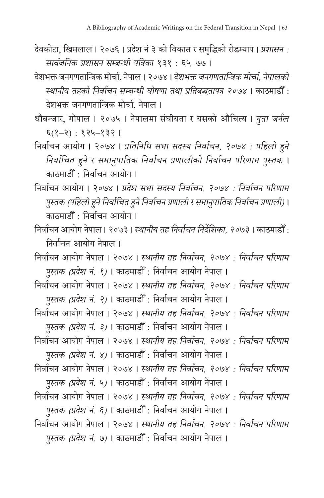- देवकोटा, खिमलाल । २०७६ । प्रदेश नं ३ को विकास र समद्धिृ को रोडम्याप । *प्रशासन : सार्वजनिक प्रशासन सम्बन्धी पत्रिका* १३१ : ६५–७७ ।
- देशभक्त जनगणतान्त्रिक मोर्चा, नेपाल । २०७४ । *देशभक्त जनगणतान्त्रिक मोर्चा, नेपालको स्थानीय तहको निर्वाचन सम्बन्धी घोषणा तथा प्रतिबद्धतापत्र २०७४* । काठमाडौ ँ : देशभक्त जनगणतान्त्रिक मोर्चा, नेपाल ।
- धौबन्जार, गोपाल । २०७५ । नेपालमा सं घीयता र यसको औचित्य । *नु ता जर्नल* ६(१–२) : १२५–१३२ ।
- निर्वाचन आयोग । २०७४ । *प्रतिनिधि सभा सदस्य निर्वाचन, २०७४ : पहिलो हु ने निर्वाचित हुने र समानु पातिक निर्वाचन प्रणालीको निर्वाचन परिणाम पुस्तक* । काठमाडौ ँ : निर्वाचन आयोग ।
- निर्वाचन आयोग । २०७४ । *प्रदेश सभा सदस्य निर्वाचन, २०७४ : निर्वाचन परिणाम पस ु्तक (पहिलो हु ने निर्वाचित हु ने निर्वाचन प्रणाली र समानपुातिक निर्वाचन प्रणाली)* । काठमाडौ ँ : निर्वाचन आयोग ।
- निर्वाचन आयोग नेपाल । २०७३ । *स्थानीय तह निर्वाचन निर्शिदे का, २०७३* । काठमाडौ ँ : निर्वाचन आयोग नेपाल ।
- निर्वाचन आयोग नेपाल । २०७४ । *स्थानीय तह निर्वाचन, २०७४ : निर्वाचन परिणाम पुस्तक (प्रदेश नं. १)* । काठमाडौँ : निर्वाचन आयोग नेपाल ।
- निर्वाचन आयोग नेपाल । २०७४ । *स्थानीय तह निर्वाचन, २०७४ : निर्वाचन परिणाम पुस्तक (प्रदेश नं. २)* । काठमाडौँ : निर्वाचन आयोग नेपाल ।
- निर्वाचन आयोग नेपाल । २०७४ । *स्थानीय तह निर्वाचन, २०७४ : निर्वाचन परिणाम पुस्तक (प्रदेश नं. ३)* । काठमाडौँ : निर्वाचन आयोग नेपाल ।
- निर्वाचन आयोग नेपाल । २०७४ । *स्थानीय तह निर्वाचन, २०७४ : निर्वाचन परिणाम पुस्तक (प्रदेश नं. ४)* । काठमाडौँ : निर्वाचन आयोग नेपाल ।
- निर्वाचन आयोग नेपाल । २०७४ । *स्थानीय तह निर्वाचन, २०७४ : निर्वाचन परिणाम पुस्तक (प्रदेश नं. ५)* । काठमाडौँ : निर्वाचन आयोग नेपाल ।
- निर्वाचन आयोग नेपाल । २०७४ । *स्थानीय तह निर्वाचन, २०७४ : निर्वाचन परिणाम पुस्तक (प्रदेश नं. ६)* । काठमाडौँ : निर्वाचन आयोग नेपाल ।
- निर्वाचन आयोग नेपाल । २०७४ । *स्थानीय तह निर्वाचन, २०७४ : निर्वाचन परिणाम पुस्तक (प्रदेश नं. ७)* । काठमाडौँ : निर्वाचन आयोग नेपाल ।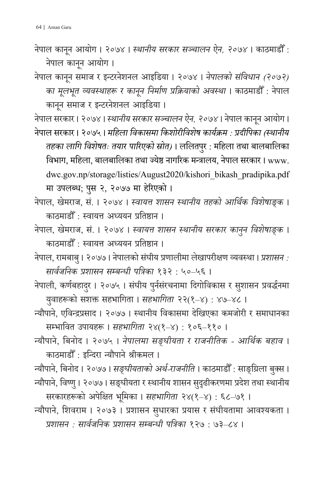- नेपाल कानून आयोग । २०७४ । स्था*नीय सरकार सञ्चालन ऐन, २०७४* । काठमाडौँ : नेपाल कानून आयोग ।
- नेपाल कानून समाज र इन्टरनेशनल आइडिया । २०७४ । *नेपालको संविधान (२०७२) का मूलभूत व्यवस्थाहरू र कानून निर्माण प्रक्रियाको अवस्था* । काठमाडौँ : नेपाल कानून समाज र इन्टरनेशनल आइडिया ।

नेपाल सरकार । २०७४ । स्था*नीय सरकार सञ्चालन ऐन, २०७४* । नेपाल कानून आयोग ।

- नेपाल सरकार । २०७५ । *महिला विकासमा किशोरीविशेष कार्यक्रम : प्रदीपिका (स्थानीय तहका लागि विशेषतः तयार पारिएको स्रोत)* । ललितपुर : महिला तथा बालबालिका विभाग, महिला, बालबालिका तथा ज्येष्ठ नागरिक मन्त्रालय, नेपाल सरकार । www. dwc.gov.np/storage/listies/August2020/kishori\_bikash\_pradipika.pdf मा उपलब्ध; पुस २, २०७७ मा हेरिएको ।
- नेपाल, खेमराज, सं . । २०७४ । *स्वायत्त शासन स्थानीय तहको आर्थिक विशेषाङ्क* । काठमाडौ ँ : स्वायत्त अध्ययन प्रतिष्ठान ।
- नेपाल, खेमराज, सं . । २०७४ । *स्वायत्त शासन स्थानीय सरकार काननु विशेषाङ्क* । काठमाडौ ँ : स्वायत्त अध्ययन प्रतिष्ठान ।
- नेपाल, रामबाबु । २०७७ । नेपालको संघीय प्रणालीमा लेखापरीक्षण व्यवस्था । *प्रशासन : सार्वजनिक प्रशासन सम्बन्धी पत्रिका* १३२ : ५०–५६ ।
- नेपाली, कर्णबहादुर । २०७५ । संघीय पुर्नसंरचनामा दिगोविकास र सुशासन प्रवर्द्धनमा यवुाहरूको सशक्त सहभागिता । *सहभागिता* २२(१–४) : ४७–४८ ।
- न्यौपाने, एविन्द्रप्रसाद । २०७७ । स्थानीय विकासमा देखिएका कमजोरी र समाधानका सम्भावित उपायहरू । *सहभागिता* २४(१–४) : १०६–११० ।
- न्यौपाने, बिनोद । २०७५ । *नेपालमा सङ्घीयता र राजनीतिक आर्थिक बहाव* । काठमाडौ ँ : इन्दिरा न्यौपाने श्रीकमल ।

न्यौपाने, बिनोद। २०७७। *सङ्घीयताको अर्थ-राजनीति* । काठमाडौँ : साङ्ग्रिला बक्स। न्यौपाने, विष्णु । २०७७ । सङ्घीयता र स्थानीय शासन सुदृढीकरणमा प्रदेश तथा स्थानीय

सरकारहरूको अपेक्षित भूमिका । *सहभागिता* २४(१–४) : ६८–७१ । न्यौपाने, शिवराम । २०७३ । प्रशासन सु धारका प्रयास र सं घीयतामा आवश्यकता । *प्रशासन : सार्वजनिक प्रशासन सम्बन्धी पत्रिका* १२७ : ७३–८४ ।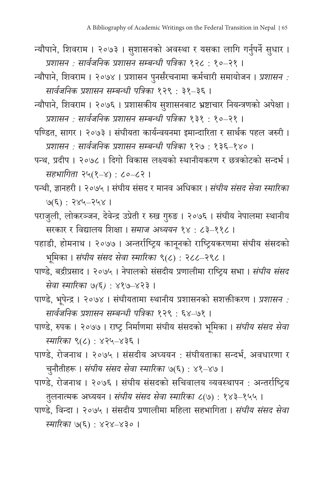- न्यौपाने, शिवराम । २०७३ । सु शासनको अवस्था र यसका लागि गर्नुपर्ने सु धार । *प्रशासन : सार्वजनिक प्रशासन सम्बन्धी पत्रिका* १२८ : १०–२१ ।
- न्यौपाने, शिवराम । २०७४ । प्रशासन पनुर्संरचनामा कर्मचारी समायोजन । *प्रशासन : सार्वजनिक प्रशासन सम्बन्धी पत्रिका* १२९ : ३१–३६ ।
- न्यौपाने, शिवराम । २०७६ । प्रशासकीय सुशासनबाट भ्रष्टाचार नियन्त्रणको अपेक्षा । *प्रशासन : सार्वजनिक प्रशासन सम्बन्धी पत्रिका* १३१ : १०–२१ ।
- पण्डित, सागर । २०७३ । सं घीयता कार्यन्वयनमा इमान्दारिता र सार्थक पहल जरुरी । *प्रशासन : सार्वजनिक प्रशासन सम्बन्धी पत्रिका* १२७ : १३६–१४० ।
- पन्थ, प्रदीप । २०७८ । दिगो विकास लक्ष्यको स्थानीयकरण र छत्रकोटको सन्दर्भ । *सहभागिता* २५(१–४) : ८०–८२ ।
- पन्थी, ज्ञानहरी । २०७५ । संघीय संसद र मानव अधिकार । *संघीय संसद सेवा स्मारिका* ७(६) : २४५–२५४ ।
- पराजुली, लोकरञ्जन, देवेन्द्र उप्रेती र रुख गुरुङ । २०७६ । संघीय नेपालमा स्थानीय सरकार र विद्यालय शिक्षा । *समाज अध्ययन* १४ : ८३–११८ ।
- पहाडी, होमनाथ । २०७७ । अन्तर्राष्ट्रिय कानू नको राष्ट्रियकरणमा सं घीय सं सदको भूमिका । *सं घीय सं सद सेवा स्मारिका* ९(८) : २८८–२९८ ।
- पाण्डे, बद्रीप्रसाद । २०७५ । नेपालको संसदीय प्रणालीमा राष्ट्रिय सभा । *संघीय संसद सेवा स्मारिका ७(६)* : ४१७–४२३ ।
- पाण्डे, भू पेन्द्र । २०७४ । सं घीयतामा स्थानीय प्रशासनको सशक्तीकरण । *प्रशासन : सार्वजनिक प्रशासन सम्बन्धी पत्रिका* १२९ : ६४–७१ ।
- पाण्डे, रुपक । २०७७ । राष्ट्र निर्माणमा सं घीय सं सदको भूमिका । *सं घीय सं सद सेवा स्मारिका* ९(८) : ४२५–४३६ ।
- पाण्डे, रोजनाथ । २०७५ । संसदीय अध्ययन : संघीयताका सन्दर्भ, अवधारणा र चुनौतीहरू । *संघीय संसद सेवा स्मारिका ७*(६) : ४१–४७ ।
- पाण्डे, रोजनाथ । २०७६ । संघीय संसदको सचिवालय व्यवस्थापन : अन्तर्राष्ट्रिय तुलनात्मक अध्ययन । *संघीय संसद सेवा स्मारिका ८*(७) : १४३–१५५ ।
- पाण्डे, विन्दा । २०७५ । सं सदीय प्रणालीमा महिला सहभागिता । *सं घीय सं सद सेवा स्मारिका* ७(६) : ४२४–४३० ।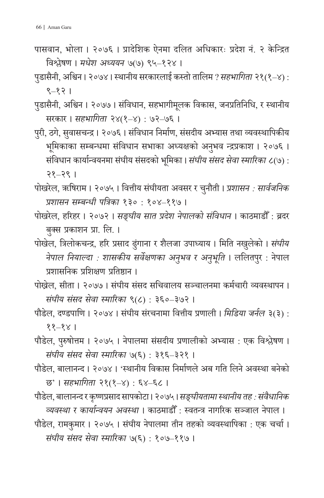पासवान, भोला । २०७६ । प्रादेशिक ऐनमा दलित अधिकारः प्रदेश नं . २ केन्द्रित विश्लेषण । *मधेश अध्ययन* ७(७) ९५–१२४ ।

पडासैनी, अ ु श्विन । २०७४ । स्थानीय सरकारलाई कस्तो तालिम ? *सहभागिता* २१(१–४) : ९–१२ ।

पुडासैनी, अश्विन । २०७७ । संविधान, सहभागीमूलक विकास, जनप्रतिनिधि, र स्थानीय सरकार । *सहभागिता* २४(१–४) : ७२–७६ ।

पुरी, ठगे, सुवासचन्द्र । २०७६ । संविधान निर्माण, संसदीय अभ्यास तथा व्यवस्थापिकीय भूमिकाका सम्बन्धमा संविधान सभाका अध्यक्षको अनुभव न्द्रप्रकाश । २०७६ । संविधान कार्यान्वयनमा संघीय संसदको भूमिका । *संघीय संसद सेवा स्मारिका ८*(७) : २१–२९ ।

पोखरेल, ॠषिराम । २०७५ । वित्तीय सं घीयता अवसर र चनौती । ु *प्रशासन : सार्वजनिक प्रशासन सम्बन्धी पत्रिका* १३० : १०४–११७ ।

- पोखरेल, हरिहर । २०७२ । *सङ्घीय सात प्रदेश नेपालको सं विधान* । काठमाडौ ँ : ब्रदर बकु्स प्रकाशन प्रा. लि. ।
- पोखेल, त्रिलोकचन्द्र, हरि प्रसाद ढुंगाना र शैलजा उपाध्याय । मिति नखुलेको । *संघीय नेपाल नियाल्दा : शासकीय सर्वेक्षणका अनु भव र अनु भूति* । ललितपुर : नेपाल प्रशासनिक प्रशिक्षण प्रतिष्ठान ।

पोख्रेल, सीता । २०७७ । संघीय संसद सचिवालय सञ्चालनमा कर्मचारी व्यवस्थापन । *सं घीय सं सद सेवा स्मारिका* ९(८) : ३६०–३७२ ।

पौडेल, दण्डपाणि । २०७४ । संघीय संरचनामा वित्तीय प्रणाली । *मिडिया जर्नल* ३(३) : ११–१४ ।

पौडेल, पुरुषोत्तम । २०७५ । नेपालमा संसदीय प्रणालीको अभ्यास : एक विश्लेषण । *सं घीय सं सद सेवा स्मारिका* ७(६) : ३१६–३२१ ।

पौडेल, बालानन्द । २०७४ । 'स्थानीय विकास निर्माणले अब गति लिने अवस्था बनेको छ' । *सहभागिता* २१(१–४) : ६४–६८ ।

- पौडेल, बालानन्दर कृष्णप्रसाद सापकोटा । २०७५ । *सङ्घीयतामा स्थानीय तह : सवै ं धानिक व्यवस्था र कार्यान्वयन अवस्था* । काठमाडौ ँ : स्वतन्त्र नागरिक सञ्जाल नेपाल ।
- पौडेल, रामकुमार । २०७५ । सं घीय नेपालमा तीन तहको व्यवस्थापिका : एक चर्चा । *सं घीय सं सद सेवा स्मारिका* ७(६) : १०७–११७ ।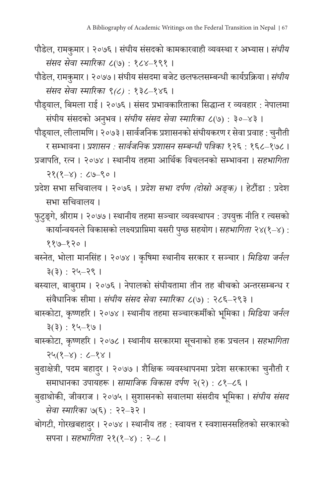- पौडेल, रामकुमार । २०७६ । संघीय संसदको कामकारवाही व्यवस्था र अभ्यास । *संघीय सं सद सेवा स्मारिका* ८(७) : १८४–१९१ ।
- पौडेल, रामकुमार । २०७७ । संघीय संसदमा बजेट छलफलसम्बन्धी कार्यप्रक्रिया । *संघीय सं सद सेवा स्मारिका ९(८)* : १३८–१४६ ।

पौड्याल, बिमला राई । २०७६ । सं सद प्रभावकारिताका सिद्धान्त र व्यवहार : नेपालमा संघीय संसदको अनुभव । *संघीय संसद सेवा स्मारिका ८*(७) : ३०–४३ ।

पौड्याल, लीलामणि । २०७३ । सार्वजनिक प्रशासनको सं घीयकरण र सेवा प्रवाह: चनौती ु

र सम्भावना । *प्रशासन : सार्वजनिक प्रशासन सम्बन्धी पत्रिका* १२६ : १६८–१७८ । प्रजापति, रत्न । २०७४ । स्थानीय तहमा आर्थिक विचलनको सम्भावना । *सहभागिता*

२१(१–४) : ८७–९० ।

प्रदेश सभा सचिवालय । २०७६ । *प्रदेश सभा दर्पण (दोस्रो अङ्क)* । हेटौंडा : प्रदेश सभा सचिवालय ।

फुटुङ्गे, श्रीराम । २०७७ । स्थानीय तहमा सञ्चार व्यवस्थापन : उपयुक्त नीति र त्यसको कार्यान्वयनले विकासको लक्ष्यप्राप्तिमा यसरी पग ु्छ सहयोग । *सहभागिता* २४(१–४) : ११७–१२० ।

बस्नेत, भोला मानसिं ह । २०७४ । कृषिमा स्थानीय सरकार र सञ्चार । *मिडिया जर्नल* ३(३) : २५–२९ ।

- बस्याल, बाबुराम । २०७६ । नेपालको संघीयतामा तीन तह बीचको अन्तरसम्बन्ध र सं वैधानिक सीमा । *सं घीय सं सद सेवा स्मारिका* ८(७) : २८६–२९३ ।
- बास्कोटा, कृष्णहरि । २०७४ । स्थानीय तहमा सञ्चारकर्मीको भूमिका । *मिडिया जर्नल* ३(३) : १५–१७ ।
- बास्कोटा, कृष्णहरि । २०७८ । स्थानीय सरकारमा सचनाको ू हक प्रचलन । *सहभागिता* २५(१–४) : ८–१४ ।
- बुढाक्षेत्री, पदम बहादुर । २०७७ । शैक्षिक व्यवस्थापनमा प्रदेश सरकारका चुनौती र समाधानका उपायहरू । *सामाजिक विकास दर्पण* २(२) : ८१–८६ ।
- बुढाथोकी, जीवराज । २०७५ । सुशासनको सवालमा संसदीय भूमिका । *संघीय संसद सेवा स्मारिका* ७(६) : २२–३२ ।
- बोगटी, गोरखबहादर ु । २०७४ । स्थानीय तह : स्वायत्त र स्वशासनसहितको सरकारको सपना । *सहभागिता* २१(१–४) : २–८ ।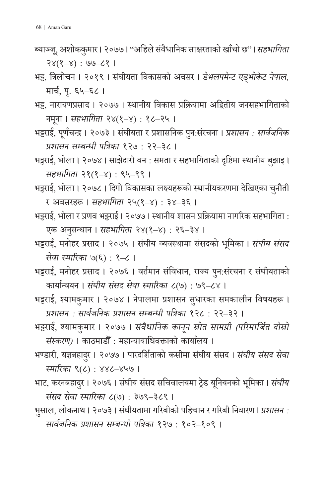- ब्याञ्जू, अशोककुमार । २०७७ । ''अहिले संवैधानिक साक्षरताको खाँचो छ" । *सहभागिता* २४(१–४) : ७७–८१ ।
- भट्ट, त्रिलोचन । २०१९ । संघीयता विकासको अवसर । डे*भलपमेन्ट एड्भोकेट नेपाल,* मार्च, प. ृ ६५–६८ ।
- भट्ट, नारायणप्रसाद । २०७७ । स्थानीय विकास प्रक्रियामा अद्वितीय जनसहभागिताको नमना । ू *सहभागिता* २४(१–४) : १८–२५ ।
- भट्टराई, पूर्णचन्द्र । २०७३ । सं घीयता र प्रशासनिक पनु:सं रचना । *प्रशासन : सार्वजनिक प्रशासन सम्बन्धी पत्रिका* १२७ : २२–३८ ।
- भट्टराई, भोला । २०७४ । साझेदारी वन : समता र सहभागिताको दृष्टिमा स्थानीय बझाइ । ु *सहभागिता* २१(१–४) : ९५–९९ ।
- भट्टराई, भोला । २०७८ । दिगो विकासका लक्ष्यहरूको स्थानीयकरणमा देखिएका चनौती ु र अवसरहरू । *सहभागिता* २५(१–४) : ३४–३६ ।
- भट्टराई, भोला र प्रणव भट्टराई । २०७७ । स्थानीय शासन प्रक्रियामा नागरिक सहभागिता : एक अनुसन्धान । *सहभागिता २*४(१–४) : २६–३४ ।
- भट्टराई, मनोहर प्रसाद । २०७५ । सं घीय व्यवस्थामा सं सदको भूमिका । *सं घीय सं सद सेवा स्मारिका* ७(६) : १–८ ।
- भट्टराई, मनोहर प्रसाद । २०७६ । वर्तमान सं विधान, राज्य पनु:सं रचना र सं घीयताको कार्यान्वयन । *सं घीय सं सद सेवा स्मारिका* ८(७) : ७९–८४ ।
- भट्टराई, श्यामकुमार । २०७४ । नेपालमा प्रशासन सु धारका समकालीन विषयहरू । *प्रशासन : सार्वजनिक प्रशासन सम्बन्धी पत्रिका* १२८ : २२–३२ ।
- भट्टराई, श्यामकुमार । २०७७ । *सं वैधानिक कानून स्रोत सामग्री (परिमार्जित दोस्रो सं स्करण)* । काठमाडौ ँ : महान्यायाधिवक्ताको कार्यालय ।
- भण्डारी, यज्ञबहादर ु । २०७७ । पारदर्शिताको कसीमा सं घीय सं सद । *सं घीय सं सद सेवा स्मारिका* ९(८) : ४४८–४५७ ।
- भाट, करनबहादुर । २०७६ । संघीय संसद सचिवालयमा ट्रेड यूनियनको भूमिका । *संघीय सं सद सेवा स्मारिका* ८(७) : ३७९–३८९ ।
- भुसाल, लोकनाथ । २०७३ । संघीयतामा गरिबीको पहिचान र गरिबी निवारण । *प्रशासन : सार्वजनिक प्रशासन सम्बन्धी पत्रिका* १२७ : १०२–१०९ ।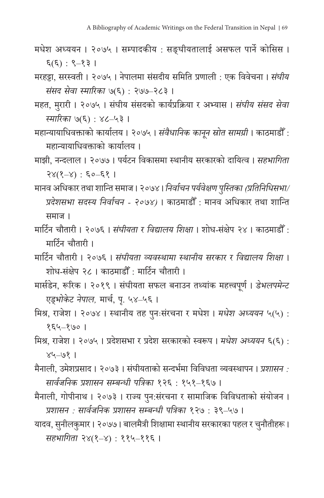- मधेश अध्ययन । २०७५ । सम्पादकीय : सङ्घीयतालाई असफल पार्ने कोसिस । ६(६) : ९–१३ ।
- मरहट्टा, सरस्वती । २०७५ । नेपालमा संसदीय समिति प्रणाली : एक विवेचना । *संघीय सं सद सेवा स्मारिका* ७(६) : २७७–२८३ ।
- महत, मुरारी । २०७५ । संघीय संसदको कार्यप्रक्रिया र अभ्यास । *संघीय संसद सेवा स्मारिका* ७(६) : ४८–५३ ।
- महान्यायाधिवक्ताको कार्यालय । २०७५ । *सं वैधानिक कानून स्रोत सामग्री* । काठमाडौ ँ : महान्यायाधिवक्ताको कार्यालय ।
- माझी, नन्दलाल । २०७७ । पर्यटन विकासमा स्थानीय सरकारको दायित्व । *सहभागिता* २४(१–४) : ६०–६१ ।
- मानव अधिकार तथा शान्ति समाज । २०७४ । *निर्वाचनपर्यवेक्षण पस्ति ु का (प्रतिनिधिसभा/ प्रदेशसभा सदस्य निर्वाचन - २०७४)* । काठमाडौ ँ : मानव अधिकार तथा शान्ति समाज ।
- मार्टिन चौतारी । २०७६ । *संघीयता र विद्यालय शिक्षा* । शोध-संक्षेप २४ । काठमाडौँ <mark>:</mark> मार्टिन चौतारी ।
- मार्टिन चौतारी । २०७६ । *सं घीयता व्यवस्थामा स्थानीय सरकार र विद्यालय शिक्षा* । शोध-सं क्षेप २८ । काठमाडौ ँ : मार्टिन चौतारी ।
- मार्सडेन, रूरिक । २०१९ । सं घीयता सफल बनाउन तथ्यांक महत्त्वपूर्ण । *डेभलपमेन्ट* एड्*भोकेट नेपाल,* मार्च, पृ. ५४–५६ ।
- मिश्र, राजेश । २०७४ । स्थानीय तह पु नःसं रचना र मधेश । *मधेश अध्ययन* ५(५) : १६५–१७० ।
- मिश्र, राजेश । २०७५ । प्रदेशसभा र प्रदेश सरकारको स्वरूप । *मधेश अध्ययन* ६(६) : ४५–७१ ।
- मैनाली, उमेशप्रसाद । २०७३ । सं घीयताको सन्दर्भमा विविधता व्यवस्थापन । *प्रशासन : सार्वजनिक प्रशासन सम्बन्धी पत्रिका* १२६ : १५१–१६७ ।
- मैनाली, गोपीनाथ । २०७३ । राज्य पुन:संरचना र सामाजिक विविधताको संयोजन । *प्रशासन : सार्वजनिक प्रशासन सम्बन्धी पत्रिका* १२७ : ३९–५७ ।
- यादव, सुनीलकुमार । २०७७ । बालमैत्री शिक्षामा स्थानीय सरकारका पहल र चुनौतीहरू । *सहभागिता* २४(१–४) : ११५–११६ ।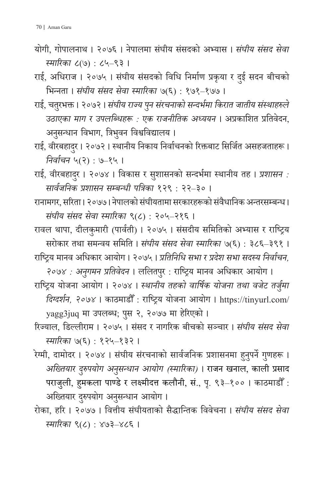योगी, गोपालनाथ । २०७६ । नेपालमा सं घीय सं सदको अभ्यास । *सं घीय सं सद सेवा स्मारिका* ८(७) : ८५–९३ ।

राई, अधिराज । २०७५ । सं घीय सं सदको विधि निर्माण प्रकृया र दई सदन बीचको ु भिन्नता । *सं घीय सं सद सेवा स्मारिका* ७(६) : १७१–१७७ ।

- राई, चतर ुभक्त । २०७२ । *सं घीय राज्य पनु सं रचनाको सन्दर्भमा किरात जातीय सं स्थाहरुले उठाएका माग र उपलब्धिहरू : एक राजनीतिक अध्ययन* । अप्रकाशित प्रतिवेदन, अनुसन्धान विभाग, त्रिभुवन विश्वविद्यालय ।
- राई, वीरबहादुर । २०७२ । स्थानीय निकाय निर्वाचनको रिक्तबाट सिर्जित असहजताहरू । *निर्वाचन* ५(२) : ७–१५ ।

राई, वीरबहादुर । २०७४ । विकास र सुशासनको सन्दर्भमा स्थानीय तह । *प्रशासन : सार्वजनिक प्रशासन सम्बन्धी पत्रिका* १२९ : २२–३० ।

- रानामगर, सरिता । २०७७ । नेपालको सं घीयतामा सरकारहरूको सं वैधानिक अन्तरसम्बन्ध । *सं घीय सं सद सेवा स्मारिका* ९(८) : २०५–२१६ ।
- रावल थापा, दीलकुमारी (पार्वती) । २०७५ । सं सदीय समितिको अभ्यास र राष्ट्रिय सरोकार तथा समन्वय समिति । *सं घीय सं सद सेवा स्मारिका* ७(६) : ३८६–३९१ ।
- राष्ट्रिय मानव अधिकार आयोग । २०७५ । *प्रतिनिधि सभा र प्रदेश सभा सदस्य निर्वाचन,*
- *२०७४ : अनगमन ु प्रतिवेदन* । ललितपर ु : राष्ट्रिय मानव अधिकार आयोग । राष्ट्रिय योजना आयोग । २०७४ । *स्थानीय तहको वार्षिक योजना तथा वजेट तर्जुम ा दिग्दर्शन, २०७४* । काठमाडौ ँ : राष्ट्रिय योजना आयोग । https://tinyurl.com/ yagg3juq मा उपलब्ध; पुस २, २०७७ मा हेरिएको ।
- रिज्याल, डिल्लीराम । २०७५ । सं सद र नागरिक बीचको सञ्चार । *सं घीय सं सद सेवा स्मारिका* ७(६) : १२५–१३२ ।
- रेग्मी, दामोदर । २०७४ । संघीय संरचनाको सार्वजनिक प्रशासनमा हुनुपर्ने गुणहरू । *अख्तियार दरुुपयोग अनसन ु ्धान आयोग (स्मारिका)* । राजन खनाल, काली प्रसाद पराजुली, हुमकला पाण्डे र लक्ष्मीदत्त कलौनी, सं., पृ. ९३–१०० । काठमाडौँ : अख्तियार दुरुपयोग अनुसन्धान आयोग ।
- रोका, हरि । २०७७ । वित्तीय सं घीयताको सैद्धान्तिक विवेचना । *सं घीय सं सद सेवा स्मारिका* ९(८) : ४७३–४८६ ।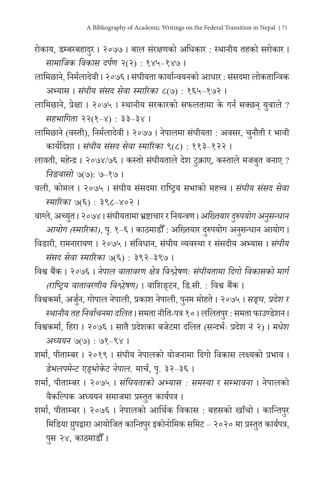- रोकाय, डम्बरबहादुर । २०७७ । बाल संरक्षणको अधिकार : स्थानीय तहको सरोकार । *सामाजिक विकास दर्पण* २(२) : १४५–१४७ ।
- लामिछाने, निर्मलादेवी । २०७६ । सं घीयता कार्यान्वयनको आधार : सं सदमा लोकतान्त्रिक अभ्यास । *सं घीय सं सद सेवा स्मारिका* ८(७) : १६५–१७२ ।
- लामिछाने, प्रेक्षा । २०७५ । स्थानीय सरकारको सफलतामा के गर्न सक्छन् यु वाले ? *सहभागिता* २२(१–४) : ३३–३४ ।
- लामिछाने (वस्ती), निर्मलादेवी । २०७७ । नेपालमा सं घीयता : अवसर, चनौती ु र भावी कार्यदिशा । *सं घीय सं सद सेवा स्मारिका* ९(८) : ११३–१२२ ।
- लावती, महेन्द्र । २०७४/७६ । कस्तो संघीयताले देश टुक्राए, कस्ताले मजबुत बनाए ? *निङवासो* ७(७): ७–१७ ।
- वली, कोमल । २०७५ । संघीय संसदमा राष्ट्रिय सभाको महत्त्व । *संघीय संसद सेवा स्मारिका* ७(६) : ३९८–४०२ ।
- वाग्ले, अच्युत। २०७४। संघीयतामा भ्रष्टाचार र नियन्त्रण। *अख्तियार दुरुपयोग अनुसन्ध आयोग (स्मारिका)*, पृ. १–६ । काठमाडौँ : अख्तियार दुरुपयोग अनुसन्धान आयोग ।
- विडारी, रामनारायण । २०७५ । सं विधान, सं घीय व्यवस्था र सं सदीय अभ्यास । *सं घीय सं सद सेवा स्मारिका* ७(६) : ३९२–३९७ ।
- विश्व बैंक । २०७६ । *नेपाल वातावरण क्षेत्र विश्लेषणः सं घीयतामा दिगो विकासको मार्ग (राष्ट्रिय वातावरणीय विश्लेषण)* । वाशिङ्टन, डि.सी. : विश्व बैंक ।
- विश्वकर्मा, अर्जुन, गोपाल नेपाली, प्रकाश नेपाली, पुनम मोहते । २०७५ । *सङ्घ, प्रदेश र स्थानीय तह निर्वाचनमा दलित* । समता नीति-पत्र १० । ललितपर ु: समता फाउण्डेशन ।
- विश्वकर्मा, हिरा । २०७६ । सातै प्रदेशका बजेटमा दलित (सन्दर्भः प्रदेश नं २) । *मधेश अध्ययन* ७(७) : ७१–९४ ।
- शर्मा, पीताम्बर । २०१९ । सं घीय नेपालको योजनामा दिगो विकास लक्ष्यको प्रभाव । डे*भलपमेन्ट एड्भोकेट नेपाल,* मार्च, पृ. ३२–३६ ।
- शर्मा, पीताम्बर । २०७५ । *सं घियताको अभ्यास : समस्या र सम्भावना* । नेपालको वैकल्पिक अध्ययन समाजमा प्रस्तुत कार्यपत्र ।
- शर्मा, पीताम्बर । २०७६ । नेपालको आर्थिक विकास : बहसको खाँचो । कान्तिपुर मिडिया ग्रुपद्वारा आयोजित कान्तिपुर इकोनोमिक समिट – २०२० मा प्रस्तुत कार्यपत्र, पस २४, काठमाडौँ ।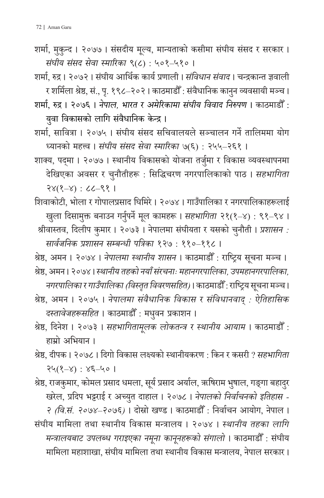शर्मा, मुकुन्द । २०७७ । संसदीय मूल्य, मान्यताको कसीमा संघीय संसद र सरकार । *सं घीय सं सद सेवा स्मारिका* ९(८) : ५०१–५१० ।

शर्मा, रुद्र । २०७२ । सं घीय आर्थिक कार्य प्रणाली । *सं विधान सं वाद* । चन्द्रकान्त ज्ञवाली र शर्मिला श्रेष्ठ, सं., पृ. १९८–२०२। काठमाडौँ : संवैधानिक कानुन व्यवसायी मञ्च ।

शर्मा, रुद्र । २०७६ । *नेपाल, भारत र अमेरिकामा सं घीय विवाद निरुपण* । काठमाडौ ँ : युवा विकासको लागि संवैधानिक केन्द्र ।

शर्मा, सावित्रा । २०७५ । संघीय संसद सचिवालयले सञ्चालन गर्ने तालिममा योग ध्यानको महत्त्व । *सं घीय सं सद सेवा स्मारिका* ७(६) : २५५–२६१ ।

शाक्य, पद्मा । २०७७ । स्थानीय विकासको योजना तर्जुमा र विकास व्यवस्थापनमा देखिएका अवसर र चु नौतीहरू : सिद्धिचरण नगरपालिकाको पाठ । *सहभागिता* २४(१–४) : ८८–९१ ।

शिवाकोटी, भोला र गोपालप्रसाद घिमिरे । २०७४ । गाउँपालिका र नगरपालिकाहरूलाई खुला दिसामुक्त बनाउन गर्नुपर्ने मूल कामहरू । *सहभागिता २*१(१–४) : ९१–९४ ।

 श्रीवास्तव, दिलीप कुमार । २०७३ । नेपालमा सं घीयता र यसको चनौती । ु *प्रशासन : सार्वजनिक प्रशासन सम्बन्धी पत्रिका* १२७ : ११०–११८ ।

श्रेष्ठ, अमन । २०७४ । *नेपालमा स्थानीय शासन* । काठमाडौँ : राष्ट्रिय सूचना मञ्च । श्ष्ठरे, अमन । २०७४ । *स्थानीय तहको नयाँ सं रचनाः महानगरपालिका, उपमहानगरपालिका,*

*नगरपालिका र गाउँपालिका (विस्तृत विवरणसहित)* । काठमाडौँ : राष्ट्रिय सूचना मञ्च ।

श्रेष्ठ, अमन । २०७५ । *नेपालमा संवैधानिक विकास र सं विधानवाद् : ऐतिहासिक दस्तावेजहरूसहित* । काठमाडौँ : मधुवन प्रकाशन ।

श्रेष्ठ, दिनेश । २०७३ । *सहभागितामूलक लोकत मू न्त्र र स्थानीय आयाम* । काठमाडौ ँ : हाम्रो अभियान ।

श्रेष्ठ, दीपक । २०७८ । दिगो विकास लक्ष्यको स्थानीयकरण : किन र कसरी ? *सहभागिता* २५(१–४) : ४६–५० ।

श्रेष्ठ, राजकुमार, कोमल प्रसाद धमला, सूर्य प्रसाद अर्याल, ऋषिराम भुषाल, गङ्गा बहादुर ु खरेल, प्रदिप भट्टराई र अच्युत दा ्यु हाल । २०७८ । *नेपालको निर्वाचनको इतिहास - २ (वि.सं . २०७४–२०७६)* । दोस्रो खण्ड । काठमाडौ ँ : निर्वाचन आयोग, नेपाल । सं घीय मामिला तथा स्थानीय विकास मन्त्रालय । २०७४ । *स्थानीय तहका लागि मन्त्रालयबाट उपलब्ध गराइएका नमून ा कानून हरूको सं गालो* । काठमाडौ ँ : सं घीय मामिला महाशाखा, संघीय मामिला तथा स्थानीय विकास मन्त्रालय, नेपाल सरकार ।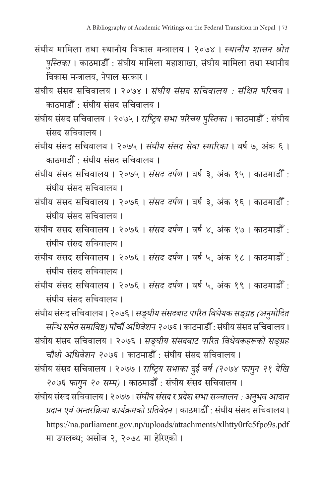- सं घीय मामिला तथा स्थानीय विकास मन्त्रालय । २०७४ । *स्थानीय शासन श्रोत पुस्तिका* । काठमाडौँ : संघीय मामिला महाशाखा, संघीय मामिला तथा स्थानीय विकास मन्त्रालय, नेपाल सरकार ।
- सं घीय सं सद सचिवालय । २०७४ । *सं घीय सं सद सचिवालय : सं क्षिप्त परिचय* । काठमाडौँ : संघीय संसद सचिवालय <mark>।</mark>
- संघीय संसद सचिवालय । २०७५ । *राष्ट्रिय सभा परिचय पुस्तिका* । काठमाडौँ : संघीय सं सद सचिवालय ।
- संघीय संसद सचिवालय । २०७५ । *संघीय संसद सेवा स्मारिका* । वर्ष ७, अंक ६ । काठमाडौँ : संघीय संसद सचिवालय <mark>।</mark>
- सं घीय सं सद सचिवालय । २०७५ । *सं सद दर्पण* । वर्ष ३, अं क १५ । काठमाडौ ँ : सं घीय सं सद सचिवालय ।
- सं घीय सं सद सचिवालय । २०७६ । *सं सद दर्पण* । वर्ष ३, अं क १६ । काठमाडौ ँ : सं घीय सं सद सचिवालय ।
- सं घीय सं सद सचिवालय । २०७६ । *सं सद दर्पण* । वर्ष ४, अं क १७ । काठमाडौ ँ : सं घीय सं सद सचिवालय ।
- सं घीय सं सद सचिवालय । २०७६ । *सं सद दर्पण* । वर्ष ५, अं क १८ । काठमाडौ ँ : सं घीय सं सद सचिवालय ।
- सं घीय सं सद सचिवालय । २०७६ । *सं सद दर्पण* । वर्ष ५, अं क १९ । काठमाडौ ँ : सं घीय सं सद सचिवालय ।

सं घीय सं सद सचिवालय । २०७६ । *सङ्घीय सं सदबाट पारित विधये क सङ्ग्र ह (अनमुोदित सन्धि समेत समाविष्ट) पाँचौं अधिवेशन २०७६* । काठमाडौ ँ : सं घीय सं सद सचिवालय । संघीय संसद सचिवालय । २०७६ । *सङ्घीय संसदबाट पारित विधेयकहरूको सङ्ग्रह* चौ*थो अधिवेशन २०७*६ । काठमाडौँ : संघीय संसद सचिवालय ।

संघीय संसद सचिवालय । २०७७ । *राष्ट्रिय सभाका दुई वर्ष (२०७४ फागुन २१ दे*खि *२०७६ फागनु २० सम्म)* । काठमाडौ ँ : सं घीय सं सद सचिवालय ।

सं घीय सं सद सचिवालय । २०७७ । *सं घीय सं सद र प्रदेश सभा सञ्चालन: अनभव आदा ु न प्रदान एवं अन्तरक्रिया कार्यक्रमको प्रतिवेदन* । काठमाडौ ँ : सं घीय सं सद सचिवालय । https://na.parliament.gov.np/uploads/attachments/xlhtty0rfc5fpo9s.pdf मा उपलब्ध; असोज २, २०७८ मा हेरिएको ।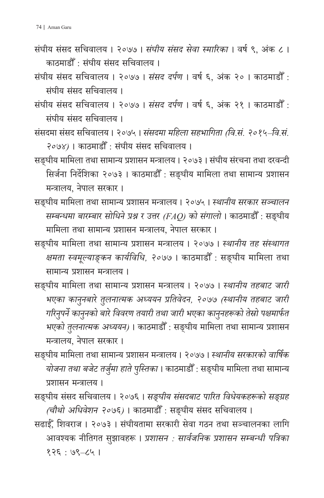- सं घीय सं सद सचिवालय । २०७७ । *सं घीय सं सद सेवा स्मारिका* । वर्ष ९, अं क ८ । काठमाडौँ : संघीय संसद सचिवालय <mark>।</mark>
- सं घीय सं सद सचिवालय । २०७७ । *सं सद दर्पण* । वर्ष ६, अं क २० । काठमाडौ ँ : सं घीय सं सद सचिवालय ।
- सं घीय सं सद सचिवालय । २०७७ । *सं सद दर्पण* । वर्ष ६, अं क २१ । काठमाडौ ँ : सं घीय सं सद सचिवालय ।
- संसदमा संसद सचिवालय । २०७५ । *संसदमा महिला सहभागिता (वि.सं. २०१५–वि.सं. २०७४)* । काठमाडौ ँ : सं घीय सं सद सचिवालय ।
- सङ्घीय मामिला तथा सामान्य प्रशासन मन्त्रालय । २०७३ । सं घीय सं रचना तथा दरवन्दी सिर्जना निर्देशिका २०७३ । काठमाडौ ँ : सङ्घीय मामिला तथा सामान्य प्रशासन मन्त्रालय, नेपाल सरकार ।
- सङ्घीय मामिला तथा सामान्य प्रशासन मन्त्रालय । २०७५ । *स्थानीय सरकार सञ्चालन सम्बन्धमा बारम्बार सोधिने प्रश्न र उत्तर (FAQ) को सं गालो* । काठमाडौ ँ : सङ्घीय मामिला तथा सामान्य प्रशासन मन्त्रालय, नेपाल सरकार ।
- सङ्घीय मामिला तथा सामान्य प्रशासन मन्त्रालय । २०७७ । *स्थानीय तह सं स्थागत क्षमता स्वमूल्याङ्कन कार्यविधि, २०७७* । काठमाडौ ँ : सङ्घीय मामिला तथा सामान्य प्रशासन मन्त्रालय ।
- सङ्घीय मामिला तथा सामान्य प्रशासन मन्त्रालय । २०७७ । *स्थानीय तहबाट जारी भएका कानु नबारे तु लनात्मक अध्ययन प्रतिवेदन, २०७७ (स्थानीय तहबाट जारी गरिनपर्ने ु काननुको बारे विवरण तयारी तथा जारी भएका काननुहरूको तेस्रो पक्षमार्फत भएको तलुनात्मक अध्ययन)* । काठमाडौ ँ : सङ्घीय मामिला तथा सामान्य प्रशासन मन्त्रालय, नेपाल सरकार ।
- सङ्घीय मामिला तथा सामान्य प्रशासन मन्त्रालय । २०७७ । *स्थानीय सरकारको वार्षिक योजना तथा बजेट तर्जुम ा हाते पस्ति ु का* । काठमाडौ ँ : सङ्घीय मामिला तथा सामान्य प्रशासन मन्त्रालय ।
- सङ्घीय संसद सचिवालय । २०७६ । *सङ्घीय संसदबाट पारित विधेयकहरूको सङ्ग्रह (चौथो अधिवेशन २०७६)* । काठमाडौ ँ : सङ्घीय सं सद सचिवालय ।
- सढाईँ, शिवराज । २०७३ । संघीयतामा सरकारी सेवा गठन तथा सञ्चालनका लागि आवश्यक नीतिगत सु झावहरू । *प्रशासन : सार्वजनिक प्रशासन सम्बन्धी पत्रिका* १२६ : ७९–८५ ।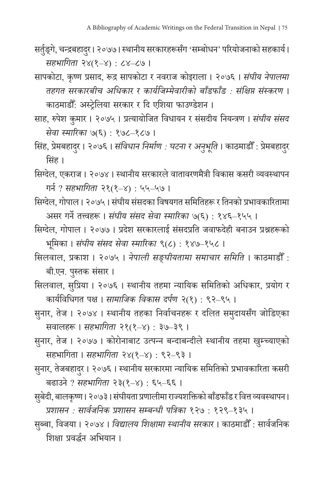- सर्तुङ्गे, चन्द्रबहादुर। २०७७। स्थानीय सरकारहरूसँग 'सम्बोधन' परियोजनाको सहकार्य। *सहभागिता* २४(१–४) : ८४–८७ ।
- सापकोटा, कृष्ण प्रसाद, रूद्र सापकोटा र नवराज कोइराला । २०७६ । *सं घीय नेपालमा तहगत सरकारबीच अधिकार र कार्यजिम्मेवारीको बाँडफाँड : सं क्षिप्त सं स्करण* । काठमाडौँ: अस्ट्रेलिया सरकार र दि एशिया फाउण्डेशन ।
- साह, रुपेश कुमार । २०७५ । प्रत्यायोजित विधायन र सं सदीय नियन्त्रण । *सं घीय सं सद सेवा स्मारिका* ७(६) : १७८–१८७ ।
- सिंह, प्रेमबहादुर । २०७६ । *संविधान निर्माण : घटना र अनुभूति* । काठमाडौँ : प्रेमबहादुर ¦ सिं ह ।
- सिग्देल, एकराज । २०७४ । स्थानीय सरकारले वातावरणमैत्री विकास कसरी व्यवस्थापन गर्न ? *सहभागिता* २१(१–४) : ५५–५७ ।
- सिग्देल, गोपाल । २०७५ । सं घीय सं सदका विषयगत समितिहरू र तिनको प्रभावकारितामा असर गर्ने तत्त्वहरू । *सं घीय सं सद सेवा स्मारिका* ७(६) : १४६–१५५ ।
- सिग्देल, गोपाल । २०७७ । प्रदेश सरकारलाई सं सदप्रति जवाफदेही बनाउन प्रश्नहरूको भूमिका । *सं घीय सं सद सेवा स्मारिका* ९(८) : १४७–१५८ ।
- सिलवाल, प्रकाश । २०७५ । *नेपाली सङ्घीयतामा समाचार समिति* । काठमाडौ ँ : बी.एन. पुस्तक संसार ।
- सिलवाल, सुप्रिया । २०७६ । स्थानीय तहमा न्यायिक समितिको अधिकार, प्रयोग र कार्यविधिगत पक्ष । *सामाजिक विकास दर्पण* २(१) : ९२–९५ ।
- सु नार, तेज । २०७४ । स्थानीय तहका निर्वाचनहरू र दलित समु दायसँग जोडिएका सवालहरू । *सहभागिता* २१(१–४) : ३७–३९ ।
- सु नार, तेज । २०७७ । कोरोनाबाट उत्पन्न बन्दाबन्दीले स्थानीय तहमा खुम्च्याएको सहभागिता । *सहभागिता* २४(१–४) : ९२–९३ ।
- सुनार, तेजबहादुर । २०७६ । स्थानीय सरकारमा न्यायिक समितिको प्रभावकारिता कसरी बढाउने ? *सहभागिता* २३(१–४) : ६५–६६ ।
- सुबेदी, बालकृष्ण। २०७३। संघीयता प्रणालीमा राज्यशक्तिको बाँडफाँड र वित्त व्यवस्थापन। *प्रशासन : सार्वजनिक प्रशासन सम्बन्धी पत्रिका* १२७ : १२९–१३५ ।
- सुब्बा, विजया । २०७४ । *विद्यालय शिक्षामा स्थानीय सरकार* । काठमाडौँ : सार्वजनिक शिक्षा प्रवर्द्धन अभियान ।